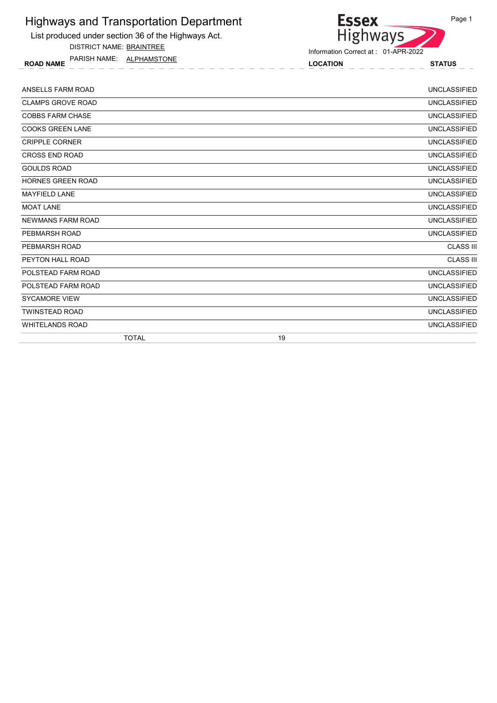List produced under section 36 of the Highways Act.

DISTRICT NAME: BRAINTREE

ROAD NAME LOCATION STATUS PARISH NAME: ALPHAMSTONE



Information Correct at : 01-APR-2022

| ANSELLS FARM ROAD        | <b>UNCLASSIFIED</b> |
|--------------------------|---------------------|
| <b>CLAMPS GROVE ROAD</b> | <b>UNCLASSIFIED</b> |
| <b>COBBS FARM CHASE</b>  | <b>UNCLASSIFIED</b> |
| <b>COOKS GREEN LANE</b>  | <b>UNCLASSIFIED</b> |
| <b>CRIPPLE CORNER</b>    | <b>UNCLASSIFIED</b> |
| <b>CROSS END ROAD</b>    | <b>UNCLASSIFIED</b> |
| <b>GOULDS ROAD</b>       | <b>UNCLASSIFIED</b> |
| <b>HORNES GREEN ROAD</b> | <b>UNCLASSIFIED</b> |
| <b>MAYFIELD LANE</b>     | <b>UNCLASSIFIED</b> |
| <b>MOAT LANE</b>         | <b>UNCLASSIFIED</b> |
| <b>NEWMANS FARM ROAD</b> | <b>UNCLASSIFIED</b> |
| PEBMARSH ROAD            | <b>UNCLASSIFIED</b> |
| PEBMARSH ROAD            | <b>CLASS III</b>    |
| PEYTON HALL ROAD         | <b>CLASS III</b>    |
| POLSTEAD FARM ROAD       | <b>UNCLASSIFIED</b> |
| POLSTEAD FARM ROAD       | <b>UNCLASSIFIED</b> |
| <b>SYCAMORE VIEW</b>     | <b>UNCLASSIFIED</b> |
| <b>TWINSTEAD ROAD</b>    | <b>UNCLASSIFIED</b> |
| <b>WHITELANDS ROAD</b>   | <b>UNCLASSIFIED</b> |
| <b>TOTAL</b>             | 19                  |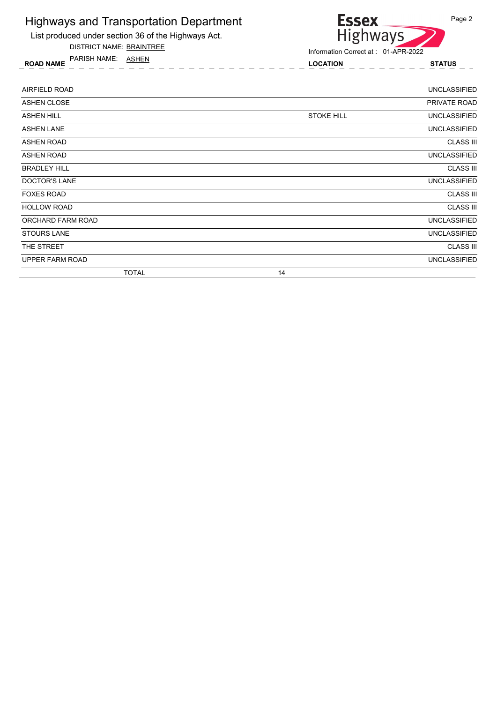

DISTRICT NAME: BRAINTREE

ROAD NAME LOCATION STATUS PARISH NAME: ASHEN



| AIRFIELD ROAD        |                   | <b>UNCLASSIFIED</b> |
|----------------------|-------------------|---------------------|
| <b>ASHEN CLOSE</b>   |                   | PRIVATE ROAD        |
| <b>ASHEN HILL</b>    | <b>STOKE HILL</b> | <b>UNCLASSIFIED</b> |
| <b>ASHEN LANE</b>    |                   | <b>UNCLASSIFIED</b> |
| ASHEN ROAD           |                   | <b>CLASS III</b>    |
| ASHEN ROAD           |                   | <b>UNCLASSIFIED</b> |
| <b>BRADLEY HILL</b>  |                   | <b>CLASS III</b>    |
| <b>DOCTOR'S LANE</b> |                   | <b>UNCLASSIFIED</b> |
| <b>FOXES ROAD</b>    |                   | <b>CLASS III</b>    |
| <b>HOLLOW ROAD</b>   |                   | <b>CLASS III</b>    |
| ORCHARD FARM ROAD    |                   | <b>UNCLASSIFIED</b> |
| <b>STOURS LANE</b>   |                   | <b>UNCLASSIFIED</b> |
| THE STREET           |                   | <b>CLASS III</b>    |
| UPPER FARM ROAD      |                   | <b>UNCLASSIFIED</b> |
| <b>TOTAL</b>         | 14                |                     |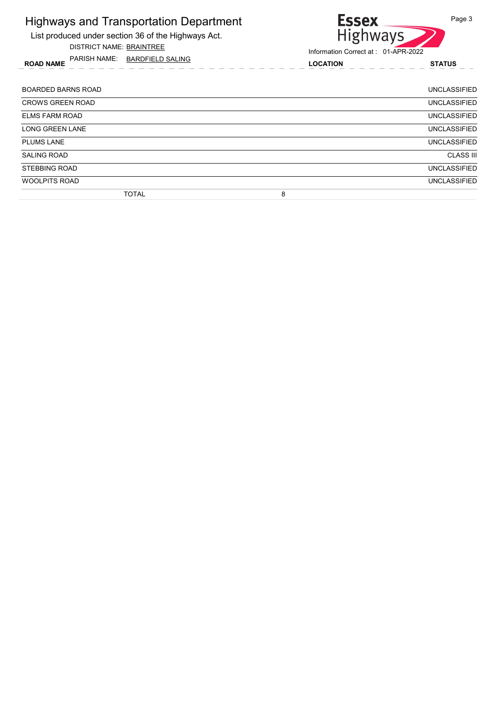List produced under section 36 of the Highways Act.

DISTRICT NAME: BRAINTREE

ROAD NAME LOCATION STATUS PARISH NAME: BARDFIELD SALING



| BOARDED BARNS ROAD      |              |   | <b>UNCLASSIFIED</b> |
|-------------------------|--------------|---|---------------------|
| <b>CROWS GREEN ROAD</b> |              |   | <b>UNCLASSIFIED</b> |
| <b>ELMS FARM ROAD</b>   |              |   | <b>UNCLASSIFIED</b> |
| <b>LONG GREEN LANE</b>  |              |   | <b>UNCLASSIFIED</b> |
| <b>PLUMS LANE</b>       |              |   | <b>UNCLASSIFIED</b> |
| <b>SALING ROAD</b>      |              |   | <b>CLASS III</b>    |
| <b>STEBBING ROAD</b>    |              |   | <b>UNCLASSIFIED</b> |
| <b>WOOLPITS ROAD</b>    |              |   | <b>UNCLASSIFIED</b> |
|                         | <b>TOTAL</b> | 8 |                     |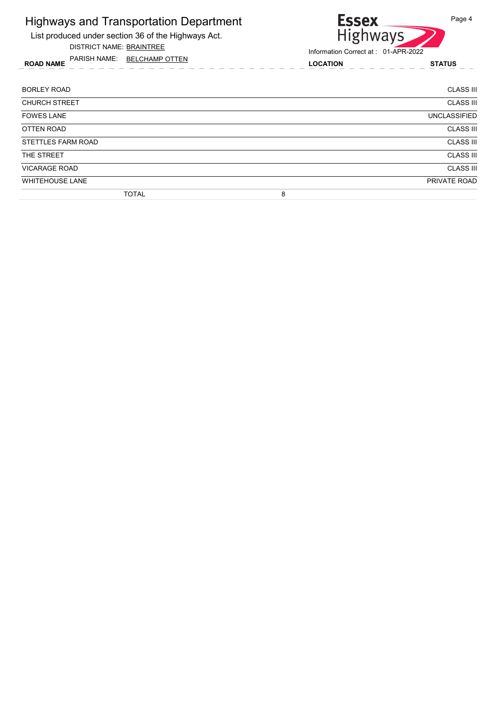List produced under section 36 of the Highways Act.

DISTRICT NAME: BRAINTREE

ROAD NAME LOCATION STATUS PARISH NAME: BELCHAMP OTTEN

# Essex<br>Highways Page 4

| <b>BORLEY ROAD</b>     | <b>CLASS III</b>    |
|------------------------|---------------------|
| <b>CHURCH STREET</b>   | <b>CLASS III</b>    |
| <b>FOWES LANE</b>      | <b>UNCLASSIFIED</b> |
| OTTEN ROAD             | <b>CLASS III</b>    |
| STETTLES FARM ROAD     | <b>CLASS III</b>    |
| THE STREET             | <b>CLASS III</b>    |
| <b>VICARAGE ROAD</b>   | <b>CLASS III</b>    |
| <b>WHITEHOUSE LANE</b> | PRIVATE ROAD        |
| <b>TOTAL</b>           | 8                   |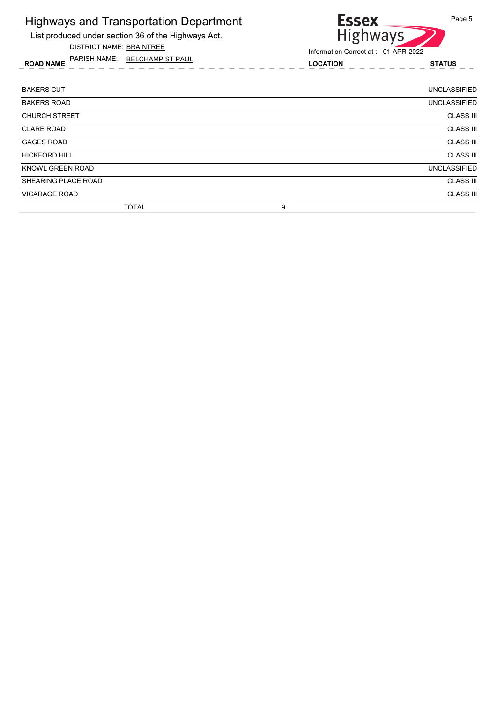

DISTRICT NAME: BRAINTREE

ROAD NAME LOCATION STATUS PARISH NAME: BELCHAMP ST PAUL



| <b>BAKERS CUT</b>       | <b>UNCLASSIFIED</b> |
|-------------------------|---------------------|
| <b>BAKERS ROAD</b>      | <b>UNCLASSIFIED</b> |
| <b>CHURCH STREET</b>    | <b>CLASS III</b>    |
| <b>CLARE ROAD</b>       | <b>CLASS III</b>    |
| <b>GAGES ROAD</b>       | <b>CLASS III</b>    |
| <b>HICKFORD HILL</b>    | <b>CLASS III</b>    |
| <b>KNOWL GREEN ROAD</b> | <b>UNCLASSIFIED</b> |
| SHEARING PLACE ROAD     | <b>CLASS III</b>    |
| <b>VICARAGE ROAD</b>    | <b>CLASS III</b>    |
| <b>TOTAL</b>            | 9                   |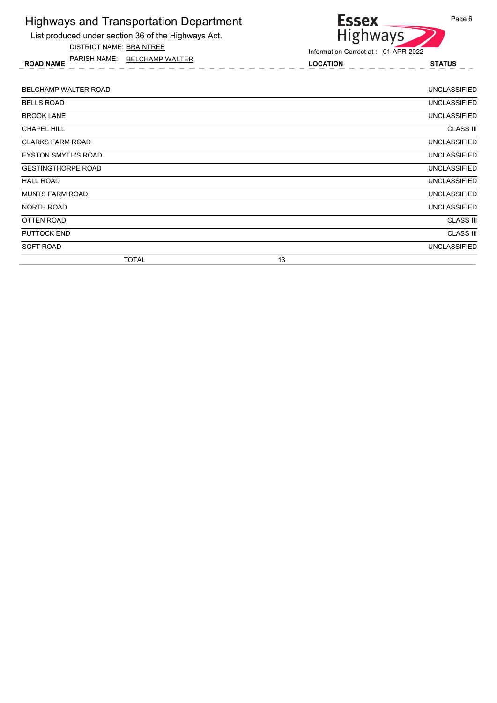

DISTRICT NAME: BRAINTREE

ROAD NAME LOCATION STATUS PARISH NAME: BELCHAMP WALTER



| BELCHAMP WALTER ROAD       | <b>UNCLASSIFIED</b> |
|----------------------------|---------------------|
| <b>BELLS ROAD</b>          | <b>UNCLASSIFIED</b> |
| <b>BROOK LANE</b>          | <b>UNCLASSIFIED</b> |
| <b>CHAPEL HILL</b>         | <b>CLASS III</b>    |
| <b>CLARKS FARM ROAD</b>    | <b>UNCLASSIFIED</b> |
| <b>EYSTON SMYTH'S ROAD</b> | <b>UNCLASSIFIED</b> |
| <b>GESTINGTHORPE ROAD</b>  | <b>UNCLASSIFIED</b> |
| <b>HALL ROAD</b>           | <b>UNCLASSIFIED</b> |
| <b>MUNTS FARM ROAD</b>     | <b>UNCLASSIFIED</b> |
| NORTH ROAD                 | <b>UNCLASSIFIED</b> |
| OTTEN ROAD                 | <b>CLASS III</b>    |
| <b>PUTTOCK END</b>         | <b>CLASS III</b>    |
| SOFT ROAD                  | <b>UNCLASSIFIED</b> |
| <b>TOTAL</b>               | 13                  |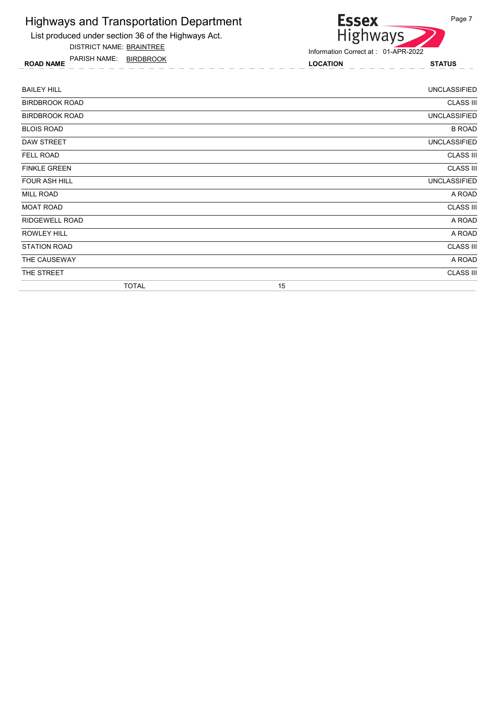#### Highways and Transportation Department List produced under section 36 of the Highways Act.

DISTRICT NAME: BRAINTREE



ROAD NAME LOCATION STATUS PARISH NAME: BIRDBROOK

| <b>BAILEY HILL</b>    |              |    | <b>UNCLASSIFIED</b> |
|-----------------------|--------------|----|---------------------|
| <b>BIRDBROOK ROAD</b> |              |    | <b>CLASS III</b>    |
| <b>BIRDBROOK ROAD</b> |              |    | <b>UNCLASSIFIED</b> |
| <b>BLOIS ROAD</b>     |              |    | <b>B ROAD</b>       |
| <b>DAW STREET</b>     |              |    | <b>UNCLASSIFIED</b> |
| <b>FELL ROAD</b>      |              |    | <b>CLASS III</b>    |
| <b>FINKLE GREEN</b>   |              |    | <b>CLASS III</b>    |
| <b>FOUR ASH HILL</b>  |              |    | <b>UNCLASSIFIED</b> |
| <b>MILL ROAD</b>      |              |    | A ROAD              |
| <b>MOAT ROAD</b>      |              |    | <b>CLASS III</b>    |
| <b>RIDGEWELL ROAD</b> |              |    | A ROAD              |
| <b>ROWLEY HILL</b>    |              |    | A ROAD              |
| <b>STATION ROAD</b>   |              |    | <b>CLASS III</b>    |
| THE CAUSEWAY          |              |    | A ROAD              |
| THE STREET            |              |    | <b>CLASS III</b>    |
|                       | <b>TOTAL</b> | 15 |                     |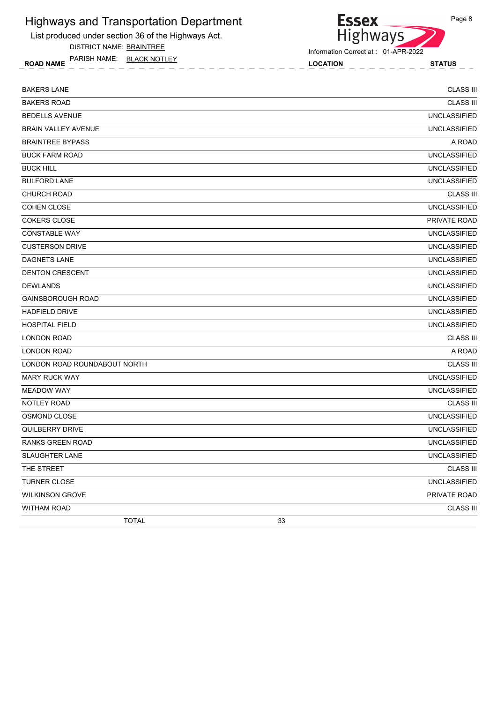List produced under section 36 of the Highways Act.

DISTRICT NAME: BRAINTREE

ROAD NAME LOCATION STATUS PARISH NAME: BLACK NOTLEY

Essex<br>Highways Information Correct at : 01-APR-2022

| <b>BAKERS LANE</b>           | <b>CLASS III</b>    |
|------------------------------|---------------------|
| <b>BAKERS ROAD</b>           | <b>CLASS III</b>    |
| <b>BEDELLS AVENUE</b>        | <b>UNCLASSIFIED</b> |
| BRAIN VALLEY AVENUE          | <b>UNCLASSIFIED</b> |
| <b>BRAINTREE BYPASS</b>      | A ROAD              |
| <b>BUCK FARM ROAD</b>        | <b>UNCLASSIFIED</b> |
| <b>BUCK HILL</b>             | <b>UNCLASSIFIED</b> |
| <b>BULFORD LANE</b>          | <b>UNCLASSIFIED</b> |
| <b>CHURCH ROAD</b>           | <b>CLASS III</b>    |
| <b>COHEN CLOSE</b>           | <b>UNCLASSIFIED</b> |
| <b>COKERS CLOSE</b>          | PRIVATE ROAD        |
| <b>CONSTABLE WAY</b>         | <b>UNCLASSIFIED</b> |
| <b>CUSTERSON DRIVE</b>       | <b>UNCLASSIFIED</b> |
| DAGNETS LANE                 | <b>UNCLASSIFIED</b> |
| <b>DENTON CRESCENT</b>       | <b>UNCLASSIFIED</b> |
| <b>DEWLANDS</b>              | <b>UNCLASSIFIED</b> |
| <b>GAINSBOROUGH ROAD</b>     | <b>UNCLASSIFIED</b> |
| <b>HADFIELD DRIVE</b>        | <b>UNCLASSIFIED</b> |
| <b>HOSPITAL FIELD</b>        | <b>UNCLASSIFIED</b> |
| <b>LONDON ROAD</b>           | <b>CLASS III</b>    |
| <b>LONDON ROAD</b>           | A ROAD              |
| LONDON ROAD ROUNDABOUT NORTH | <b>CLASS III</b>    |
| <b>MARY RUCK WAY</b>         | <b>UNCLASSIFIED</b> |
| <b>MEADOW WAY</b>            | <b>UNCLASSIFIED</b> |
| NOTLEY ROAD                  | <b>CLASS III</b>    |
| OSMOND CLOSE                 | <b>UNCLASSIFIED</b> |
| <b>QUILBERRY DRIVE</b>       | <b>UNCLASSIFIED</b> |
| <b>RANKS GREEN ROAD</b>      | <b>UNCLASSIFIED</b> |
| <b>SLAUGHTER LANE</b>        | <b>UNCLASSIFIED</b> |
| THE STREET                   | <b>CLASS III</b>    |
| <b>TURNER CLOSE</b>          | <b>UNCLASSIFIED</b> |
| <b>WILKINSON GROVE</b>       | PRIVATE ROAD        |
| <b>WITHAM ROAD</b>           | <b>CLASS III</b>    |
| <b>TOTAL</b>                 | 33                  |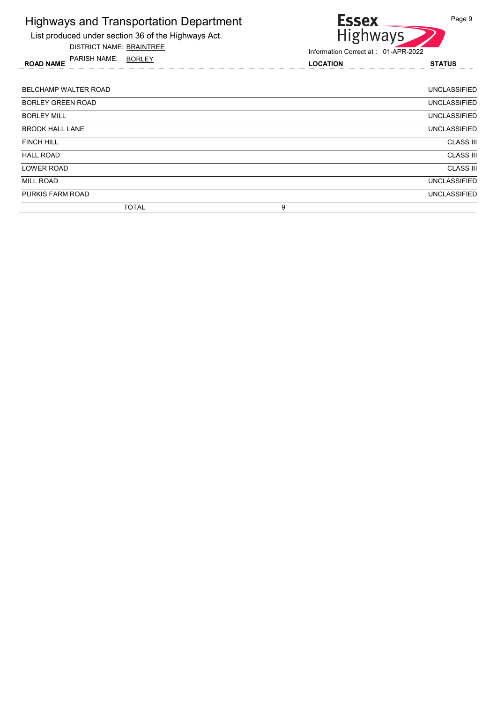| <b>Highways and Transportation Department</b><br>List produced under section 36 of the Highways Act.<br><b>DISTRICT NAME: BRAINTREE</b> | <b>Essex</b><br><b>Highways</b>                        | Page 9              |
|-----------------------------------------------------------------------------------------------------------------------------------------|--------------------------------------------------------|---------------------|
| PARISH NAME: BORLEY<br><b>ROAD NAME</b>                                                                                                 | Information Correct at: 01-APR-2022<br><b>LOCATION</b> | <b>STATUS</b>       |
| BELCHAMP WALTER ROAD                                                                                                                    |                                                        | <b>UNCLASSIFIED</b> |
| <b>BORLEY GREEN ROAD</b>                                                                                                                |                                                        | <b>UNCLASSIFIED</b> |
| <b>BORLEY MILL</b>                                                                                                                      |                                                        | <b>UNCLASSIFIED</b> |
| <b>BROOK HALL LANE</b>                                                                                                                  |                                                        | <b>UNCLASSIFIED</b> |
| <b>FINCH HILL</b>                                                                                                                       |                                                        | <b>CLASS III</b>    |
| <b>HALL ROAD</b>                                                                                                                        |                                                        | <b>CLASS III</b>    |
| <b>LOWER ROAD</b>                                                                                                                       |                                                        | <b>CLASS III</b>    |
| <b>MILL ROAD</b>                                                                                                                        |                                                        | <b>UNCLASSIFIED</b> |
| PURKIS FARM ROAD                                                                                                                        |                                                        | <b>UNCLASSIFIED</b> |
| <b>TOTAL</b>                                                                                                                            | 9                                                      |                     |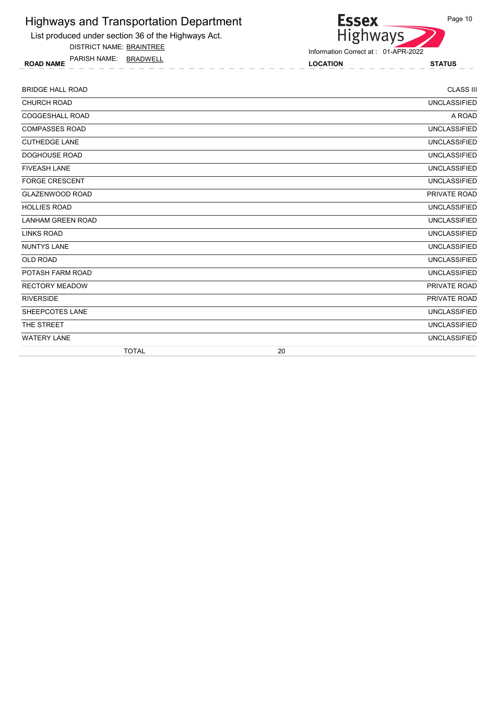

DISTRICT NAME: BRAINTREE

ROAD NAME LOCATION STATUS PARISH NAME: BRADWELL



| <b>BRIDGE HALL ROAD</b>  |    | <b>CLASS III</b>    |
|--------------------------|----|---------------------|
| <b>CHURCH ROAD</b>       |    | <b>UNCLASSIFIED</b> |
| <b>COGGESHALL ROAD</b>   |    | A ROAD              |
| <b>COMPASSES ROAD</b>    |    | <b>UNCLASSIFIED</b> |
| <b>CUTHEDGE LANE</b>     |    | <b>UNCLASSIFIED</b> |
| <b>DOGHOUSE ROAD</b>     |    | <b>UNCLASSIFIED</b> |
| <b>FIVEASH LANE</b>      |    | <b>UNCLASSIFIED</b> |
| <b>FORGE CRESCENT</b>    |    | <b>UNCLASSIFIED</b> |
| <b>GLAZENWOOD ROAD</b>   |    | PRIVATE ROAD        |
| <b>HOLLIES ROAD</b>      |    | <b>UNCLASSIFIED</b> |
| <b>LANHAM GREEN ROAD</b> |    | <b>UNCLASSIFIED</b> |
| <b>LINKS ROAD</b>        |    | <b>UNCLASSIFIED</b> |
| <b>NUNTYS LANE</b>       |    | <b>UNCLASSIFIED</b> |
| <b>OLD ROAD</b>          |    | <b>UNCLASSIFIED</b> |
| POTASH FARM ROAD         |    | <b>UNCLASSIFIED</b> |
| <b>RECTORY MEADOW</b>    |    | PRIVATE ROAD        |
| <b>RIVERSIDE</b>         |    | PRIVATE ROAD        |
| SHEEPCOTES LANE          |    | <b>UNCLASSIFIED</b> |
| THE STREET               |    | <b>UNCLASSIFIED</b> |
| <b>WATERY LANE</b>       |    | <b>UNCLASSIFIED</b> |
| <b>TOTAL</b>             | 20 |                     |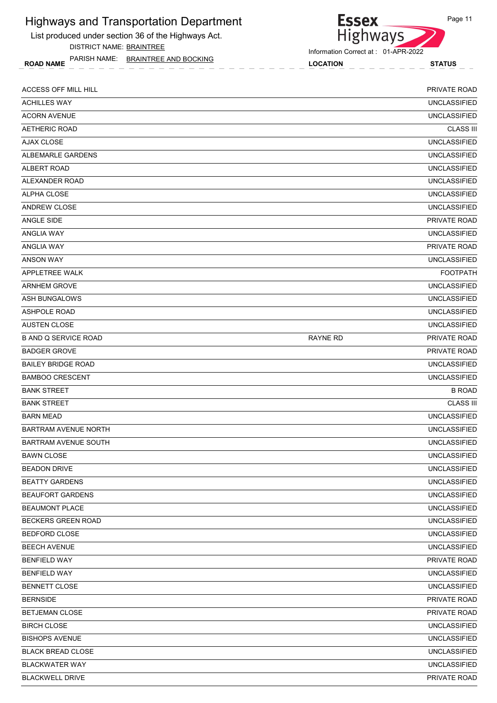List produced under section 36 of the Highways Act. DISTRICT NAME: BRAINTREE

ROAD NAME LOCATION STATUS PARISH NAME: BRAINTREE AND BOCKING

#### **Essex** Page 11 Highways

| ACCESS OFF MILL HILL        |                 | <b>PRIVATE ROAD</b> |
|-----------------------------|-----------------|---------------------|
| <b>ACHILLES WAY</b>         |                 | <b>UNCLASSIFIED</b> |
| <b>ACORN AVENUE</b>         |                 | <b>UNCLASSIFIED</b> |
| AETHERIC ROAD               |                 | <b>CLASS III</b>    |
| <b>AJAX CLOSE</b>           |                 | <b>UNCLASSIFIED</b> |
| ALBEMARLE GARDENS           |                 | <b>UNCLASSIFIED</b> |
| ALBERT ROAD                 |                 | <b>UNCLASSIFIED</b> |
| ALEXANDER ROAD              |                 | <b>UNCLASSIFIED</b> |
| ALPHA CLOSE                 |                 | <b>UNCLASSIFIED</b> |
| <b>ANDREW CLOSE</b>         |                 | <b>UNCLASSIFIED</b> |
| ANGLE SIDE                  |                 | PRIVATE ROAD        |
| ANGLIA WAY                  |                 | <b>UNCLASSIFIED</b> |
| <b>ANGLIA WAY</b>           |                 | PRIVATE ROAD        |
| ANSON WAY                   |                 | <b>UNCLASSIFIED</b> |
| APPLETREE WALK              |                 | <b>FOOTPATH</b>     |
| <b>ARNHEM GROVE</b>         |                 | <b>UNCLASSIFIED</b> |
| ASH BUNGALOWS               |                 | <b>UNCLASSIFIED</b> |
| <b>ASHPOLE ROAD</b>         |                 | <b>UNCLASSIFIED</b> |
| <b>AUSTEN CLOSE</b>         |                 | <b>UNCLASSIFIED</b> |
| <b>B AND Q SERVICE ROAD</b> | <b>RAYNE RD</b> | PRIVATE ROAD        |
| <b>BADGER GROVE</b>         |                 | <b>PRIVATE ROAD</b> |
| <b>BAILEY BRIDGE ROAD</b>   |                 | <b>UNCLASSIFIED</b> |
| <b>BAMBOO CRESCENT</b>      |                 | <b>UNCLASSIFIED</b> |
| <b>BANK STREET</b>          |                 | <b>B ROAD</b>       |
| <b>BANK STREET</b>          |                 | <b>CLASS III</b>    |
| <b>BARN MEAD</b>            |                 | <b>UNCLASSIFIED</b> |
| <b>BARTRAM AVENUE NORTH</b> |                 | <b>UNCLASSIFIED</b> |
| <b>BARTRAM AVENUE SOUTH</b> |                 | <b>UNCLASSIFIED</b> |
| <b>BAWN CLOSE</b>           |                 | <b>UNCLASSIFIED</b> |
| <b>BEADON DRIVE</b>         |                 | UNCLASSIFIED        |
| <b>BEATTY GARDENS</b>       |                 | <b>UNCLASSIFIED</b> |
| <b>BEAUFORT GARDENS</b>     |                 | UNCLASSIFIED        |
| <b>BEAUMONT PLACE</b>       |                 | <b>UNCLASSIFIED</b> |
| BECKERS GREEN ROAD          |                 | <b>UNCLASSIFIED</b> |
| <b>BEDFORD CLOSE</b>        |                 | UNCLASSIFIED        |
| <b>BEECH AVENUE</b>         |                 | <b>UNCLASSIFIED</b> |
| <b>BENFIELD WAY</b>         |                 | PRIVATE ROAD        |
| <b>BENFIELD WAY</b>         |                 | <b>UNCLASSIFIED</b> |
| <b>BENNETT CLOSE</b>        |                 | <b>UNCLASSIFIED</b> |
| <b>BERNSIDE</b>             |                 |                     |
|                             |                 | PRIVATE ROAD        |
| BETJEMAN CLOSE              |                 | PRIVATE ROAD        |
| <b>BIRCH CLOSE</b>          |                 | UNCLASSIFIED        |
| <b>BISHOPS AVENUE</b>       |                 | <b>UNCLASSIFIED</b> |
| <b>BLACK BREAD CLOSE</b>    |                 | UNCLASSIFIED        |
| <b>BLACKWATER WAY</b>       |                 | UNCLASSIFIED        |
| <b>BLACKWELL DRIVE</b>      |                 | PRIVATE ROAD        |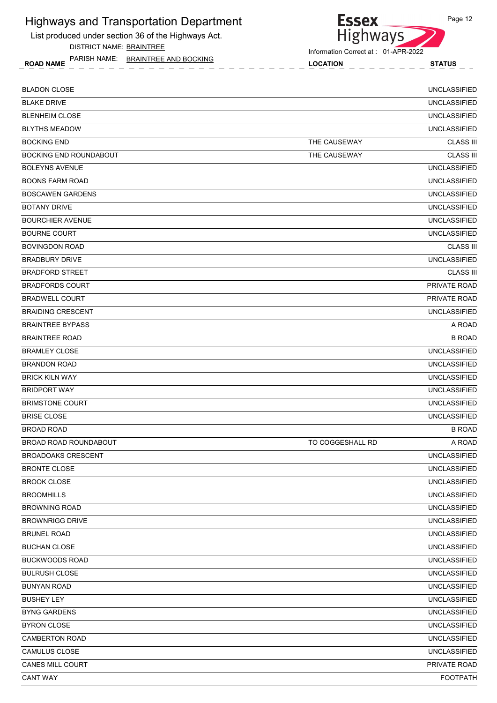List produced under section 36 of the Highways Act. DISTRICT NAME: BRAINTREE

ROAD NAME LOCATION STATUS PARISH NAME: BRAINTREE AND BOCKING



**Essex** 

| <b>BLADON CLOSE</b>     |                  | <b>UNCLASSIFIED</b> |
|-------------------------|------------------|---------------------|
| BLAKE DRIVE             |                  | <b>UNCLASSIFIED</b> |
| BLENHEIM CLOSE          |                  | <b>UNCLASSIFIED</b> |
| <b>BLYTHS MEADOW</b>    |                  | <b>UNCLASSIFIED</b> |
| BOCKING END             | THE CAUSEWAY     | <b>CLASS III</b>    |
| BOCKING END ROUNDABOUT  | THE CAUSEWAY     | <b>CLASS III</b>    |
| BOLEYNS AVENUE          |                  | <b>UNCLASSIFIED</b> |
| BOONS FARM ROAD         |                  | <b>UNCLASSIFIED</b> |
| <b>BOSCAWEN GARDENS</b> |                  | <b>UNCLASSIFIED</b> |
| BOTANY DRIVE            |                  | <b>UNCLASSIFIED</b> |
| BOURCHIER AVENUE        |                  | <b>UNCLASSIFIED</b> |
| <b>BOURNE COURT</b>     |                  | <b>UNCLASSIFIED</b> |
| BOVINGDON ROAD          |                  | <b>CLASS III</b>    |
| BRADBURY DRIVE          |                  | <b>UNCLASSIFIED</b> |
| BRADFORD STREET         |                  | <b>CLASS III</b>    |
| BRADFORDS COURT         |                  | PRIVATE ROAD        |
| BRADWELL COURT          |                  | <b>PRIVATE ROAD</b> |
| BRAIDING CRESCENT       |                  | <b>UNCLASSIFIED</b> |
| <b>BRAINTREE BYPASS</b> |                  | A ROAD              |
| BRAINTREE ROAD          |                  | <b>B ROAD</b>       |
| BRAMLEY CLOSE           |                  | <b>UNCLASSIFIED</b> |
| <b>BRANDON ROAD</b>     |                  | <b>UNCLASSIFIED</b> |
| BRICK KILN WAY          |                  | <b>UNCLASSIFIED</b> |
| BRIDPORT WAY            |                  | <b>UNCLASSIFIED</b> |
| BRIMSTONE COURT         |                  | <b>UNCLASSIFIED</b> |
| BRISE CLOSE             |                  | <b>UNCLASSIFIED</b> |
| BROAD ROAD              |                  | <b>B ROAD</b>       |
| BROAD ROAD ROUNDABOUT   | TO COGGESHALL RD | A ROAD              |
| BROADOAKS CRESCENT      |                  | <b>UNCLASSIFIED</b> |
| BRONTE CLOSE            |                  | <b>UNCLASSIFIED</b> |
| BROOK CLOSE             |                  | <b>UNCLASSIFIED</b> |
| BROOMHILLS              |                  | <b>UNCLASSIFIED</b> |
| BROWNING ROAD           |                  | <b>UNCLASSIFIED</b> |
| BROWNRIGG DRIVE         |                  | <b>UNCLASSIFIED</b> |
| BRUNEL ROAD             |                  | <b>UNCLASSIFIED</b> |
| BUCHAN CLOSE            |                  | <b>UNCLASSIFIED</b> |
| BUCKWOODS ROAD          |                  | <b>UNCLASSIFIED</b> |
| BULRUSH CLOSE           |                  | <b>UNCLASSIFIED</b> |
| BUNYAN ROAD             |                  | <b>UNCLASSIFIED</b> |
| BUSHEY LEY              |                  | <b>UNCLASSIFIED</b> |
| BYNG GARDENS            |                  | <b>UNCLASSIFIED</b> |
| BYRON CLOSE             |                  | <b>UNCLASSIFIED</b> |
| CAMBERTON ROAD          |                  | <b>UNCLASSIFIED</b> |
| CAMULUS CLOSE           |                  | <b>UNCLASSIFIED</b> |
| CANES MILL COURT        |                  | PRIVATE ROAD        |
| <b>CANT WAY</b>         |                  | <b>FOOTPATH</b>     |

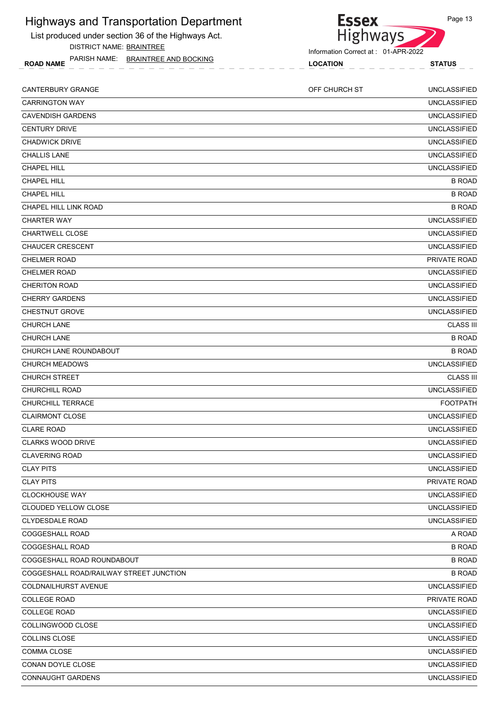List produced under section 36 of the Highways Act. DISTRICT NAME: BRAINTREE

ROAD NAME LOCATION STATUS PARISH NAME: BRAINTREE AND BOCKING



| <b>CANTERBURY GRANGE</b>                | OFF CHURCH ST | <b>UNCLASSIFIED</b> |
|-----------------------------------------|---------------|---------------------|
| <b>CARRINGTON WAY</b>                   |               | <b>UNCLASSIFIED</b> |
| <b>CAVENDISH GARDENS</b>                |               | <b>UNCLASSIFIED</b> |
| <b>CENTURY DRIVE</b>                    |               | <b>UNCLASSIFIED</b> |
| <b>CHADWICK DRIVE</b>                   |               | <b>UNCLASSIFIED</b> |
| <b>CHALLIS LANE</b>                     |               | <b>UNCLASSIFIED</b> |
| <b>CHAPEL HILL</b>                      |               | <b>UNCLASSIFIED</b> |
| <b>CHAPEL HILL</b>                      |               | <b>B ROAD</b>       |
| <b>CHAPEL HILL</b>                      |               | <b>B ROAD</b>       |
| CHAPEL HILL LINK ROAD                   |               | <b>B ROAD</b>       |
| <b>CHARTER WAY</b>                      |               | <b>UNCLASSIFIED</b> |
| <b>CHARTWELL CLOSE</b>                  |               | <b>UNCLASSIFIED</b> |
| <b>CHAUCER CRESCENT</b>                 |               | <b>UNCLASSIFIED</b> |
| <b>CHELMER ROAD</b>                     |               | PRIVATE ROAD        |
| <b>CHELMER ROAD</b>                     |               | <b>UNCLASSIFIED</b> |
| <b>CHERITON ROAD</b>                    |               | <b>UNCLASSIFIED</b> |
| <b>CHERRY GARDENS</b>                   |               | <b>UNCLASSIFIED</b> |
| <b>CHESTNUT GROVE</b>                   |               | <b>UNCLASSIFIED</b> |
| <b>CHURCH LANE</b>                      |               | <b>CLASS III</b>    |
| <b>CHURCH LANE</b>                      |               | <b>B ROAD</b>       |
| CHURCH LANE ROUNDABOUT                  |               | <b>B ROAD</b>       |
| <b>CHURCH MEADOWS</b>                   |               | <b>UNCLASSIFIED</b> |
| <b>CHURCH STREET</b>                    |               | <b>CLASS III</b>    |
| <b>CHURCHILL ROAD</b>                   |               | <b>UNCLASSIFIED</b> |
| <b>CHURCHILL TERRACE</b>                |               | <b>FOOTPATH</b>     |
| <b>CLAIRMONT CLOSE</b>                  |               | <b>UNCLASSIFIED</b> |
| <b>CLARE ROAD</b>                       |               | <b>UNCLASSIFIED</b> |
| <b>CLARKS WOOD DRIVE</b>                |               | <b>UNCLASSIFIED</b> |
| <b>CLAVERING ROAD</b>                   |               | <b>UNCLASSIFIED</b> |
| <b>CLAY PITS</b>                        |               | <b>UNCLASSIFIED</b> |
| <b>CLAY PITS</b>                        |               | PRIVATE ROAD        |
| <b>CLOCKHOUSE WAY</b>                   |               | <b>UNCLASSIFIED</b> |
| CLOUDED YELLOW CLOSE                    |               | <b>UNCLASSIFIED</b> |
| <b>CLYDESDALE ROAD</b>                  |               | <b>UNCLASSIFIED</b> |
| COGGESHALL ROAD                         |               | A ROAD              |
| COGGESHALL ROAD                         |               | <b>B ROAD</b>       |
| COGGESHALL ROAD ROUNDABOUT              |               | <b>B ROAD</b>       |
| COGGESHALL ROAD/RAILWAY STREET JUNCTION |               | <b>B ROAD</b>       |
| COLDNAILHURST AVENUE                    |               | <b>UNCLASSIFIED</b> |
| <b>COLLEGE ROAD</b>                     |               | PRIVATE ROAD        |
| <b>COLLEGE ROAD</b>                     |               | UNCLASSIFIED        |
| COLLINGWOOD CLOSE                       |               | <b>UNCLASSIFIED</b> |
| COLLINS CLOSE                           |               | <b>UNCLASSIFIED</b> |
| COMMA CLOSE                             |               | <b>UNCLASSIFIED</b> |
| CONAN DOYLE CLOSE                       |               | <b>UNCLASSIFIED</b> |
| <b>CONNAUGHT GARDENS</b>                |               | UNCLASSIFIED        |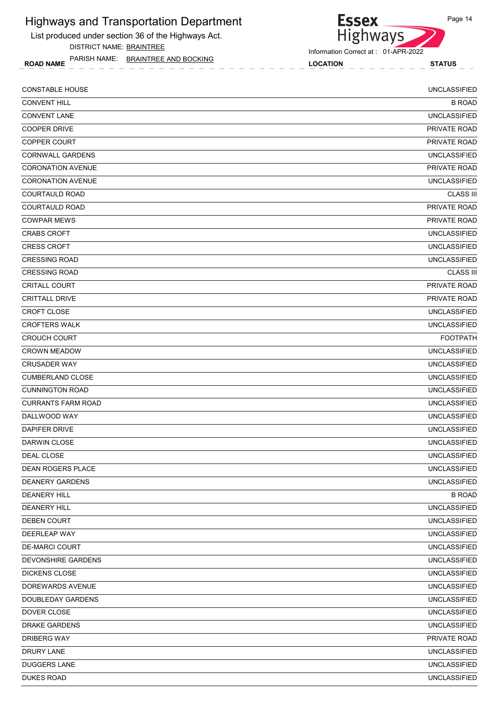List produced under section 36 of the Highways Act. DISTRICT NAME: BRAINTREE

ROAD NAME LOCATION STATUS PARISH NAME: BRAINTREE AND BOCKING

Highways Information Correct at : 01-APR-2022

**Essex** 

| <b>CONSTABLE HOUSE</b>    | <b>UNCLASSIFIED</b> |
|---------------------------|---------------------|
| <b>CONVENT HILL</b>       | <b>B ROAD</b>       |
| <b>CONVENT LANE</b>       | <b>UNCLASSIFIED</b> |
| <b>COOPER DRIVE</b>       | PRIVATE ROAD        |
| <b>COPPER COURT</b>       | <b>PRIVATE ROAD</b> |
| <b>CORNWALL GARDENS</b>   | <b>UNCLASSIFIED</b> |
| <b>CORONATION AVENUE</b>  | <b>PRIVATE ROAD</b> |
| <b>CORONATION AVENUE</b>  | <b>UNCLASSIFIED</b> |
| <b>COURTAULD ROAD</b>     | <b>CLASS III</b>    |
| <b>COURTAULD ROAD</b>     | <b>PRIVATE ROAD</b> |
| <b>COWPAR MEWS</b>        | <b>PRIVATE ROAD</b> |
| <b>CRABS CROFT</b>        | <b>UNCLASSIFIED</b> |
| <b>CRESS CROFT</b>        | <b>UNCLASSIFIED</b> |
| <b>CRESSING ROAD</b>      | <b>UNCLASSIFIED</b> |
| <b>CRESSING ROAD</b>      | <b>CLASS III</b>    |
| <b>CRITALL COURT</b>      | PRIVATE ROAD        |
| <b>CRITTALL DRIVE</b>     | <b>PRIVATE ROAD</b> |
| <b>CROFT CLOSE</b>        | <b>UNCLASSIFIED</b> |
| <b>CROFTERS WALK</b>      | <b>UNCLASSIFIED</b> |
| <b>CROUCH COURT</b>       | <b>FOOTPATH</b>     |
| <b>CROWN MEADOW</b>       | <b>UNCLASSIFIED</b> |
| <b>CRUSADER WAY</b>       | <b>UNCLASSIFIED</b> |
| <b>CUMBERLAND CLOSE</b>   | <b>UNCLASSIFIED</b> |
| <b>CUNNINGTON ROAD</b>    | <b>UNCLASSIFIED</b> |
| <b>CURRANTS FARM ROAD</b> | <b>UNCLASSIFIED</b> |
| DALLWOOD WAY              | <b>UNCLASSIFIED</b> |
| <b>DAPIFER DRIVE</b>      | <b>UNCLASSIFIED</b> |
| DARWIN CLOSE              | <b>UNCLASSIFIED</b> |
| DEAL CLOSE                | <b>UNCLASSIFIED</b> |
| <b>DEAN ROGERS PLACE</b>  | <b>UNCLASSIFIED</b> |
| <b>DEANERY GARDENS</b>    | <b>UNCLASSIFIED</b> |
| <b>DEANERY HILL</b>       | <b>B ROAD</b>       |
| <b>DEANERY HILL</b>       | <b>UNCLASSIFIED</b> |
| DEBEN COURT               | <b>UNCLASSIFIED</b> |
| DEERLEAP WAY              | <b>UNCLASSIFIED</b> |
| <b>DE-MARCI COURT</b>     | UNCLASSIFIED        |
| <b>DEVONSHIRE GARDENS</b> | <b>UNCLASSIFIED</b> |
| <b>DICKENS CLOSE</b>      | <b>UNCLASSIFIED</b> |
| DOREWARDS AVENUE          | <b>UNCLASSIFIED</b> |
| DOUBLEDAY GARDENS         | <b>UNCLASSIFIED</b> |
| DOVER CLOSE               | UNCLASSIFIED        |
| DRAKE GARDENS             | <b>UNCLASSIFIED</b> |
| DRIBERG WAY               | PRIVATE ROAD        |
| DRURY LANE                | <b>UNCLASSIFIED</b> |
| DUGGERS LANE              | <b>UNCLASSIFIED</b> |
| <b>DUKES ROAD</b>         | <b>UNCLASSIFIED</b> |
|                           |                     |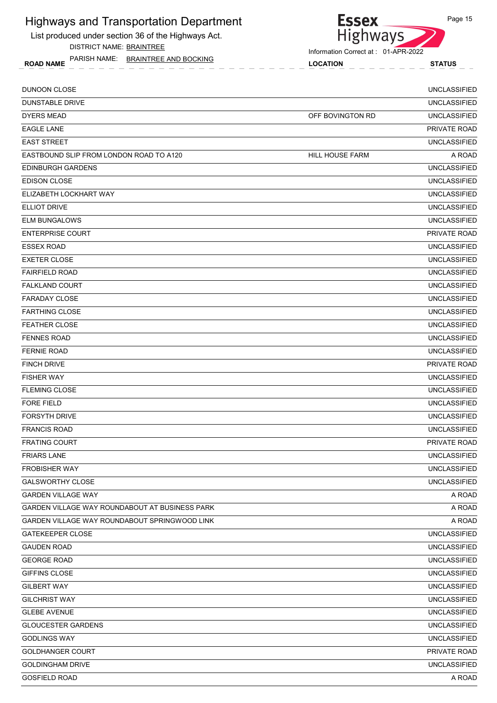List produced under section 36 of the Highways Act. DISTRICT NAME: BRAINTREE





**Essex** 

| <b>DUNOON CLOSE</b>                            |                  | <b>UNCLASSIFIED</b> |
|------------------------------------------------|------------------|---------------------|
| <b>DUNSTABLE DRIVE</b>                         |                  | <b>UNCLASSIFIED</b> |
| <b>DYERS MEAD</b>                              | OFF BOVINGTON RD | <b>UNCLASSIFIED</b> |
| <b>EAGLE LANE</b>                              |                  | PRIVATE ROAD        |
| <b>EAST STREET</b>                             |                  | <b>UNCLASSIFIED</b> |
| EASTBOUND SLIP FROM LONDON ROAD TO A120        | HILL HOUSE FARM  | A ROAD              |
| <b>EDINBURGH GARDENS</b>                       |                  | <b>UNCLASSIFIED</b> |
| <b>EDISON CLOSE</b>                            |                  | <b>UNCLASSIFIED</b> |
| ELIZABETH LOCKHART WAY                         |                  | <b>UNCLASSIFIED</b> |
| <b>ELLIOT DRIVE</b>                            |                  | <b>UNCLASSIFIED</b> |
| <b>ELM BUNGALOWS</b>                           |                  | <b>UNCLASSIFIED</b> |
| <b>ENTERPRISE COURT</b>                        |                  | PRIVATE ROAD        |
| <b>ESSEX ROAD</b>                              |                  | <b>UNCLASSIFIED</b> |
| <b>EXETER CLOSE</b>                            |                  | <b>UNCLASSIFIED</b> |
| <b>FAIRFIELD ROAD</b>                          |                  | <b>UNCLASSIFIED</b> |
| <b>FALKLAND COURT</b>                          |                  | <b>UNCLASSIFIED</b> |
| <b>FARADAY CLOSE</b>                           |                  | <b>UNCLASSIFIED</b> |
| <b>FARTHING CLOSE</b>                          |                  | <b>UNCLASSIFIED</b> |
| <b>FEATHER CLOSE</b>                           |                  | <b>UNCLASSIFIED</b> |
| <b>FENNES ROAD</b>                             |                  | <b>UNCLASSIFIED</b> |
| <b>FERNIE ROAD</b>                             |                  | <b>UNCLASSIFIED</b> |
| <b>FINCH DRIVE</b>                             |                  | PRIVATE ROAD        |
| <b>FISHER WAY</b>                              |                  | <b>UNCLASSIFIED</b> |
| <b>FLEMING CLOSE</b>                           |                  | <b>UNCLASSIFIED</b> |
| <b>FORE FIELD</b>                              |                  | <b>UNCLASSIFIED</b> |
| <b>FORSYTH DRIVE</b>                           |                  | <b>UNCLASSIFIED</b> |
| <b>FRANCIS ROAD</b>                            |                  | <b>UNCLASSIFIED</b> |
| <b>FRATING COURT</b>                           |                  | PRIVATE ROAD        |
| <b>FRIARS LANE</b>                             |                  | <b>UNCLASSIFIED</b> |
| <b>FROBISHER WAY</b>                           |                  | <b>UNCLASSIFIED</b> |
| <b>GALSWORTHY CLOSE</b>                        |                  | <b>UNCLASSIFIED</b> |
| <b>GARDEN VILLAGE WAY</b>                      |                  | A ROAD              |
| GARDEN VILLAGE WAY ROUNDABOUT AT BUSINESS PARK |                  | A ROAD              |
| GARDEN VILLAGE WAY ROUNDABOUT SPRINGWOOD LINK  |                  | A ROAD              |
| <b>GATEKEEPER CLOSE</b>                        |                  | <b>UNCLASSIFIED</b> |
| <b>GAUDEN ROAD</b>                             |                  | <b>UNCLASSIFIED</b> |
| <b>GEORGE ROAD</b>                             |                  | <b>UNCLASSIFIED</b> |
| GIFFINS CLOSE                                  |                  | <b>UNCLASSIFIED</b> |
| <b>GILBERT WAY</b>                             |                  | <b>UNCLASSIFIED</b> |
| <b>GILCHRIST WAY</b>                           |                  | <b>UNCLASSIFIED</b> |
| <b>GLEBE AVENUE</b>                            |                  | <b>UNCLASSIFIED</b> |
| <b>GLOUCESTER GARDENS</b>                      |                  | <b>UNCLASSIFIED</b> |
| <b>GODLINGS WAY</b>                            |                  | <b>UNCLASSIFIED</b> |
| <b>GOLDHANGER COURT</b>                        |                  | PRIVATE ROAD        |
| <b>GOLDINGHAM DRIVE</b>                        |                  | <b>UNCLASSIFIED</b> |
| <b>GOSFIELD ROAD</b>                           |                  | A ROAD              |
|                                                |                  |                     |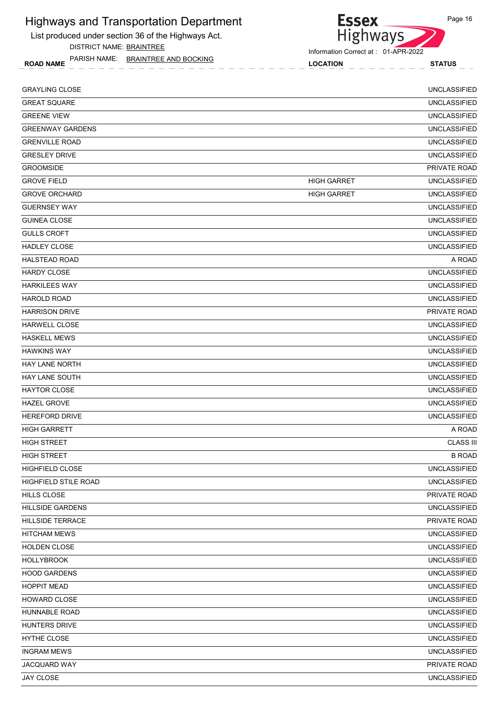List produced under section 36 of the Highways Act. DISTRICT NAME: BRAINTREE

ROAD NAME LOCATION STATUS PARISH NAME: BRAINTREE AND BOCKING

Information Correct at : 01-APR-2022

**Essex** 

| <b>GRAYLING CLOSE</b>   |                    | <b>UNCLASSIFIED</b> |
|-------------------------|--------------------|---------------------|
| <b>GREAT SQUARE</b>     |                    | <b>UNCLASSIFIED</b> |
| <b>GREENE VIEW</b>      |                    | <b>UNCLASSIFIED</b> |
| <b>GREENWAY GARDENS</b> |                    | <b>UNCLASSIFIED</b> |
| <b>GRENVILLE ROAD</b>   |                    | <b>UNCLASSIFIED</b> |
| <b>GRESLEY DRIVE</b>    |                    | <b>UNCLASSIFIED</b> |
| <b>GROOMSIDE</b>        |                    | PRIVATE ROAD        |
| <b>GROVE FIELD</b>      | <b>HIGH GARRET</b> | <b>UNCLASSIFIED</b> |
| <b>GROVE ORCHARD</b>    | <b>HIGH GARRET</b> | <b>UNCLASSIFIED</b> |
| <b>GUERNSEY WAY</b>     |                    | <b>UNCLASSIFIED</b> |
| <b>GUINEA CLOSE</b>     |                    | <b>UNCLASSIFIED</b> |
| <b>GULLS CROFT</b>      |                    | <b>UNCLASSIFIED</b> |
| <b>HADLEY CLOSE</b>     |                    | <b>UNCLASSIFIED</b> |
| <b>HALSTEAD ROAD</b>    |                    | A ROAD              |
| <b>HARDY CLOSE</b>      |                    | <b>UNCLASSIFIED</b> |
| <b>HARKILEES WAY</b>    |                    | <b>UNCLASSIFIED</b> |
| <b>HAROLD ROAD</b>      |                    | <b>UNCLASSIFIED</b> |
| <b>HARRISON DRIVE</b>   |                    | PRIVATE ROAD        |
| <b>HARWELL CLOSE</b>    |                    | <b>UNCLASSIFIED</b> |
| <b>HASKELL MEWS</b>     |                    | <b>UNCLASSIFIED</b> |
| <b>HAWKINS WAY</b>      |                    | <b>UNCLASSIFIED</b> |
| HAY LANE NORTH          |                    | <b>UNCLASSIFIED</b> |
| <b>HAY LANE SOUTH</b>   |                    | <b>UNCLASSIFIED</b> |
| <b>HAYTOR CLOSE</b>     |                    | <b>UNCLASSIFIED</b> |
| <b>HAZEL GROVE</b>      |                    | <b>UNCLASSIFIED</b> |
| <b>HEREFORD DRIVE</b>   |                    | <b>UNCLASSIFIED</b> |
| <b>HIGH GARRETT</b>     |                    | A ROAD              |
| <b>HIGH STREET</b>      |                    | <b>CLASS III</b>    |
| <b>HIGH STREET</b>      |                    | <b>B ROAD</b>       |
| <b>HIGHFIELD CLOSE</b>  |                    | <b>UNCLASSIFIED</b> |
| HIGHFIELD STILE ROAD    |                    | <b>UNCLASSIFIED</b> |
| <b>HILLS CLOSE</b>      |                    | PRIVATE ROAD        |
| <b>HILLSIDE GARDENS</b> |                    | <b>UNCLASSIFIED</b> |
| HILLSIDE TERRACE        |                    | PRIVATE ROAD        |
| <b>HITCHAM MEWS</b>     |                    | <b>UNCLASSIFIED</b> |
| <b>HOLDEN CLOSE</b>     |                    | <b>UNCLASSIFIED</b> |
| <b>HOLLYBROOK</b>       |                    | <b>UNCLASSIFIED</b> |
| <b>HOOD GARDENS</b>     |                    | <b>UNCLASSIFIED</b> |
| <b>HOPPIT MEAD</b>      |                    | <b>UNCLASSIFIED</b> |
| HOWARD CLOSE            |                    | <b>UNCLASSIFIED</b> |
| HUNNABLE ROAD           |                    | <b>UNCLASSIFIED</b> |
| HUNTERS DRIVE           |                    | <b>UNCLASSIFIED</b> |
| HYTHE CLOSE             |                    | <b>UNCLASSIFIED</b> |
| <b>INGRAM MEWS</b>      |                    | <b>UNCLASSIFIED</b> |
| JACQUARD WAY            |                    | PRIVATE ROAD        |
| JAY CLOSE               |                    | <b>UNCLASSIFIED</b> |
|                         |                    |                     |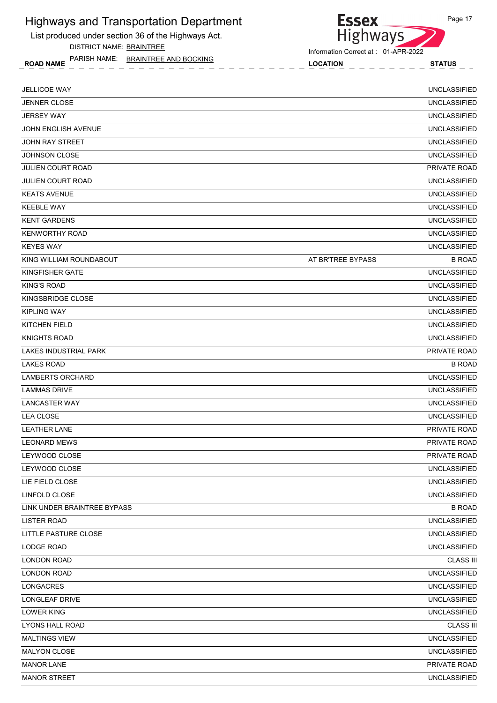List produced under section 36 of the Highways Act. DISTRICT NAME: BRAINTREE



ROAD NAME LOCATION STATUS PARISH NAME: BRAINTREE AND BOCKING

| <b>JELLICOE WAY</b>          |                   | <b>UNCLASSIFIED</b> |
|------------------------------|-------------------|---------------------|
| <b>JENNER CLOSE</b>          |                   | <b>UNCLASSIFIED</b> |
| <b>JERSEY WAY</b>            |                   | <b>UNCLASSIFIED</b> |
| <b>JOHN ENGLISH AVENUE</b>   |                   | <b>UNCLASSIFIED</b> |
| JOHN RAY STREET              |                   | <b>UNCLASSIFIED</b> |
| <b>JOHNSON CLOSE</b>         |                   | <b>UNCLASSIFIED</b> |
| <b>JULIEN COURT ROAD</b>     |                   | PRIVATE ROAD        |
| <b>JULIEN COURT ROAD</b>     |                   | <b>UNCLASSIFIED</b> |
| <b>KEATS AVENUE</b>          |                   | <b>UNCLASSIFIED</b> |
| <b>KEEBLE WAY</b>            |                   | <b>UNCLASSIFIED</b> |
| <b>KENT GARDENS</b>          |                   | <b>UNCLASSIFIED</b> |
| <b>KENWORTHY ROAD</b>        |                   | <b>UNCLASSIFIED</b> |
| <b>KEYES WAY</b>             |                   | <b>UNCLASSIFIED</b> |
| KING WILLIAM ROUNDABOUT      | AT BR'TREE BYPASS | <b>B ROAD</b>       |
| KINGFISHER GATE              |                   | <b>UNCLASSIFIED</b> |
| <b>KING'S ROAD</b>           |                   | <b>UNCLASSIFIED</b> |
| KINGSBRIDGE CLOSE            |                   | <b>UNCLASSIFIED</b> |
| <b>KIPLING WAY</b>           |                   | <b>UNCLASSIFIED</b> |
| KITCHEN FIELD                |                   | <b>UNCLASSIFIED</b> |
| <b>KNIGHTS ROAD</b>          |                   | <b>UNCLASSIFIED</b> |
| <b>LAKES INDUSTRIAL PARK</b> |                   | PRIVATE ROAD        |
| <b>LAKES ROAD</b>            |                   | <b>B ROAD</b>       |
| <b>LAMBERTS ORCHARD</b>      |                   | <b>UNCLASSIFIED</b> |
| <b>LAMMAS DRIVE</b>          |                   | <b>UNCLASSIFIED</b> |
| <b>LANCASTER WAY</b>         |                   | <b>UNCLASSIFIED</b> |
| <b>LEA CLOSE</b>             |                   | <b>UNCLASSIFIED</b> |
| <b>LEATHER LANE</b>          |                   | PRIVATE ROAD        |
| <b>LEONARD MEWS</b>          |                   | PRIVATE ROAD        |
| LEYWOOD CLOSE                |                   | PRIVATE ROAD        |
| LEYWOOD CLOSE                |                   | <b>UNCLASSIFIED</b> |
| LIE FIELD CLOSE              |                   | <b>UNCLASSIFIED</b> |
| LINFOLD CLOSE                |                   | <b>UNCLASSIFIED</b> |
| LINK UNDER BRAINTREE BYPASS  |                   | <b>B ROAD</b>       |
| <b>LISTER ROAD</b>           |                   | <b>UNCLASSIFIED</b> |
| LITTLE PASTURE CLOSE         |                   | UNCLASSIFIED        |
| LODGE ROAD                   |                   | <b>UNCLASSIFIED</b> |
| LONDON ROAD                  |                   | <b>CLASS III</b>    |
| <b>LONDON ROAD</b>           |                   | <b>UNCLASSIFIED</b> |
| <b>LONGACRES</b>             |                   | <b>UNCLASSIFIED</b> |
| LONGLEAF DRIVE               |                   | <b>UNCLASSIFIED</b> |
| <b>LOWER KING</b>            |                   | <b>UNCLASSIFIED</b> |
| LYONS HALL ROAD              |                   | <b>CLASS III</b>    |
| <b>MALTINGS VIEW</b>         |                   | <b>UNCLASSIFIED</b> |
| MALYON CLOSE                 |                   | <b>UNCLASSIFIED</b> |
| <b>MANOR LANE</b>            |                   | PRIVATE ROAD        |
| <b>MANOR STREET</b>          |                   | <b>UNCLASSIFIED</b> |
|                              |                   |                     |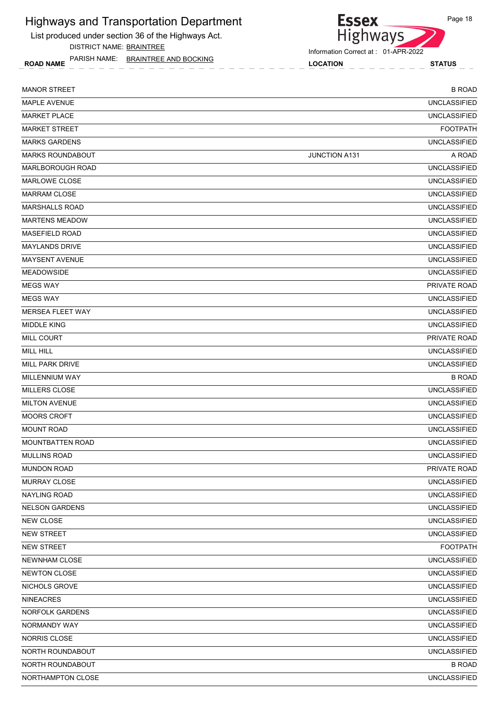List produced under section 36 of the Highways Act. DISTRICT NAME: BRAINTREE

ROAD NAME LOCATION STATUS PARISH NAME: BRAINTREE AND BOCKING



| <b>MANOR STREET</b>     |                      | <b>B ROAD</b>       |
|-------------------------|----------------------|---------------------|
| MAPLE AVENUE            |                      | <b>UNCLASSIFIED</b> |
| <b>MARKET PLACE</b>     |                      | <b>UNCLASSIFIED</b> |
| <b>MARKET STREET</b>    |                      | <b>FOOTPATH</b>     |
| <b>MARKS GARDENS</b>    |                      | <b>UNCLASSIFIED</b> |
| <b>MARKS ROUNDABOUT</b> | <b>JUNCTION A131</b> | A ROAD              |
| <b>MARLBOROUGH ROAD</b> |                      | <b>UNCLASSIFIED</b> |
| <b>MARLOWE CLOSE</b>    |                      | <b>UNCLASSIFIED</b> |
| <b>MARRAM CLOSE</b>     |                      | <b>UNCLASSIFIED</b> |
| <b>MARSHALLS ROAD</b>   |                      | <b>UNCLASSIFIED</b> |
| <b>MARTENS MEADOW</b>   |                      | <b>UNCLASSIFIED</b> |
| <b>MASEFIELD ROAD</b>   |                      | <b>UNCLASSIFIED</b> |
| <b>MAYLANDS DRIVE</b>   |                      | <b>UNCLASSIFIED</b> |
| <b>MAYSENT AVENUE</b>   |                      | <b>UNCLASSIFIED</b> |
| <b>MEADOWSIDE</b>       |                      | <b>UNCLASSIFIED</b> |
| <b>MEGS WAY</b>         |                      | PRIVATE ROAD        |
| <b>MEGS WAY</b>         |                      | <b>UNCLASSIFIED</b> |
| <b>MERSEA FLEET WAY</b> |                      | <b>UNCLASSIFIED</b> |
| <b>MIDDLE KING</b>      |                      | <b>UNCLASSIFIED</b> |
| <b>MILL COURT</b>       |                      | <b>PRIVATE ROAD</b> |
| <b>MILL HILL</b>        |                      | <b>UNCLASSIFIED</b> |
| MILL PARK DRIVE         |                      | <b>UNCLASSIFIED</b> |
| MILLENNIUM WAY          |                      | <b>B ROAD</b>       |
| <b>MILLERS CLOSE</b>    |                      | <b>UNCLASSIFIED</b> |
| <b>MILTON AVENUE</b>    |                      | <b>UNCLASSIFIED</b> |
| <b>MOORS CROFT</b>      |                      | <b>UNCLASSIFIED</b> |
| <b>MOUNT ROAD</b>       |                      | <b>UNCLASSIFIED</b> |
| <b>MOUNTBATTEN ROAD</b> |                      | <b>UNCLASSIFIED</b> |
| <b>MULLINS ROAD</b>     |                      | <b>UNCLASSIFIED</b> |
| <b>MUNDON ROAD</b>      |                      | PRIVATE ROAD        |
| MURRAY CLOSE            |                      | <b>UNCLASSIFIED</b> |
| <b>NAYLING ROAD</b>     |                      | <b>UNCLASSIFIED</b> |
| <b>NELSON GARDENS</b>   |                      | <b>UNCLASSIFIED</b> |
| <b>NEW CLOSE</b>        |                      | <b>UNCLASSIFIED</b> |
| <b>NEW STREET</b>       |                      | <b>UNCLASSIFIED</b> |
| <b>NEW STREET</b>       |                      | <b>FOOTPATH</b>     |
| NEWNHAM CLOSE           |                      | <b>UNCLASSIFIED</b> |
| NEWTON CLOSE            |                      | <b>UNCLASSIFIED</b> |
| NICHOLS GROVE           |                      | <b>UNCLASSIFIED</b> |
| <b>NINEACRES</b>        |                      | <b>UNCLASSIFIED</b> |
| NORFOLK GARDENS         |                      | <b>UNCLASSIFIED</b> |
| NORMANDY WAY            |                      | <b>UNCLASSIFIED</b> |
| NORRIS CLOSE            |                      | <b>UNCLASSIFIED</b> |
| NORTH ROUNDABOUT        |                      | <b>UNCLASSIFIED</b> |
| NORTH ROUNDABOUT        |                      | <b>B ROAD</b>       |
| NORTHAMPTON CLOSE       |                      | <b>UNCLASSIFIED</b> |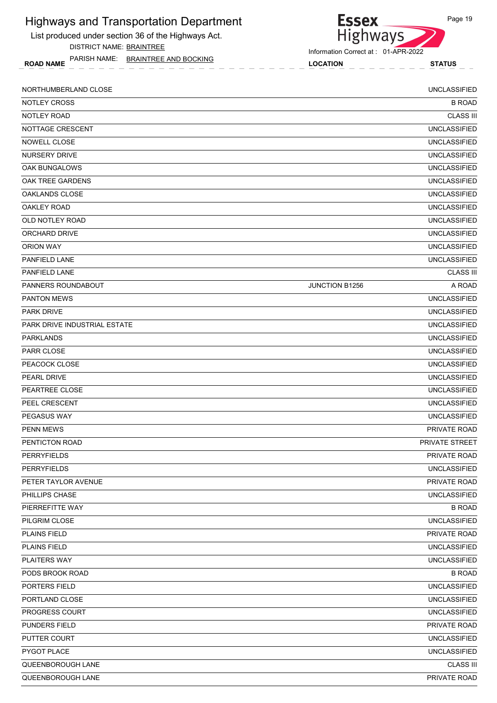| <b>Highways and Transportation Department</b><br>List produced under section 36 of the Highways Act. | <b>Essex</b><br><b>Highways</b>     | Page 19               |
|------------------------------------------------------------------------------------------------------|-------------------------------------|-----------------------|
| DISTRICT NAME: BRAINTREE                                                                             | Information Correct at: 01-APR-2022 |                       |
| PARISH NAME: BRAINTREE AND BOCKING<br><b>ROAD NAME</b>                                               | <b>LOCATION</b>                     | <b>STATUS</b>         |
| NORTHUMBERLAND CLOSE                                                                                 |                                     | <b>UNCLASSIFIED</b>   |
| <b>NOTLEY CROSS</b>                                                                                  |                                     | <b>B ROAD</b>         |
| NOTLEY ROAD                                                                                          |                                     | <b>CLASS III</b>      |
| NOTTAGE CRESCENT                                                                                     |                                     | <b>UNCLASSIFIED</b>   |
| NOWELL CLOSE                                                                                         |                                     | <b>UNCLASSIFIED</b>   |
| <b>NURSERY DRIVE</b>                                                                                 |                                     | <b>UNCLASSIFIED</b>   |
| OAK BUNGALOWS                                                                                        |                                     | <b>UNCLASSIFIED</b>   |
| OAK TREE GARDENS                                                                                     |                                     | <b>UNCLASSIFIED</b>   |
| OAKLANDS CLOSE                                                                                       |                                     | <b>UNCLASSIFIED</b>   |
| <b>OAKLEY ROAD</b>                                                                                   |                                     | <b>UNCLASSIFIED</b>   |
| OLD NOTLEY ROAD                                                                                      |                                     | <b>UNCLASSIFIED</b>   |
| ORCHARD DRIVE                                                                                        |                                     | <b>UNCLASSIFIED</b>   |
| <b>ORION WAY</b>                                                                                     |                                     | <b>UNCLASSIFIED</b>   |
| PANFIELD LANE                                                                                        |                                     | <b>UNCLASSIFIED</b>   |
| PANFIELD LANE                                                                                        |                                     | <b>CLASS III</b>      |
| PANNERS ROUNDABOUT                                                                                   | JUNCTION B1256                      | A ROAD                |
| <b>PANTON MEWS</b>                                                                                   |                                     | <b>UNCLASSIFIED</b>   |
| <b>PARK DRIVE</b>                                                                                    |                                     | <b>UNCLASSIFIED</b>   |
| PARK DRIVE INDUSTRIAL ESTATE                                                                         |                                     | <b>UNCLASSIFIED</b>   |
| <b>PARKLANDS</b>                                                                                     |                                     | <b>UNCLASSIFIED</b>   |
| PARR CLOSE                                                                                           |                                     | <b>UNCLASSIFIED</b>   |
| PEACOCK CLOSE                                                                                        |                                     | <b>UNCLASSIFIED</b>   |
| PEARL DRIVE                                                                                          |                                     | <b>UNCLASSIFIED</b>   |
| PEARTREE CLOSE                                                                                       |                                     | <b>UNCLASSIFIED</b>   |
| PEEL CRESCENT                                                                                        |                                     | <b>UNCLASSIFIED</b>   |
| PEGASUS WAY                                                                                          |                                     | <b>UNCLASSIFIED</b>   |
| <b>PENN MEWS</b>                                                                                     |                                     | PRIVATE ROAD          |
| PENTICTON ROAD                                                                                       |                                     | <b>PRIVATE STREET</b> |
| <b>PERRYFIELDS</b>                                                                                   |                                     | PRIVATE ROAD          |
| <b>PERRYFIELDS</b>                                                                                   |                                     | <b>UNCLASSIFIED</b>   |
| PETER TAYLOR AVENUE                                                                                  |                                     | PRIVATE ROAD          |
| PHILLIPS CHASE                                                                                       |                                     | <b>UNCLASSIFIED</b>   |
| PIERREFITTE WAY                                                                                      |                                     | <b>B ROAD</b>         |
| PILGRIM CLOSE                                                                                        |                                     | <b>UNCLASSIFIED</b>   |
| <b>PLAINS FIELD</b>                                                                                  |                                     | PRIVATE ROAD          |
| <b>PLAINS FIELD</b>                                                                                  |                                     | <b>UNCLASSIFIED</b>   |
| PLAITERS WAY                                                                                         |                                     | <b>UNCLASSIFIED</b>   |
| PODS BROOK ROAD                                                                                      |                                     | <b>B ROAD</b>         |
| PORTERS FIELD                                                                                        |                                     | <b>UNCLASSIFIED</b>   |
| PORTLAND CLOSE                                                                                       |                                     | <b>UNCLASSIFIED</b>   |
| <b>PROGRESS COURT</b>                                                                                |                                     | <b>UNCLASSIFIED</b>   |
| PUNDERS FIELD                                                                                        |                                     | PRIVATE ROAD          |
| PUTTER COURT                                                                                         |                                     | <b>UNCLASSIFIED</b>   |
| PYGOT PLACE                                                                                          |                                     | <b>UNCLASSIFIED</b>   |

QUEENBOROUGH LANE CLASS III QUEENBOROUGH LANE **EXECUTE A SECOND TEST OF A SECOND PRIVATE ROAD** PRIVATE ROAD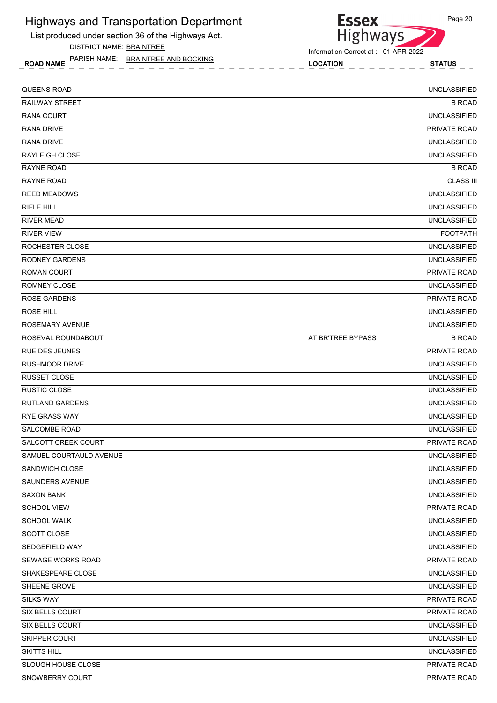List produced under section 36 of the Highways Act. DISTRICT NAME: BRAINTREE

ROAD NAME LOCATION STATUS PARISH NAME: BRAINTREE AND BOCKING

Highways

**Essex** 

| QUEENS ROAD             |                   | <b>UNCLASSIFIED</b> |
|-------------------------|-------------------|---------------------|
| <b>RAILWAY STREET</b>   |                   | <b>B ROAD</b>       |
| <b>RANA COURT</b>       |                   | <b>UNCLASSIFIED</b> |
| <b>RANA DRIVE</b>       |                   | PRIVATE ROAD        |
| <b>RANA DRIVE</b>       |                   | <b>UNCLASSIFIED</b> |
| <b>RAYLEIGH CLOSE</b>   |                   | <b>UNCLASSIFIED</b> |
| <b>RAYNE ROAD</b>       |                   | <b>B ROAD</b>       |
| <b>RAYNE ROAD</b>       |                   | <b>CLASS III</b>    |
| <b>REED MEADOWS</b>     |                   | <b>UNCLASSIFIED</b> |
| <b>RIFLE HILL</b>       |                   | <b>UNCLASSIFIED</b> |
| <b>RIVER MEAD</b>       |                   | <b>UNCLASSIFIED</b> |
| <b>RIVER VIEW</b>       |                   | <b>FOOTPATH</b>     |
| ROCHESTER CLOSE         |                   | <b>UNCLASSIFIED</b> |
| <b>RODNEY GARDENS</b>   |                   | <b>UNCLASSIFIED</b> |
| <b>ROMAN COURT</b>      |                   | <b>PRIVATE ROAD</b> |
| ROMNEY CLOSE            |                   | <b>UNCLASSIFIED</b> |
| <b>ROSE GARDENS</b>     |                   | PRIVATE ROAD        |
| ROSE HILL               |                   | <b>UNCLASSIFIED</b> |
| ROSEMARY AVENUE         |                   | <b>UNCLASSIFIED</b> |
| ROSEVAL ROUNDABOUT      | AT BR'TREE BYPASS | <b>B ROAD</b>       |
| <b>RUE DES JEUNES</b>   |                   | PRIVATE ROAD        |
| <b>RUSHMOOR DRIVE</b>   |                   | <b>UNCLASSIFIED</b> |
| <b>RUSSET CLOSE</b>     |                   | <b>UNCLASSIFIED</b> |
| <b>RUSTIC CLOSE</b>     |                   | <b>UNCLASSIFIED</b> |
| <b>RUTLAND GARDENS</b>  |                   | <b>UNCLASSIFIED</b> |
| <b>RYE GRASS WAY</b>    |                   | <b>UNCLASSIFIED</b> |
| SALCOMBE ROAD           |                   | <b>UNCLASSIFIED</b> |
| SALCOTT CREEK COURT     |                   | PRIVATE ROAD        |
| SAMUEL COURTAULD AVENUE |                   | <b>UNCLASSIFIED</b> |
| SANDWICH CLOSE          |                   | <b>UNCLASSIFIED</b> |
| <b>SAUNDERS AVENUE</b>  |                   | <b>UNCLASSIFIED</b> |
| <b>SAXON BANK</b>       |                   | <b>UNCLASSIFIED</b> |
| <b>SCHOOL VIEW</b>      |                   | PRIVATE ROAD        |
| <b>SCHOOL WALK</b>      |                   | <b>UNCLASSIFIED</b> |
| SCOTT CLOSE             |                   | <b>UNCLASSIFIED</b> |
| SEDGEFIELD WAY          |                   | <b>UNCLASSIFIED</b> |
| SEWAGE WORKS ROAD       |                   | PRIVATE ROAD        |
| SHAKESPEARE CLOSE       |                   | <b>UNCLASSIFIED</b> |
| SHEENE GROVE            |                   | <b>UNCLASSIFIED</b> |
| <b>SILKS WAY</b>        |                   | PRIVATE ROAD        |
| <b>SIX BELLS COURT</b>  |                   | PRIVATE ROAD        |
| SIX BELLS COURT         |                   | <b>UNCLASSIFIED</b> |
| SKIPPER COURT           |                   | <b>UNCLASSIFIED</b> |
| SKITTS HILL             |                   | <b>UNCLASSIFIED</b> |
| SLOUGH HOUSE CLOSE      |                   | PRIVATE ROAD        |
| SNOWBERRY COURT         |                   | PRIVATE ROAD        |
|                         |                   |                     |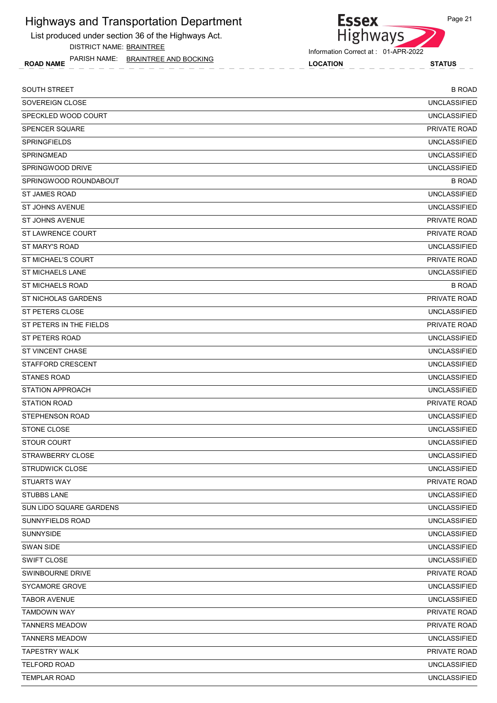List produced under section 36 of the Highways Act. DISTRICT NAME: BRAINTREE

ROAD NAME LOCATION STATUS PARISH NAME: BRAINTREE AND BOCKING

#### Information Correct at : 01-APR-2022

Highways

**Essex** 

| <b>SOUTH STREET</b>      | <b>B ROAD</b>       |
|--------------------------|---------------------|
| SOVEREIGN CLOSE          | <b>UNCLASSIFIED</b> |
| SPECKLED WOOD COURT      | <b>UNCLASSIFIED</b> |
| <b>SPENCER SQUARE</b>    | PRIVATE ROAD        |
| <b>SPRINGFIELDS</b>      | <b>UNCLASSIFIED</b> |
| <b>SPRINGMEAD</b>        | <b>UNCLASSIFIED</b> |
| SPRINGWOOD DRIVE         | <b>UNCLASSIFIED</b> |
| SPRINGWOOD ROUNDABOUT    | <b>B ROAD</b>       |
| ST JAMES ROAD            | <b>UNCLASSIFIED</b> |
| <b>ST JOHNS AVENUE</b>   | <b>UNCLASSIFIED</b> |
| ST JOHNS AVENUE          | PRIVATE ROAD        |
| <b>ST LAWRENCE COURT</b> | PRIVATE ROAD        |
| ST MARY'S ROAD           | <b>UNCLASSIFIED</b> |
| ST MICHAEL'S COURT       | <b>PRIVATE ROAD</b> |
| <b>ST MICHAELS LANE</b>  | <b>UNCLASSIFIED</b> |
| <b>ST MICHAELS ROAD</b>  | <b>B ROAD</b>       |
| ST NICHOLAS GARDENS      | PRIVATE ROAD        |
| ST PETERS CLOSE          | <b>UNCLASSIFIED</b> |
| ST PETERS IN THE FIELDS  | <b>PRIVATE ROAD</b> |
| ST PETERS ROAD           | <b>UNCLASSIFIED</b> |
| ST VINCENT CHASE         | <b>UNCLASSIFIED</b> |
| <b>STAFFORD CRESCENT</b> | <b>UNCLASSIFIED</b> |
| <b>STANES ROAD</b>       | <b>UNCLASSIFIED</b> |
| <b>STATION APPROACH</b>  | <b>UNCLASSIFIED</b> |
| <b>STATION ROAD</b>      | PRIVATE ROAD        |
| STEPHENSON ROAD          | <b>UNCLASSIFIED</b> |
| <b>STONE CLOSE</b>       | <b>UNCLASSIFIED</b> |
| <b>STOUR COURT</b>       | <b>UNCLASSIFIED</b> |
| STRAWBERRY CLOSE         | <b>UNCLASSIFIED</b> |
| STRUDWICK CLOSE          | <b>UNCLASSIFIED</b> |
| STUARTS WAY              | PRIVATE ROAD        |
| STUBBS LANE              | <b>UNCLASSIFIED</b> |
| SUN LIDO SQUARE GARDENS  | <b>UNCLASSIFIED</b> |
| SUNNYFIELDS ROAD         | <b>UNCLASSIFIED</b> |
| SUNNYSIDE                | <b>UNCLASSIFIED</b> |
| <b>SWAN SIDE</b>         | <b>UNCLASSIFIED</b> |
| SWIFT CLOSE              | <b>UNCLASSIFIED</b> |
| SWINBOURNE DRIVE         | PRIVATE ROAD        |
| SYCAMORE GROVE           | <b>UNCLASSIFIED</b> |
| <b>TABOR AVENUE</b>      | <b>UNCLASSIFIED</b> |
| <b>TAMDOWN WAY</b>       | PRIVATE ROAD        |
| <b>TANNERS MEADOW</b>    | PRIVATE ROAD        |
| <b>TANNERS MEADOW</b>    | <b>UNCLASSIFIED</b> |
| <b>TAPESTRY WALK</b>     | PRIVATE ROAD        |
| TELFORD ROAD             | <b>UNCLASSIFIED</b> |
| <b>TEMPLAR ROAD</b>      | <b>UNCLASSIFIED</b> |
|                          |                     |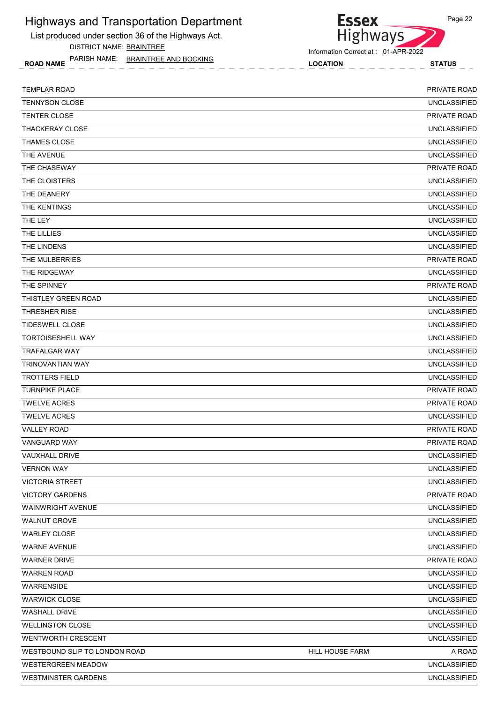List produced under section 36 of the Highways Act. DISTRICT NAME: BRAINTREE



Information Correct at : 01-APR-2022

ROAD NAME LOCATION STATUS PARISH NAME: BRAINTREE AND BOCKING

| <b>TEMPLAR ROAD</b>           |                 | PRIVATE ROAD        |
|-------------------------------|-----------------|---------------------|
| <b>TENNYSON CLOSE</b>         |                 | <b>UNCLASSIFIED</b> |
| <b>TENTER CLOSE</b>           |                 | PRIVATE ROAD        |
| <b>THACKERAY CLOSE</b>        |                 | <b>UNCLASSIFIED</b> |
| THAMES CLOSE                  |                 | <b>UNCLASSIFIED</b> |
| THE AVENUE                    |                 | <b>UNCLASSIFIED</b> |
| THE CHASEWAY                  |                 | PRIVATE ROAD        |
| THE CLOISTERS                 |                 | <b>UNCLASSIFIED</b> |
| THE DEANERY                   |                 | <b>UNCLASSIFIED</b> |
| THE KENTINGS                  |                 | <b>UNCLASSIFIED</b> |
| THE LEY                       |                 | <b>UNCLASSIFIED</b> |
| THE LILLIES                   |                 | <b>UNCLASSIFIED</b> |
| THE LINDENS                   |                 | <b>UNCLASSIFIED</b> |
| THE MULBERRIES                |                 | PRIVATE ROAD        |
| THE RIDGEWAY                  |                 | <b>UNCLASSIFIED</b> |
| THE SPINNEY                   |                 | PRIVATE ROAD        |
| THISTLEY GREEN ROAD           |                 | <b>UNCLASSIFIED</b> |
| <b>THRESHER RISE</b>          |                 | <b>UNCLASSIFIED</b> |
| <b>TIDESWELL CLOSE</b>        |                 | <b>UNCLASSIFIED</b> |
| <b>TORTOISESHELL WAY</b>      |                 | <b>UNCLASSIFIED</b> |
| <b>TRAFALGAR WAY</b>          |                 | <b>UNCLASSIFIED</b> |
| <b>TRINOVANTIAN WAY</b>       |                 | <b>UNCLASSIFIED</b> |
| <b>TROTTERS FIELD</b>         |                 | <b>UNCLASSIFIED</b> |
| <b>TURNPIKE PLACE</b>         |                 | PRIVATE ROAD        |
| <b>TWELVE ACRES</b>           |                 | PRIVATE ROAD        |
| <b>TWELVE ACRES</b>           |                 | <b>UNCLASSIFIED</b> |
| <b>VALLEY ROAD</b>            |                 | PRIVATE ROAD        |
| <b>VANGUARD WAY</b>           |                 | PRIVATE ROAD        |
| VAUXHALL DRIVE                |                 | <b>UNCLASSIFIED</b> |
| <b>VERNON WAY</b>             |                 | <b>UNCLASSIFIED</b> |
| <b>VICTORIA STREET</b>        |                 | <b>UNCLASSIFIED</b> |
| <b>VICTORY GARDENS</b>        |                 | PRIVATE ROAD        |
| WAINWRIGHT AVENUE             |                 | <b>UNCLASSIFIED</b> |
| <b>WALNUT GROVE</b>           |                 | <b>UNCLASSIFIED</b> |
| <b>WARLEY CLOSE</b>           |                 | <b>UNCLASSIFIED</b> |
| <b>WARNE AVENUE</b>           |                 | <b>UNCLASSIFIED</b> |
| <b>WARNER DRIVE</b>           |                 | PRIVATE ROAD        |
| <b>WARREN ROAD</b>            |                 | <b>UNCLASSIFIED</b> |
| <b>WARRENSIDE</b>             |                 | <b>UNCLASSIFIED</b> |
| <b>WARWICK CLOSE</b>          |                 | <b>UNCLASSIFIED</b> |
| <b>WASHALL DRIVE</b>          |                 | <b>UNCLASSIFIED</b> |
| <b>WELLINGTON CLOSE</b>       |                 | <b>UNCLASSIFIED</b> |
| <b>WENTWORTH CRESCENT</b>     |                 | <b>UNCLASSIFIED</b> |
| WESTBOUND SLIP TO LONDON ROAD | HILL HOUSE FARM | A ROAD              |
| <b>WESTERGREEN MEADOW</b>     |                 | <b>UNCLASSIFIED</b> |
| <b>WESTMINSTER GARDENS</b>    |                 | <b>UNCLASSIFIED</b> |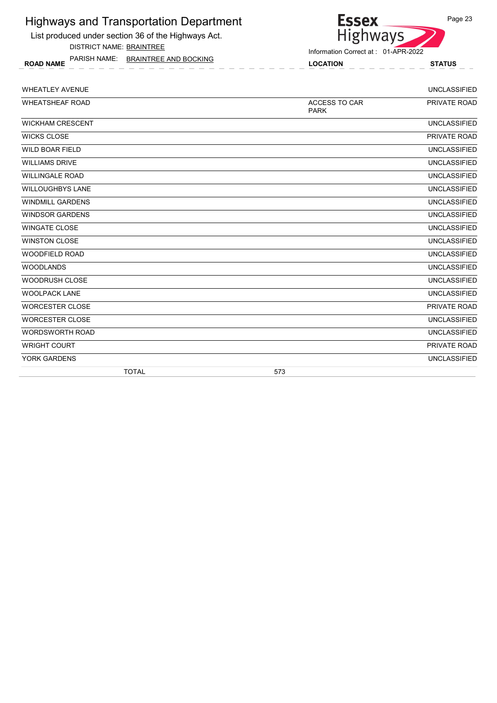List produced under section 36 of the Highways Act.

DISTRICT NAME: BRAINTREE

ROAD NAME LOCATION STATUS PARISH NAME: BRAINTREE AND BOCKING



| <b>WHEATLEY AVENUE</b>  |                                     | <b>UNCLASSIFIED</b> |
|-------------------------|-------------------------------------|---------------------|
| <b>WHEATSHEAF ROAD</b>  | <b>ACCESS TO CAR</b><br><b>PARK</b> | PRIVATE ROAD        |
| <b>WICKHAM CRESCENT</b> |                                     | <b>UNCLASSIFIED</b> |
| <b>WICKS CLOSE</b>      |                                     | PRIVATE ROAD        |
| <b>WILD BOAR FIELD</b>  |                                     | <b>UNCLASSIFIED</b> |
| <b>WILLIAMS DRIVE</b>   |                                     | <b>UNCLASSIFIED</b> |
| <b>WILLINGALE ROAD</b>  |                                     | <b>UNCLASSIFIED</b> |
| <b>WILLOUGHBYS LANE</b> |                                     | <b>UNCLASSIFIED</b> |
| <b>WINDMILL GARDENS</b> |                                     | <b>UNCLASSIFIED</b> |
| <b>WINDSOR GARDENS</b>  |                                     | <b>UNCLASSIFIED</b> |
| <b>WINGATE CLOSE</b>    |                                     | <b>UNCLASSIFIED</b> |
| <b>WINSTON CLOSE</b>    |                                     | <b>UNCLASSIFIED</b> |
| <b>WOODFIELD ROAD</b>   |                                     | <b>UNCLASSIFIED</b> |
| <b>WOODLANDS</b>        |                                     | <b>UNCLASSIFIED</b> |
| <b>WOODRUSH CLOSE</b>   |                                     | <b>UNCLASSIFIED</b> |
| <b>WOOLPACK LANE</b>    |                                     | <b>UNCLASSIFIED</b> |
| <b>WORCESTER CLOSE</b>  |                                     | PRIVATE ROAD        |
| <b>WORCESTER CLOSE</b>  |                                     | <b>UNCLASSIFIED</b> |
| <b>WORDSWORTH ROAD</b>  |                                     | <b>UNCLASSIFIED</b> |
| <b>WRIGHT COURT</b>     |                                     | PRIVATE ROAD        |
| YORK GARDENS            |                                     | <b>UNCLASSIFIED</b> |
| <b>TOTAL</b>            | 573                                 |                     |

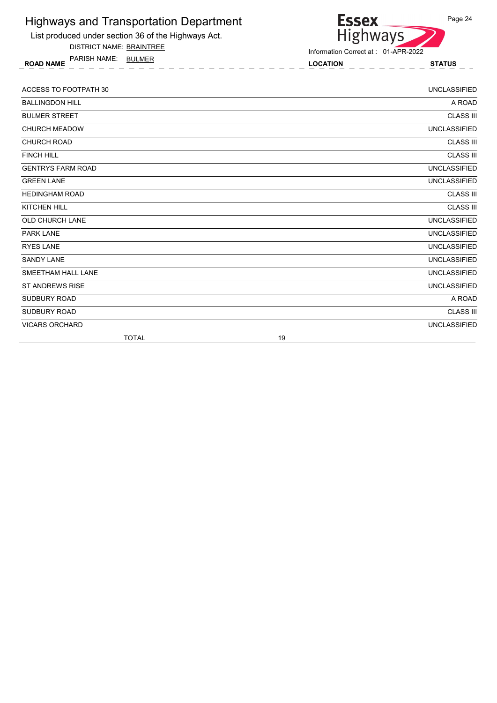| <b>Highways and Transportation Department</b><br>List produced under section 36 of the Highways Act.<br><b>DISTRICT NAME: BRAINTREE</b> | <b>Essex</b><br>Page 24<br><b>Highways</b><br>Information Correct at: 01-APR-2022 |                     |
|-----------------------------------------------------------------------------------------------------------------------------------------|-----------------------------------------------------------------------------------|---------------------|
| PARISH NAME:<br>BULMER<br><b>ROAD NAME</b>                                                                                              | <b>LOCATION</b>                                                                   | <b>STATUS</b>       |
| ACCESS TO FOOTPATH 30                                                                                                                   |                                                                                   | <b>UNCLASSIFIED</b> |
| <b>BALLINGDON HILL</b>                                                                                                                  |                                                                                   | A ROAD              |
| <b>BULMER STREET</b>                                                                                                                    |                                                                                   | <b>CLASS III</b>    |
| <b>CHURCH MEADOW</b>                                                                                                                    |                                                                                   | <b>UNCLASSIFIED</b> |
| <b>CHURCH ROAD</b>                                                                                                                      |                                                                                   | <b>CLASS III</b>    |
| <b>FINCH HILL</b>                                                                                                                       |                                                                                   | <b>CLASS III</b>    |

TOTAL 19

GENTRYS FARM ROAD UNCLASSIFIED GREEN LANE UNCLASSIFIED HEDINGHAM ROAD CLASS III KITCHEN HILL CLASS III OLD CHURCH LANE UNCLASSIFIED PARK LANE UNCLASSIFIED **RYES LANE** UNCLASSIFIED **SANDY LANE** UNCLASSIFIED SMEETHAM HALL LANE UNCLASSIFIED ST ANDREWS RISE UNCLASSIFIED SUDBURY ROAD A ROAD SUDBURY ROAD CLASS III VICARS ORCHARD UNCLASSIFIED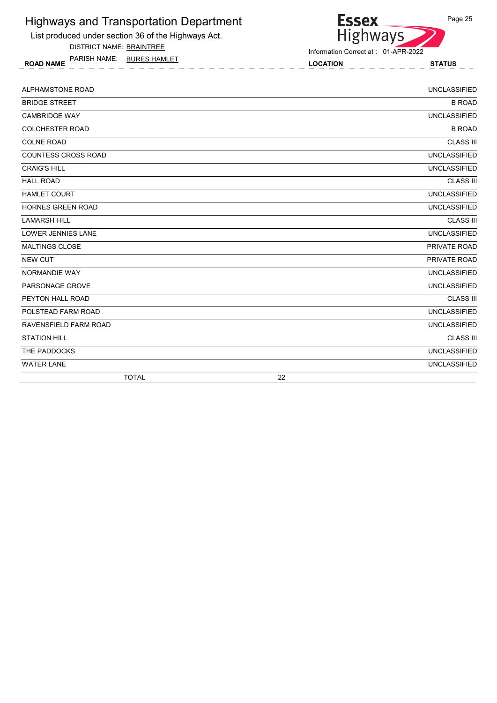List produced under section 36 of the Highways Act.

DISTRICT NAME: BRAINTREE

ROAD NAME LOCATION STATUS PARISH NAME: BURES HAMLET



| ALPHAMSTONE ROAD           | <b>UNCLASSIFIED</b> |
|----------------------------|---------------------|
| <b>BRIDGE STREET</b>       | <b>B ROAD</b>       |
| <b>CAMBRIDGE WAY</b>       | <b>UNCLASSIFIED</b> |
| <b>COLCHESTER ROAD</b>     | <b>B ROAD</b>       |
| <b>COLNE ROAD</b>          | <b>CLASS III</b>    |
| <b>COUNTESS CROSS ROAD</b> | <b>UNCLASSIFIED</b> |
| <b>CRAIG'S HILL</b>        | <b>UNCLASSIFIED</b> |
| <b>HALL ROAD</b>           | <b>CLASS III</b>    |
| <b>HAMLET COURT</b>        | <b>UNCLASSIFIED</b> |
| HORNES GREEN ROAD          | <b>UNCLASSIFIED</b> |
| <b>LAMARSH HILL</b>        | <b>CLASS III</b>    |
| <b>LOWER JENNIES LANE</b>  | <b>UNCLASSIFIED</b> |
| <b>MALTINGS CLOSE</b>      | PRIVATE ROAD        |
| <b>NEW CUT</b>             | PRIVATE ROAD        |
| NORMANDIE WAY              | <b>UNCLASSIFIED</b> |
| PARSONAGE GROVE            | <b>UNCLASSIFIED</b> |
| PEYTON HALL ROAD           | <b>CLASS III</b>    |
| POLSTEAD FARM ROAD         | <b>UNCLASSIFIED</b> |
| RAVENSFIELD FARM ROAD      | <b>UNCLASSIFIED</b> |
| <b>STATION HILL</b>        | <b>CLASS III</b>    |
| THE PADDOCKS               | <b>UNCLASSIFIED</b> |
| <b>WATER LANE</b>          | <b>UNCLASSIFIED</b> |
| <b>TOTAL</b>               | 22                  |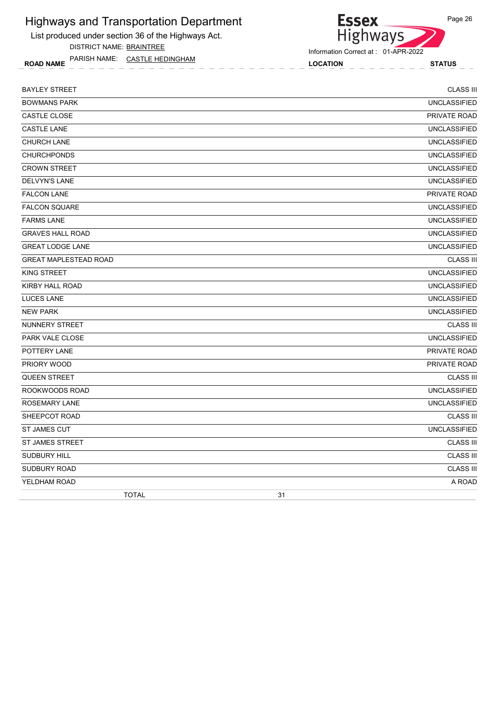List produced under section 36 of the Highways Act.

DISTRICT NAME: BRAINTREE

ROAD NAME LOCATION STATUS PARISH NAME: CASTLE HEDINGHAM



Information Correct at : 01-APR-2022

| <b>BAYLEY STREET</b>         | <b>CLASS III</b>    |
|------------------------------|---------------------|
| <b>BOWMANS PARK</b>          | <b>UNCLASSIFIED</b> |
| CASTLE CLOSE                 | PRIVATE ROAD        |
| <b>CASTLE LANE</b>           | <b>UNCLASSIFIED</b> |
| <b>CHURCH LANE</b>           | <b>UNCLASSIFIED</b> |
| <b>CHURCHPONDS</b>           | <b>UNCLASSIFIED</b> |
| <b>CROWN STREET</b>          | <b>UNCLASSIFIED</b> |
| DELVYN'S LANE                | <b>UNCLASSIFIED</b> |
| <b>FALCON LANE</b>           | PRIVATE ROAD        |
| <b>FALCON SQUARE</b>         | <b>UNCLASSIFIED</b> |
| <b>FARMS LANE</b>            | <b>UNCLASSIFIED</b> |
| <b>GRAVES HALL ROAD</b>      | <b>UNCLASSIFIED</b> |
| <b>GREAT LODGE LANE</b>      | <b>UNCLASSIFIED</b> |
| <b>GREAT MAPLESTEAD ROAD</b> | <b>CLASS III</b>    |
| KING STREET                  | <b>UNCLASSIFIED</b> |
| KIRBY HALL ROAD              | <b>UNCLASSIFIED</b> |
| <b>LUCES LANE</b>            | <b>UNCLASSIFIED</b> |
| <b>NEW PARK</b>              | <b>UNCLASSIFIED</b> |
| NUNNERY STREET               | <b>CLASS III</b>    |
| <b>PARK VALE CLOSE</b>       | <b>UNCLASSIFIED</b> |
| POTTERY LANE                 | PRIVATE ROAD        |
| PRIORY WOOD                  | <b>PRIVATE ROAD</b> |
| <b>QUEEN STREET</b>          | <b>CLASS III</b>    |
| ROOKWOODS ROAD               | <b>UNCLASSIFIED</b> |
| <b>ROSEMARY LANE</b>         | <b>UNCLASSIFIED</b> |
| SHEEPCOT ROAD                | <b>CLASS III</b>    |
| <b>ST JAMES CUT</b>          | <b>UNCLASSIFIED</b> |
| <b>ST JAMES STREET</b>       | <b>CLASS III</b>    |
| <b>SUDBURY HILL</b>          | <b>CLASS III</b>    |
| <b>SUDBURY ROAD</b>          | <b>CLASS III</b>    |
| YELDHAM ROAD                 | A ROAD              |
| <b>TOTAL</b>                 | 31                  |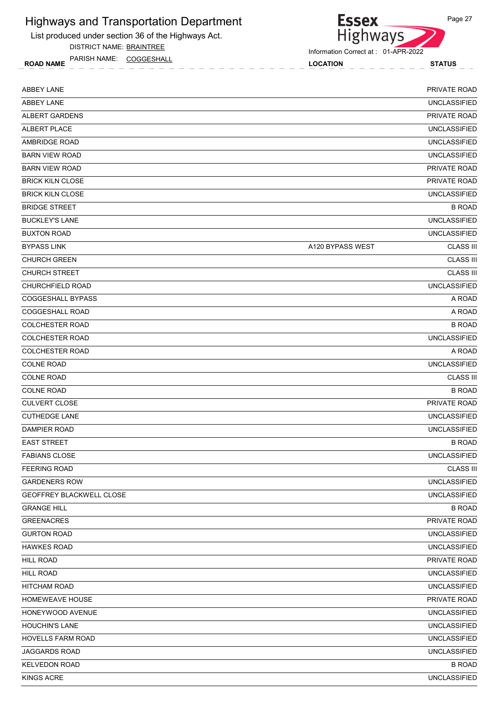List produced under section 36 of the Highways Act.

DISTRICT NAME: BRAINTREE

ROAD NAME LOCATION STATUS PARISH NAME: COGGESHALL



Information Correct at : 01-APR-2022

| <b>ABBEY LANE</b><br><b>UNCLASSIFIED</b><br><b>ALBERT GARDENS</b><br>PRIVATE ROAD<br><b>UNCLASSIFIED</b><br><b>UNCLASSIFIED</b><br><b>UNCLASSIFIED</b><br><b>BARN VIEW ROAD</b><br>PRIVATE ROAD<br><b>BRICK KILN CLOSE</b><br>PRIVATE ROAD<br><b>BRICK KILN CLOSE</b><br><b>UNCLASSIFIED</b><br><b>BRIDGE STREET</b><br><b>B ROAD</b><br><b>UNCLASSIFIED</b><br><b>BUCKLEY'S LANE</b><br><b>UNCLASSIFIED</b><br><b>BUXTON ROAD</b><br><b>CLASS III</b><br><b>BYPASS LINK</b><br>A120 BYPASS WEST<br><b>CLASS III</b><br><b>CLASS III</b><br><b>CHURCH STREET</b><br><b>UNCLASSIFIED</b><br><b>CHURCHFIELD ROAD</b><br>A ROAD<br><b>COGGESHALL ROAD</b><br>A ROAD<br><b>B ROAD</b><br><b>UNCLASSIFIED</b><br><b>COLCHESTER ROAD</b><br><b>COLCHESTER ROAD</b><br>A ROAD<br><b>UNCLASSIFIED</b><br><b>COLNE ROAD</b><br><b>CLASS III</b><br><b>B ROAD</b><br>PRIVATE ROAD<br><b>CULVERT CLOSE</b><br><b>CUTHEDGE LANE</b><br><b>UNCLASSIFIED</b><br><b>UNCLASSIFIED</b><br><b>EAST STREET</b><br><b>B ROAD</b><br><b>UNCLASSIFIED</b><br><b>FABIANS CLOSE</b><br><b>CLASS III</b><br><b>FEERING ROAD</b><br><b>GARDENERS ROW</b><br><b>UNCLASSIFIED</b><br><b>UNCLASSIFIED</b><br><b>B ROAD</b><br><b>GREENACRES</b><br>PRIVATE ROAD<br><b>GURTON ROAD</b><br><b>UNCLASSIFIED</b><br><b>UNCLASSIFIED</b><br><b>HAWKES ROAD</b><br>PRIVATE ROAD<br><b>HILL ROAD</b><br><b>UNCLASSIFIED</b><br><b>UNCLASSIFIED</b><br><b>HITCHAM ROAD</b><br>HOMEWEAVE HOUSE<br>PRIVATE ROAD<br><b>UNCLASSIFIED</b><br><b>HOUCHIN'S LANE</b><br><b>UNCLASSIFIED</b><br><b>UNCLASSIFIED</b><br><b>HOVELLS FARM ROAD</b><br>JAGGARDS ROAD<br><b>UNCLASSIFIED</b><br><b>KELVEDON ROAD</b><br><b>B ROAD</b><br><b>UNCLASSIFIED</b><br>KINGS ACRE | <b>ABBEY LANE</b>        | PRIVATE ROAD |
|--------------------------------------------------------------------------------------------------------------------------------------------------------------------------------------------------------------------------------------------------------------------------------------------------------------------------------------------------------------------------------------------------------------------------------------------------------------------------------------------------------------------------------------------------------------------------------------------------------------------------------------------------------------------------------------------------------------------------------------------------------------------------------------------------------------------------------------------------------------------------------------------------------------------------------------------------------------------------------------------------------------------------------------------------------------------------------------------------------------------------------------------------------------------------------------------------------------------------------------------------------------------------------------------------------------------------------------------------------------------------------------------------------------------------------------------------------------------------------------------------------------------------------------------------------------------------------------------------------------------------------------------------------------------------------------------------------------------------|--------------------------|--------------|
|                                                                                                                                                                                                                                                                                                                                                                                                                                                                                                                                                                                                                                                                                                                                                                                                                                                                                                                                                                                                                                                                                                                                                                                                                                                                                                                                                                                                                                                                                                                                                                                                                                                                                                                          |                          |              |
|                                                                                                                                                                                                                                                                                                                                                                                                                                                                                                                                                                                                                                                                                                                                                                                                                                                                                                                                                                                                                                                                                                                                                                                                                                                                                                                                                                                                                                                                                                                                                                                                                                                                                                                          |                          |              |
|                                                                                                                                                                                                                                                                                                                                                                                                                                                                                                                                                                                                                                                                                                                                                                                                                                                                                                                                                                                                                                                                                                                                                                                                                                                                                                                                                                                                                                                                                                                                                                                                                                                                                                                          | ALBERT PLACE             |              |
|                                                                                                                                                                                                                                                                                                                                                                                                                                                                                                                                                                                                                                                                                                                                                                                                                                                                                                                                                                                                                                                                                                                                                                                                                                                                                                                                                                                                                                                                                                                                                                                                                                                                                                                          | AMBRIDGE ROAD            |              |
|                                                                                                                                                                                                                                                                                                                                                                                                                                                                                                                                                                                                                                                                                                                                                                                                                                                                                                                                                                                                                                                                                                                                                                                                                                                                                                                                                                                                                                                                                                                                                                                                                                                                                                                          |                          |              |
|                                                                                                                                                                                                                                                                                                                                                                                                                                                                                                                                                                                                                                                                                                                                                                                                                                                                                                                                                                                                                                                                                                                                                                                                                                                                                                                                                                                                                                                                                                                                                                                                                                                                                                                          | <b>BARN VIEW ROAD</b>    |              |
|                                                                                                                                                                                                                                                                                                                                                                                                                                                                                                                                                                                                                                                                                                                                                                                                                                                                                                                                                                                                                                                                                                                                                                                                                                                                                                                                                                                                                                                                                                                                                                                                                                                                                                                          |                          |              |
|                                                                                                                                                                                                                                                                                                                                                                                                                                                                                                                                                                                                                                                                                                                                                                                                                                                                                                                                                                                                                                                                                                                                                                                                                                                                                                                                                                                                                                                                                                                                                                                                                                                                                                                          |                          |              |
|                                                                                                                                                                                                                                                                                                                                                                                                                                                                                                                                                                                                                                                                                                                                                                                                                                                                                                                                                                                                                                                                                                                                                                                                                                                                                                                                                                                                                                                                                                                                                                                                                                                                                                                          |                          |              |
|                                                                                                                                                                                                                                                                                                                                                                                                                                                                                                                                                                                                                                                                                                                                                                                                                                                                                                                                                                                                                                                                                                                                                                                                                                                                                                                                                                                                                                                                                                                                                                                                                                                                                                                          |                          |              |
|                                                                                                                                                                                                                                                                                                                                                                                                                                                                                                                                                                                                                                                                                                                                                                                                                                                                                                                                                                                                                                                                                                                                                                                                                                                                                                                                                                                                                                                                                                                                                                                                                                                                                                                          |                          |              |
|                                                                                                                                                                                                                                                                                                                                                                                                                                                                                                                                                                                                                                                                                                                                                                                                                                                                                                                                                                                                                                                                                                                                                                                                                                                                                                                                                                                                                                                                                                                                                                                                                                                                                                                          |                          |              |
|                                                                                                                                                                                                                                                                                                                                                                                                                                                                                                                                                                                                                                                                                                                                                                                                                                                                                                                                                                                                                                                                                                                                                                                                                                                                                                                                                                                                                                                                                                                                                                                                                                                                                                                          | <b>CHURCH GREEN</b>      |              |
|                                                                                                                                                                                                                                                                                                                                                                                                                                                                                                                                                                                                                                                                                                                                                                                                                                                                                                                                                                                                                                                                                                                                                                                                                                                                                                                                                                                                                                                                                                                                                                                                                                                                                                                          |                          |              |
|                                                                                                                                                                                                                                                                                                                                                                                                                                                                                                                                                                                                                                                                                                                                                                                                                                                                                                                                                                                                                                                                                                                                                                                                                                                                                                                                                                                                                                                                                                                                                                                                                                                                                                                          |                          |              |
|                                                                                                                                                                                                                                                                                                                                                                                                                                                                                                                                                                                                                                                                                                                                                                                                                                                                                                                                                                                                                                                                                                                                                                                                                                                                                                                                                                                                                                                                                                                                                                                                                                                                                                                          | <b>COGGESHALL BYPASS</b> |              |
|                                                                                                                                                                                                                                                                                                                                                                                                                                                                                                                                                                                                                                                                                                                                                                                                                                                                                                                                                                                                                                                                                                                                                                                                                                                                                                                                                                                                                                                                                                                                                                                                                                                                                                                          |                          |              |
|                                                                                                                                                                                                                                                                                                                                                                                                                                                                                                                                                                                                                                                                                                                                                                                                                                                                                                                                                                                                                                                                                                                                                                                                                                                                                                                                                                                                                                                                                                                                                                                                                                                                                                                          | <b>COLCHESTER ROAD</b>   |              |
|                                                                                                                                                                                                                                                                                                                                                                                                                                                                                                                                                                                                                                                                                                                                                                                                                                                                                                                                                                                                                                                                                                                                                                                                                                                                                                                                                                                                                                                                                                                                                                                                                                                                                                                          |                          |              |
|                                                                                                                                                                                                                                                                                                                                                                                                                                                                                                                                                                                                                                                                                                                                                                                                                                                                                                                                                                                                                                                                                                                                                                                                                                                                                                                                                                                                                                                                                                                                                                                                                                                                                                                          |                          |              |
|                                                                                                                                                                                                                                                                                                                                                                                                                                                                                                                                                                                                                                                                                                                                                                                                                                                                                                                                                                                                                                                                                                                                                                                                                                                                                                                                                                                                                                                                                                                                                                                                                                                                                                                          | <b>COLNE ROAD</b>        |              |
|                                                                                                                                                                                                                                                                                                                                                                                                                                                                                                                                                                                                                                                                                                                                                                                                                                                                                                                                                                                                                                                                                                                                                                                                                                                                                                                                                                                                                                                                                                                                                                                                                                                                                                                          |                          |              |
|                                                                                                                                                                                                                                                                                                                                                                                                                                                                                                                                                                                                                                                                                                                                                                                                                                                                                                                                                                                                                                                                                                                                                                                                                                                                                                                                                                                                                                                                                                                                                                                                                                                                                                                          | <b>COLNE ROAD</b>        |              |
|                                                                                                                                                                                                                                                                                                                                                                                                                                                                                                                                                                                                                                                                                                                                                                                                                                                                                                                                                                                                                                                                                                                                                                                                                                                                                                                                                                                                                                                                                                                                                                                                                                                                                                                          |                          |              |
|                                                                                                                                                                                                                                                                                                                                                                                                                                                                                                                                                                                                                                                                                                                                                                                                                                                                                                                                                                                                                                                                                                                                                                                                                                                                                                                                                                                                                                                                                                                                                                                                                                                                                                                          |                          |              |
|                                                                                                                                                                                                                                                                                                                                                                                                                                                                                                                                                                                                                                                                                                                                                                                                                                                                                                                                                                                                                                                                                                                                                                                                                                                                                                                                                                                                                                                                                                                                                                                                                                                                                                                          | DAMPIER ROAD             |              |
|                                                                                                                                                                                                                                                                                                                                                                                                                                                                                                                                                                                                                                                                                                                                                                                                                                                                                                                                                                                                                                                                                                                                                                                                                                                                                                                                                                                                                                                                                                                                                                                                                                                                                                                          |                          |              |
|                                                                                                                                                                                                                                                                                                                                                                                                                                                                                                                                                                                                                                                                                                                                                                                                                                                                                                                                                                                                                                                                                                                                                                                                                                                                                                                                                                                                                                                                                                                                                                                                                                                                                                                          |                          |              |
|                                                                                                                                                                                                                                                                                                                                                                                                                                                                                                                                                                                                                                                                                                                                                                                                                                                                                                                                                                                                                                                                                                                                                                                                                                                                                                                                                                                                                                                                                                                                                                                                                                                                                                                          |                          |              |
|                                                                                                                                                                                                                                                                                                                                                                                                                                                                                                                                                                                                                                                                                                                                                                                                                                                                                                                                                                                                                                                                                                                                                                                                                                                                                                                                                                                                                                                                                                                                                                                                                                                                                                                          |                          |              |
|                                                                                                                                                                                                                                                                                                                                                                                                                                                                                                                                                                                                                                                                                                                                                                                                                                                                                                                                                                                                                                                                                                                                                                                                                                                                                                                                                                                                                                                                                                                                                                                                                                                                                                                          | GEOFFREY BLACKWELL CLOSE |              |
|                                                                                                                                                                                                                                                                                                                                                                                                                                                                                                                                                                                                                                                                                                                                                                                                                                                                                                                                                                                                                                                                                                                                                                                                                                                                                                                                                                                                                                                                                                                                                                                                                                                                                                                          | <b>GRANGE HILL</b>       |              |
|                                                                                                                                                                                                                                                                                                                                                                                                                                                                                                                                                                                                                                                                                                                                                                                                                                                                                                                                                                                                                                                                                                                                                                                                                                                                                                                                                                                                                                                                                                                                                                                                                                                                                                                          |                          |              |
|                                                                                                                                                                                                                                                                                                                                                                                                                                                                                                                                                                                                                                                                                                                                                                                                                                                                                                                                                                                                                                                                                                                                                                                                                                                                                                                                                                                                                                                                                                                                                                                                                                                                                                                          |                          |              |
|                                                                                                                                                                                                                                                                                                                                                                                                                                                                                                                                                                                                                                                                                                                                                                                                                                                                                                                                                                                                                                                                                                                                                                                                                                                                                                                                                                                                                                                                                                                                                                                                                                                                                                                          |                          |              |
|                                                                                                                                                                                                                                                                                                                                                                                                                                                                                                                                                                                                                                                                                                                                                                                                                                                                                                                                                                                                                                                                                                                                                                                                                                                                                                                                                                                                                                                                                                                                                                                                                                                                                                                          | <b>HILL ROAD</b>         |              |
|                                                                                                                                                                                                                                                                                                                                                                                                                                                                                                                                                                                                                                                                                                                                                                                                                                                                                                                                                                                                                                                                                                                                                                                                                                                                                                                                                                                                                                                                                                                                                                                                                                                                                                                          |                          |              |
|                                                                                                                                                                                                                                                                                                                                                                                                                                                                                                                                                                                                                                                                                                                                                                                                                                                                                                                                                                                                                                                                                                                                                                                                                                                                                                                                                                                                                                                                                                                                                                                                                                                                                                                          |                          |              |
|                                                                                                                                                                                                                                                                                                                                                                                                                                                                                                                                                                                                                                                                                                                                                                                                                                                                                                                                                                                                                                                                                                                                                                                                                                                                                                                                                                                                                                                                                                                                                                                                                                                                                                                          |                          |              |
|                                                                                                                                                                                                                                                                                                                                                                                                                                                                                                                                                                                                                                                                                                                                                                                                                                                                                                                                                                                                                                                                                                                                                                                                                                                                                                                                                                                                                                                                                                                                                                                                                                                                                                                          | HONEYWOOD AVENUE         |              |
|                                                                                                                                                                                                                                                                                                                                                                                                                                                                                                                                                                                                                                                                                                                                                                                                                                                                                                                                                                                                                                                                                                                                                                                                                                                                                                                                                                                                                                                                                                                                                                                                                                                                                                                          |                          |              |
|                                                                                                                                                                                                                                                                                                                                                                                                                                                                                                                                                                                                                                                                                                                                                                                                                                                                                                                                                                                                                                                                                                                                                                                                                                                                                                                                                                                                                                                                                                                                                                                                                                                                                                                          |                          |              |
|                                                                                                                                                                                                                                                                                                                                                                                                                                                                                                                                                                                                                                                                                                                                                                                                                                                                                                                                                                                                                                                                                                                                                                                                                                                                                                                                                                                                                                                                                                                                                                                                                                                                                                                          |                          |              |
|                                                                                                                                                                                                                                                                                                                                                                                                                                                                                                                                                                                                                                                                                                                                                                                                                                                                                                                                                                                                                                                                                                                                                                                                                                                                                                                                                                                                                                                                                                                                                                                                                                                                                                                          |                          |              |
|                                                                                                                                                                                                                                                                                                                                                                                                                                                                                                                                                                                                                                                                                                                                                                                                                                                                                                                                                                                                                                                                                                                                                                                                                                                                                                                                                                                                                                                                                                                                                                                                                                                                                                                          |                          |              |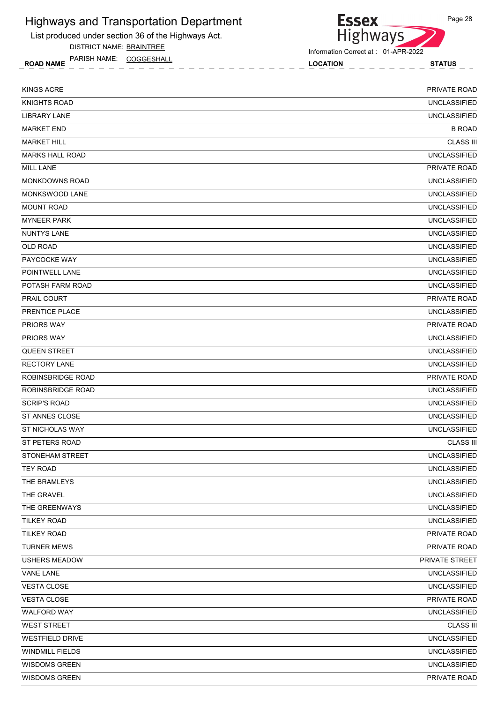

DISTRICT NAME: BRAINTREE

ROAD NAME LOCATION STATUS PARISH NAME: COGGESHALL

Essex<br>Highways

Information Correct at : 01-APR-2022

| <b>KINGS ACRE</b>      | PRIVATE ROAD        |
|------------------------|---------------------|
| <b>KNIGHTS ROAD</b>    | <b>UNCLASSIFIED</b> |
| <b>LIBRARY LANE</b>    | <b>UNCLASSIFIED</b> |
| <b>MARKET END</b>      | <b>B ROAD</b>       |
| <b>MARKET HILL</b>     | <b>CLASS III</b>    |
| <b>MARKS HALL ROAD</b> | <b>UNCLASSIFIED</b> |
| <b>MILL LANE</b>       | PRIVATE ROAD        |
| <b>MONKDOWNS ROAD</b>  | <b>UNCLASSIFIED</b> |
| <b>MONKSWOOD LANE</b>  | <b>UNCLASSIFIED</b> |
| <b>MOUNT ROAD</b>      | <b>UNCLASSIFIED</b> |
| <b>MYNEER PARK</b>     | <b>UNCLASSIFIED</b> |
| <b>NUNTYS LANE</b>     | <b>UNCLASSIFIED</b> |
| <b>OLD ROAD</b>        | <b>UNCLASSIFIED</b> |
| PAYCOCKE WAY           | <b>UNCLASSIFIED</b> |
| POINTWELL LANE         | <b>UNCLASSIFIED</b> |
| POTASH FARM ROAD       | <b>UNCLASSIFIED</b> |
| PRAIL COURT            | PRIVATE ROAD        |
| PRENTICE PLACE         | <b>UNCLASSIFIED</b> |
| PRIORS WAY             | PRIVATE ROAD        |
| <b>PRIORS WAY</b>      | <b>UNCLASSIFIED</b> |
| <b>QUEEN STREET</b>    | <b>UNCLASSIFIED</b> |
| <b>RECTORY LANE</b>    | <b>UNCLASSIFIED</b> |
| ROBINSBRIDGE ROAD      | PRIVATE ROAD        |
| ROBINSBRIDGE ROAD      | <b>UNCLASSIFIED</b> |
| <b>SCRIP'S ROAD</b>    | <b>UNCLASSIFIED</b> |
| ST ANNES CLOSE         | <b>UNCLASSIFIED</b> |
| <b>ST NICHOLAS WAY</b> | <b>UNCLASSIFIED</b> |
| ST PETERS ROAD         | <b>CLASS III</b>    |
| STONEHAM STREET        | <b>UNCLASSIFIED</b> |
| <b>TEY ROAD</b>        | <b>UNCLASSIFIED</b> |
| THE BRAMLEYS           | <b>UNCLASSIFIED</b> |
| THE GRAVEL             | <b>UNCLASSIFIED</b> |
| THE GREENWAYS          | <b>UNCLASSIFIED</b> |
| <b>TILKEY ROAD</b>     | <b>UNCLASSIFIED</b> |
| <b>TILKEY ROAD</b>     | PRIVATE ROAD        |
| <b>TURNER MEWS</b>     | PRIVATE ROAD        |
| <b>USHERS MEADOW</b>   | PRIVATE STREET      |
| <b>VANE LANE</b>       | <b>UNCLASSIFIED</b> |
| <b>VESTA CLOSE</b>     | <b>UNCLASSIFIED</b> |
| <b>VESTA CLOSE</b>     | PRIVATE ROAD        |
| <b>WALFORD WAY</b>     | <b>UNCLASSIFIED</b> |
| <b>WEST STREET</b>     | <b>CLASS III</b>    |
| <b>WESTFIELD DRIVE</b> | <b>UNCLASSIFIED</b> |
| <b>WINDMILL FIELDS</b> | <b>UNCLASSIFIED</b> |
| WISDOMS GREEN          | <b>UNCLASSIFIED</b> |
| WISDOMS GREEN          | PRIVATE ROAD        |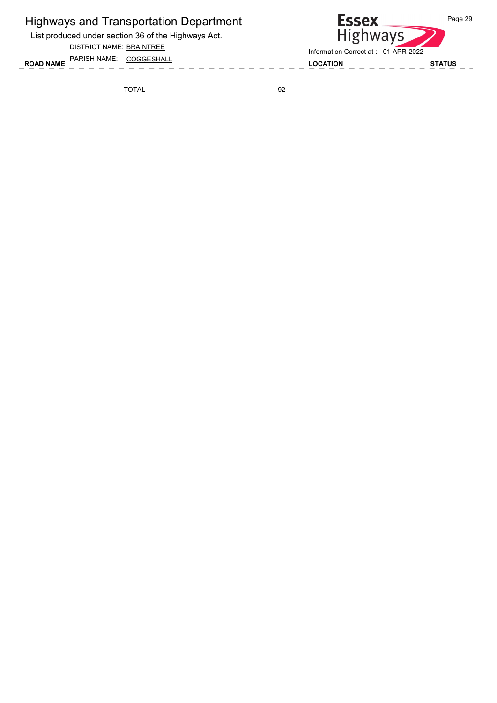List produced under section 36 of the Highways Act.

DISTRICT NAME: BRAINTREE

TOTAL 92

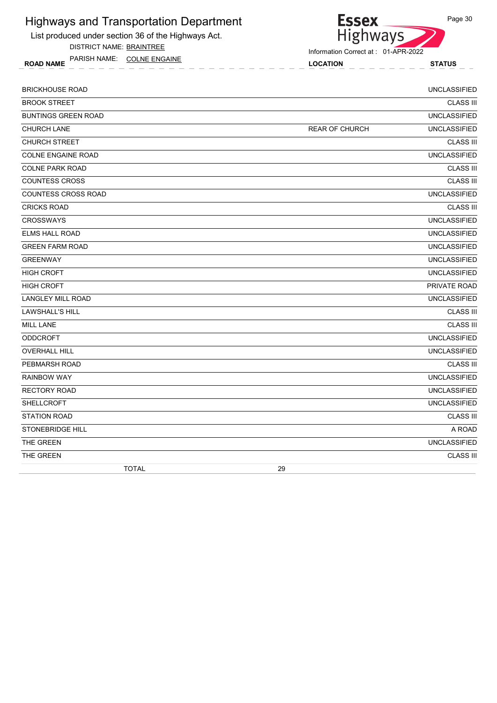List produced under section 36 of the Highways Act.

DISTRICT NAME: BRAINTREE

ROAD NAME LOCATION STATUS PARISH NAME: COLNE ENGAINE



| <b>BRICKHOUSE ROAD</b>     |              |    |                       | <b>UNCLASSIFIED</b> |
|----------------------------|--------------|----|-----------------------|---------------------|
| <b>BROOK STREET</b>        |              |    |                       | <b>CLASS III</b>    |
| <b>BUNTINGS GREEN ROAD</b> |              |    |                       | <b>UNCLASSIFIED</b> |
| <b>CHURCH LANE</b>         |              |    | <b>REAR OF CHURCH</b> | <b>UNCLASSIFIED</b> |
| <b>CHURCH STREET</b>       |              |    |                       | <b>CLASS III</b>    |
| COLNE ENGAINE ROAD         |              |    |                       | <b>UNCLASSIFIED</b> |
| <b>COLNE PARK ROAD</b>     |              |    |                       | <b>CLASS III</b>    |
| <b>COUNTESS CROSS</b>      |              |    |                       | <b>CLASS III</b>    |
| <b>COUNTESS CROSS ROAD</b> |              |    |                       | <b>UNCLASSIFIED</b> |
| <b>CRICKS ROAD</b>         |              |    |                       | <b>CLASS III</b>    |
| <b>CROSSWAYS</b>           |              |    |                       | <b>UNCLASSIFIED</b> |
| <b>ELMS HALL ROAD</b>      |              |    |                       | <b>UNCLASSIFIED</b> |
| <b>GREEN FARM ROAD</b>     |              |    |                       | <b>UNCLASSIFIED</b> |
| <b>GREENWAY</b>            |              |    |                       | <b>UNCLASSIFIED</b> |
| <b>HIGH CROFT</b>          |              |    |                       | <b>UNCLASSIFIED</b> |
| <b>HIGH CROFT</b>          |              |    |                       | PRIVATE ROAD        |
| LANGLEY MILL ROAD          |              |    |                       | <b>UNCLASSIFIED</b> |
| <b>LAWSHALL'S HILL</b>     |              |    |                       | <b>CLASS III</b>    |
| <b>MILL LANE</b>           |              |    |                       | <b>CLASS III</b>    |
| <b>ODDCROFT</b>            |              |    |                       | <b>UNCLASSIFIED</b> |
| <b>OVERHALL HILL</b>       |              |    |                       | <b>UNCLASSIFIED</b> |
| PEBMARSH ROAD              |              |    |                       | <b>CLASS III</b>    |
| RAINBOW WAY                |              |    |                       | <b>UNCLASSIFIED</b> |
| <b>RECTORY ROAD</b>        |              |    |                       | <b>UNCLASSIFIED</b> |
| SHELLCROFT                 |              |    |                       | <b>UNCLASSIFIED</b> |
| <b>STATION ROAD</b>        |              |    |                       | <b>CLASS III</b>    |
| STONEBRIDGE HILL           |              |    |                       | A ROAD              |
| THE GREEN                  |              |    |                       | <b>UNCLASSIFIED</b> |
| THE GREEN                  |              |    |                       | <b>CLASS III</b>    |
|                            | <b>TOTAL</b> | 29 |                       |                     |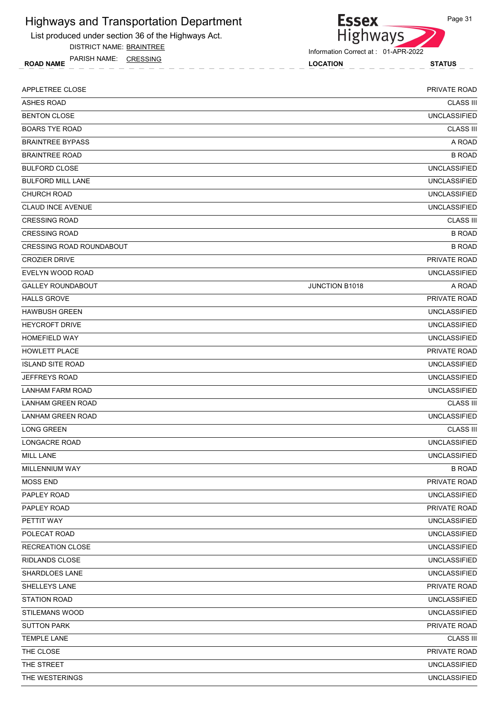List produced under section 36 of the Highways Act.

DISTRICT NAME: BRAINTREE

ROAD NAME LOCATION STATUS PARISH NAME: CRESSING



Information Correct at : 01-APR-2022

| APPLETREE CLOSE                 |                       | PRIVATE ROAD        |
|---------------------------------|-----------------------|---------------------|
| <b>ASHES ROAD</b>               |                       | <b>CLASS III</b>    |
| <b>BENTON CLOSE</b>             |                       | <b>UNCLASSIFIED</b> |
| <b>BOARS TYE ROAD</b>           |                       | <b>CLASS III</b>    |
| <b>BRAINTREE BYPASS</b>         |                       | A ROAD              |
| <b>BRAINTREE ROAD</b>           |                       | <b>B ROAD</b>       |
| <b>BULFORD CLOSE</b>            |                       | <b>UNCLASSIFIED</b> |
| <b>BULFORD MILL LANE</b>        |                       | <b>UNCLASSIFIED</b> |
| <b>CHURCH ROAD</b>              |                       | <b>UNCLASSIFIED</b> |
| <b>CLAUD INCE AVENUE</b>        |                       | <b>UNCLASSIFIED</b> |
| <b>CRESSING ROAD</b>            |                       | <b>CLASS III</b>    |
| <b>CRESSING ROAD</b>            |                       | <b>B ROAD</b>       |
| <b>CRESSING ROAD ROUNDABOUT</b> |                       | <b>B ROAD</b>       |
| <b>CROZIER DRIVE</b>            |                       | PRIVATE ROAD        |
| EVELYN WOOD ROAD                |                       | <b>UNCLASSIFIED</b> |
| <b>GALLEY ROUNDABOUT</b>        | <b>JUNCTION B1018</b> | A ROAD              |
| <b>HALLS GROVE</b>              |                       | PRIVATE ROAD        |
| <b>HAWBUSH GREEN</b>            |                       | <b>UNCLASSIFIED</b> |
| <b>HEYCROFT DRIVE</b>           |                       | <b>UNCLASSIFIED</b> |
| <b>HOMEFIELD WAY</b>            |                       | <b>UNCLASSIFIED</b> |
| <b>HOWLETT PLACE</b>            |                       | PRIVATE ROAD        |
| <b>ISLAND SITE ROAD</b>         |                       | <b>UNCLASSIFIED</b> |
| <b>JEFFREYS ROAD</b>            |                       | <b>UNCLASSIFIED</b> |
| LANHAM FARM ROAD                |                       | <b>UNCLASSIFIED</b> |
| <b>LANHAM GREEN ROAD</b>        |                       | <b>CLASS III</b>    |
| <b>LANHAM GREEN ROAD</b>        |                       | <b>UNCLASSIFIED</b> |
| <b>LONG GREEN</b>               |                       | <b>CLASS III</b>    |
| LONGACRE ROAD                   |                       | <b>UNCLASSIFIED</b> |
| <b>MILL LANE</b>                |                       | <b>UNCLASSIFIED</b> |
| MILLENNIUM WAY                  |                       | <b>B ROAD</b>       |
| <b>MOSS END</b>                 |                       | PRIVATE ROAD        |
| PAPLEY ROAD                     |                       | <b>UNCLASSIFIED</b> |
| PAPLEY ROAD                     |                       | PRIVATE ROAD        |
| PETTIT WAY                      |                       | <b>UNCLASSIFIED</b> |
| POLECAT ROAD                    |                       | <b>UNCLASSIFIED</b> |
| <b>RECREATION CLOSE</b>         |                       | <b>UNCLASSIFIED</b> |
| RIDLANDS CLOSE                  |                       | <b>UNCLASSIFIED</b> |
| SHARDLOES LANE                  |                       | <b>UNCLASSIFIED</b> |
| SHELLEYS LANE                   |                       | PRIVATE ROAD        |
| <b>STATION ROAD</b>             |                       | <b>UNCLASSIFIED</b> |
| <b>STILEMANS WOOD</b>           |                       | <b>UNCLASSIFIED</b> |
| <b>SUTTON PARK</b>              |                       | PRIVATE ROAD        |
| <b>TEMPLE LANE</b>              |                       | <b>CLASS III</b>    |
| THE CLOSE                       |                       | PRIVATE ROAD        |
| THE STREET                      |                       | <b>UNCLASSIFIED</b> |
| THE WESTERINGS                  |                       | <b>UNCLASSIFIED</b> |
|                                 |                       |                     |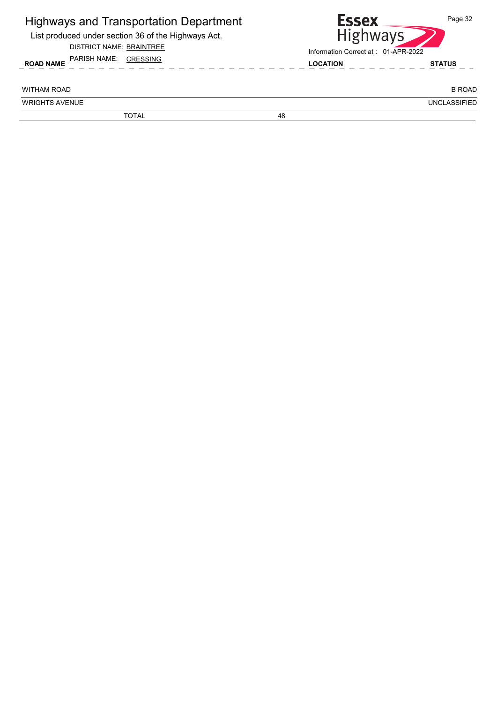| <b>Highways and Transportation Department</b><br>List produced under section 36 of the Highways Act.<br><b>DISTRICT NAME: BRAINTREE</b><br>PARISH NAME:<br><b>CRESSING</b> |    | <b>Essex</b><br><b>Highways</b><br>Information Correct at: 01-APR-2022 |                     |
|----------------------------------------------------------------------------------------------------------------------------------------------------------------------------|----|------------------------------------------------------------------------|---------------------|
| <b>ROAD NAME</b>                                                                                                                                                           |    | <b>LOCATION</b>                                                        | <b>STATUS</b>       |
| <b>WITHAM ROAD</b>                                                                                                                                                         |    |                                                                        | <b>B ROAD</b>       |
| <b>WRIGHTS AVENUE</b>                                                                                                                                                      |    |                                                                        | <b>UNCLASSIFIED</b> |
| <b>TOTAL</b>                                                                                                                                                               | 48 |                                                                        |                     |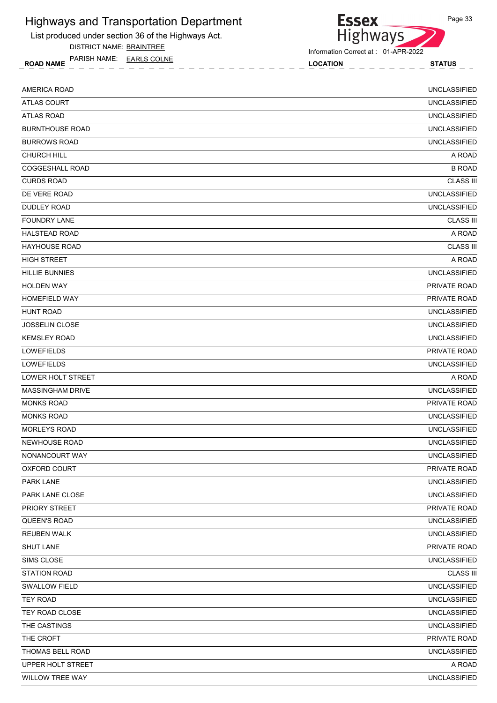List produced under section 36 of the Highways Act.

DISTRICT NAME: BRAINTREE

ROAD NAME LOCATION STATUS PARISH NAME: EARLS COLNE



Information Correct at : 01-APR-2022

| AMERICA ROAD            | <b>UNCLASSIFIED</b> |
|-------------------------|---------------------|
| <b>ATLAS COURT</b>      | <b>UNCLASSIFIED</b> |
| <b>ATLAS ROAD</b>       | <b>UNCLASSIFIED</b> |
| <b>BURNTHOUSE ROAD</b>  | <b>UNCLASSIFIED</b> |
| <b>BURROWS ROAD</b>     | <b>UNCLASSIFIED</b> |
| <b>CHURCH HILL</b>      | A ROAD              |
| COGGESHALL ROAD         | <b>B ROAD</b>       |
| <b>CURDS ROAD</b>       | <b>CLASS III</b>    |
| DE VERE ROAD            | <b>UNCLASSIFIED</b> |
| <b>DUDLEY ROAD</b>      | <b>UNCLASSIFIED</b> |
| <b>FOUNDRY LANE</b>     | <b>CLASS III</b>    |
| <b>HALSTEAD ROAD</b>    | A ROAD              |
| <b>HAYHOUSE ROAD</b>    | <b>CLASS III</b>    |
| <b>HIGH STREET</b>      | A ROAD              |
| <b>HILLIE BUNNIES</b>   | <b>UNCLASSIFIED</b> |
| <b>HOLDEN WAY</b>       | <b>PRIVATE ROAD</b> |
| HOMEFIELD WAY           | PRIVATE ROAD        |
| <b>HUNT ROAD</b>        | <b>UNCLASSIFIED</b> |
| JOSSELIN CLOSE          | <b>UNCLASSIFIED</b> |
| <b>KEMSLEY ROAD</b>     | <b>UNCLASSIFIED</b> |
| LOWEFIELDS              | PRIVATE ROAD        |
| <b>LOWEFIELDS</b>       | <b>UNCLASSIFIED</b> |
| LOWER HOLT STREET       | A ROAD              |
| <b>MASSINGHAM DRIVE</b> | <b>UNCLASSIFIED</b> |
| <b>MONKS ROAD</b>       | PRIVATE ROAD        |
| <b>MONKS ROAD</b>       | <b>UNCLASSIFIED</b> |
| <b>MORLEYS ROAD</b>     | <b>UNCLASSIFIED</b> |
| NEWHOUSE ROAD           | <b>UNCLASSIFIED</b> |
| NONANCOURT WAY          | <b>UNCLASSIFIED</b> |
| OXFORD COURT            | PRIVATE ROAD        |
| PARK LANE               | <b>UNCLASSIFIED</b> |
| PARK LANE CLOSE         | <b>UNCLASSIFIED</b> |
| PRIORY STREET           | PRIVATE ROAD        |
| QUEEN'S ROAD            | <b>UNCLASSIFIED</b> |
| <b>REUBEN WALK</b>      | <b>UNCLASSIFIED</b> |
| SHUT LANE               | PRIVATE ROAD        |
| SIMS CLOSE              | <b>UNCLASSIFIED</b> |
| <b>STATION ROAD</b>     | <b>CLASS III</b>    |
| <b>SWALLOW FIELD</b>    | <b>UNCLASSIFIED</b> |
| <b>TEY ROAD</b>         | <b>UNCLASSIFIED</b> |
| TEY ROAD CLOSE          | <b>UNCLASSIFIED</b> |
| THE CASTINGS            | <b>UNCLASSIFIED</b> |
| THE CROFT               | PRIVATE ROAD        |
| THOMAS BELL ROAD        | <b>UNCLASSIFIED</b> |
| UPPER HOLT STREET       | A ROAD              |
| WILLOW TREE WAY         | <b>UNCLASSIFIED</b> |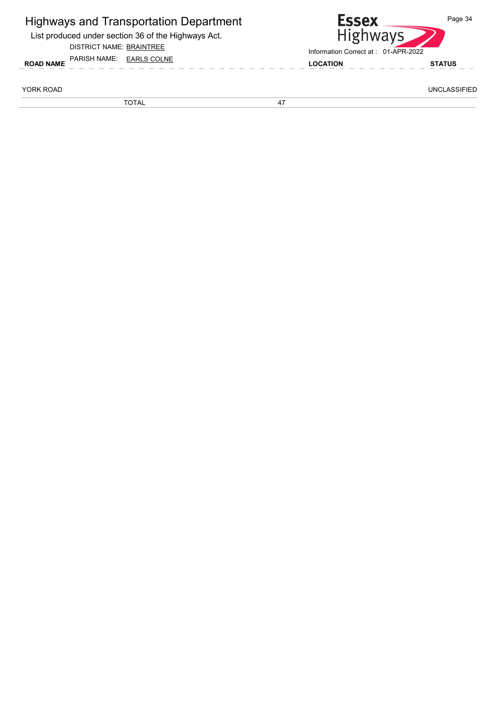| <b>Highways and Transportation Department</b><br>List produced under section 36 of the Highways Act.<br><b>DISTRICT NAME: BRAINTREE</b> | <b>ESSEX</b><br><b>Highways</b>                        | Page 34             |
|-----------------------------------------------------------------------------------------------------------------------------------------|--------------------------------------------------------|---------------------|
| PARISH NAME: EARLS COLNE<br><b>ROAD NAME</b>                                                                                            | Information Correct at: 01-APR-2022<br><b>LOCATION</b> | <b>STATUS</b>       |
| YORK ROAD                                                                                                                               |                                                        | <b>UNCLASSIFIED</b> |
| <b>TOTAL</b>                                                                                                                            | 47                                                     |                     |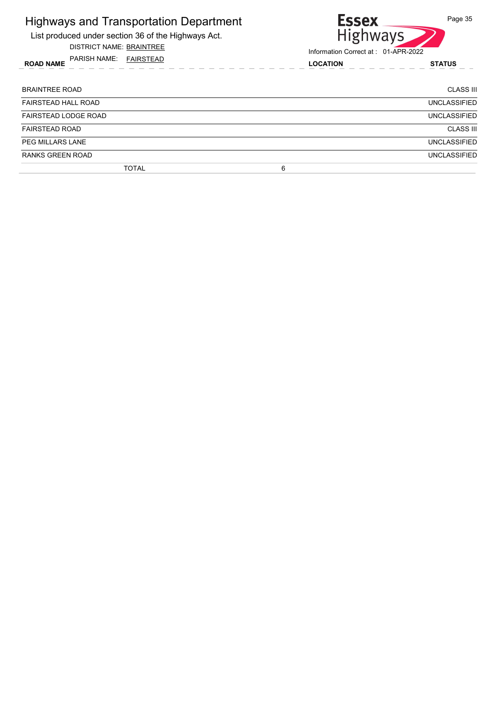| <b>Highways and Transportation Department</b><br>List produced under section 36 of the Highways Act.<br><b>DISTRICT NAME: BRAINTREE</b> | <b>Essex</b><br><b>Highways</b>                        | Page 35          |
|-----------------------------------------------------------------------------------------------------------------------------------------|--------------------------------------------------------|------------------|
| PARISH NAME:<br>FAIRSTEAD<br><b>ROAD NAME</b>                                                                                           | Information Correct at: 01-APR-2022<br><b>LOCATION</b> | <b>STATUS</b>    |
| <b>BRAINTREE ROAD</b>                                                                                                                   |                                                        | CLASS III        |
| <b>FAIRSTEAD HALL ROAD</b>                                                                                                              |                                                        | UNCLASSIFIED     |
| <b>FAIRSTEAD LODGE ROAD</b>                                                                                                             |                                                        | UNCLASSIFIED     |
| <b>FAIRSTEAD ROAD</b>                                                                                                                   |                                                        | <b>CLASS III</b> |
| PEG MILLARS LANE                                                                                                                        |                                                        | UNCLASSIFIED     |
| <b>RANKS GREEN ROAD</b>                                                                                                                 |                                                        | UNCLASSIFIED     |
| <b>TOTAL</b>                                                                                                                            | 6                                                      |                  |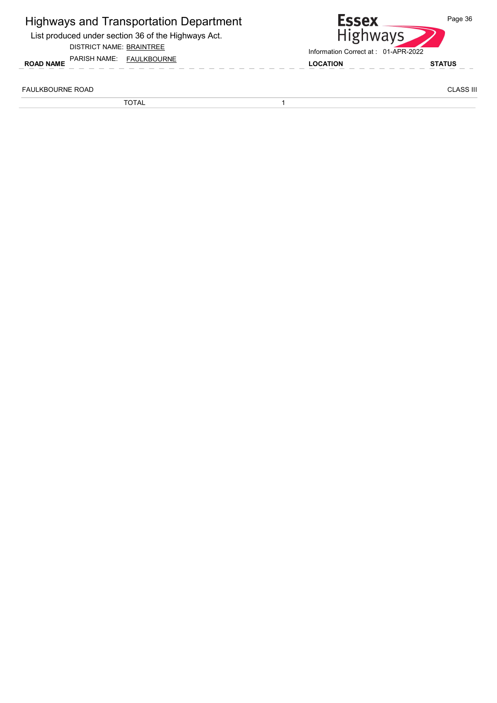| <b>ROAD NAME</b>        | <b>Highways and Transportation Department</b><br>List produced under section 36 of the Highways Act.<br>DISTRICT NAME: BRAINTREE<br>PARISH NAME: FAULKBOURNE | <b>Essex</b><br><b>Highways</b><br>Information Correct at: 01-APR-2022<br><b>LOCATION</b> | Page 36<br><b>STATUS</b> |
|-------------------------|--------------------------------------------------------------------------------------------------------------------------------------------------------------|-------------------------------------------------------------------------------------------|--------------------------|
| <b>FAULKBOURNE ROAD</b> |                                                                                                                                                              |                                                                                           | <b>CLASS III</b>         |
|                         | TOTAL                                                                                                                                                        |                                                                                           |                          |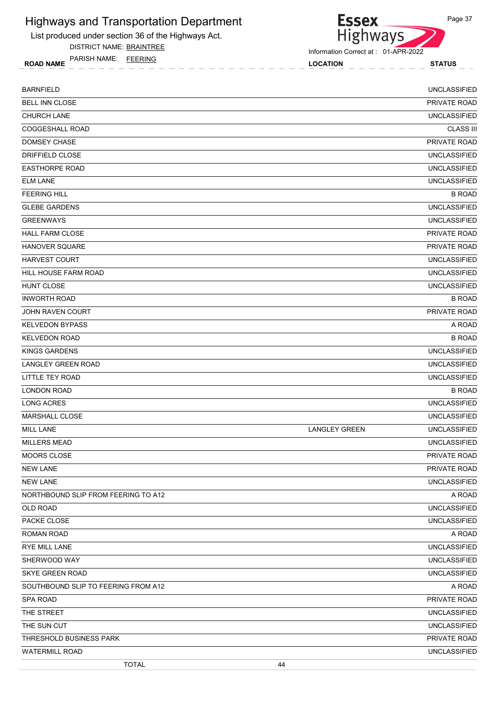List produced under section 36 of the Highways Act.

DISTRICT NAME: BRAINTREE

ROAD NAME LOCATION STATUS PARISH NAME: FEERING

**Essex** Highways

Information Correct at : 01-APR-2022

| <b>BARNFIELD</b>                    |                      | <b>UNCLASSIFIED</b> |
|-------------------------------------|----------------------|---------------------|
| BELL INN CLOSE                      |                      | PRIVATE ROAD        |
| CHURCH LANE                         |                      | <b>UNCLASSIFIED</b> |
| COGGESHALL ROAD                     |                      | <b>CLASS III</b>    |
| <b>DOMSEY CHASE</b>                 |                      | PRIVATE ROAD        |
| <b>DRIFFIELD CLOSE</b>              |                      | <b>UNCLASSIFIED</b> |
| <b>EASTHORPE ROAD</b>               |                      | <b>UNCLASSIFIED</b> |
| <b>ELM LANE</b>                     |                      | <b>UNCLASSIFIED</b> |
| <b>FEERING HILL</b>                 |                      | <b>B ROAD</b>       |
| <b>GLEBE GARDENS</b>                |                      | <b>UNCLASSIFIED</b> |
| <b>GREENWAYS</b>                    |                      | <b>UNCLASSIFIED</b> |
| <b>HALL FARM CLOSE</b>              |                      | PRIVATE ROAD        |
| HANOVER SQUARE                      |                      | PRIVATE ROAD        |
| <b>HARVEST COURT</b>                |                      | <b>UNCLASSIFIED</b> |
| HILL HOUSE FARM ROAD                |                      | <b>UNCLASSIFIED</b> |
| <b>HUNT CLOSE</b>                   |                      | <b>UNCLASSIFIED</b> |
| <b>INWORTH ROAD</b>                 |                      | <b>B ROAD</b>       |
| JOHN RAVEN COURT                    |                      | PRIVATE ROAD        |
| <b>KELVEDON BYPASS</b>              |                      | A ROAD              |
| <b>KELVEDON ROAD</b>                |                      | <b>B ROAD</b>       |
| <b>KINGS GARDENS</b>                |                      | <b>UNCLASSIFIED</b> |
| LANGLEY GREEN ROAD                  |                      | <b>UNCLASSIFIED</b> |
| LITTLE TEY ROAD                     |                      | <b>UNCLASSIFIED</b> |
| <b>LONDON ROAD</b>                  |                      | <b>B ROAD</b>       |
| <b>LONG ACRES</b>                   |                      | <b>UNCLASSIFIED</b> |
| MARSHALL CLOSE                      |                      | <b>UNCLASSIFIED</b> |
| <b>MILL LANE</b>                    | <b>LANGLEY GREEN</b> | <b>UNCLASSIFIED</b> |
| <b>MILLERS MEAD</b>                 |                      | <b>UNCLASSIFIED</b> |
| MOORS CLOSE                         |                      | PRIVATE ROAD        |
| <b>NEW LANE</b>                     |                      | PRIVATE ROAD        |
| <b>NEW LANE</b>                     |                      | <b>UNCLASSIFIED</b> |
| NORTHBOUND SLIP FROM FEERING TO A12 |                      | A ROAD              |
| OLD ROAD                            |                      | <b>UNCLASSIFIED</b> |
| PACKE CLOSE                         |                      | <b>UNCLASSIFIED</b> |
| ROMAN ROAD                          |                      | A ROAD              |
| RYE MILL LANE                       |                      | <b>UNCLASSIFIED</b> |
| SHERWOOD WAY                        |                      | <b>UNCLASSIFIED</b> |
| SKYE GREEN ROAD                     |                      | <b>UNCLASSIFIED</b> |
| SOUTHBOUND SLIP TO FEERING FROM A12 |                      | A ROAD              |
| <b>SPA ROAD</b>                     |                      | PRIVATE ROAD        |
| THE STREET                          |                      | <b>UNCLASSIFIED</b> |
| THE SUN CUT                         |                      | <b>UNCLASSIFIED</b> |
| THRESHOLD BUSINESS PARK             |                      | PRIVATE ROAD        |
| <b>WATERMILL ROAD</b>               |                      | <b>UNCLASSIFIED</b> |
| <b>TOTAL</b>                        | 44                   |                     |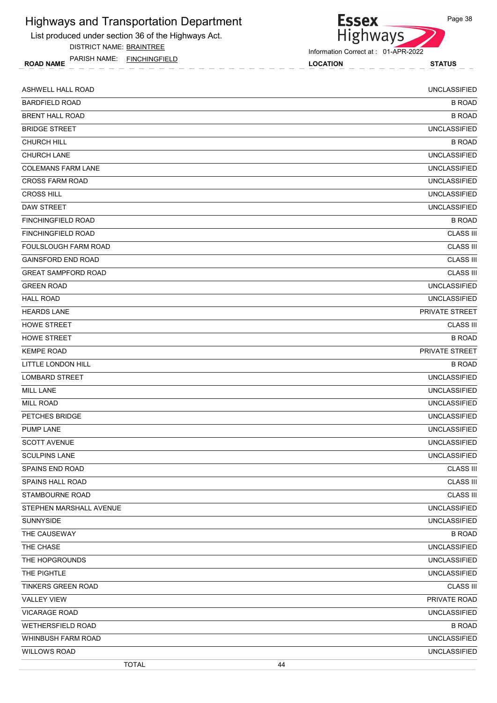List produced under section 36 of the Highways Act.

DISTRICT NAME: BRAINTREE

ROAD NAME LOCATION STATUS PARISH NAME: FINCHINGFIELD



Information Correct at : 01-APR-2022

| ASHWELL HALL ROAD          | <b>UNCLASSIFIED</b> |
|----------------------------|---------------------|
| <b>BARDFIELD ROAD</b>      | <b>B ROAD</b>       |
| <b>BRENT HALL ROAD</b>     | <b>B ROAD</b>       |
| <b>BRIDGE STREET</b>       | <b>UNCLASSIFIED</b> |
| <b>CHURCH HILL</b>         | <b>B ROAD</b>       |
| CHURCH LANE                | <b>UNCLASSIFIED</b> |
| <b>COLEMANS FARM LANE</b>  | <b>UNCLASSIFIED</b> |
| <b>CROSS FARM ROAD</b>     | <b>UNCLASSIFIED</b> |
| <b>CROSS HILL</b>          | <b>UNCLASSIFIED</b> |
| DAW STREET                 | <b>UNCLASSIFIED</b> |
| FINCHINGFIELD ROAD         | <b>B ROAD</b>       |
| <b>FINCHINGFIELD ROAD</b>  | <b>CLASS III</b>    |
| FOULSLOUGH FARM ROAD       | <b>CLASS III</b>    |
| <b>GAINSFORD END ROAD</b>  | <b>CLASS III</b>    |
| <b>GREAT SAMPFORD ROAD</b> | <b>CLASS III</b>    |
| <b>GREEN ROAD</b>          | <b>UNCLASSIFIED</b> |
| <b>HALL ROAD</b>           | <b>UNCLASSIFIED</b> |
| <b>HEARDS LANE</b>         | PRIVATE STREET      |
| <b>HOWE STREET</b>         | <b>CLASS III</b>    |
| <b>HOWE STREET</b>         | <b>B ROAD</b>       |
| <b>KEMPE ROAD</b>          | PRIVATE STREET      |
| LITTLE LONDON HILL         | <b>B ROAD</b>       |
| <b>LOMBARD STREET</b>      | <b>UNCLASSIFIED</b> |
| <b>MILL LANE</b>           | <b>UNCLASSIFIED</b> |
| <b>MILL ROAD</b>           | <b>UNCLASSIFIED</b> |
| PETCHES BRIDGE             | <b>UNCLASSIFIED</b> |
| <b>PUMP LANE</b>           | <b>UNCLASSIFIED</b> |
| <b>SCOTT AVENUE</b>        | <b>UNCLASSIFIED</b> |
| <b>SCULPINS LANE</b>       | <b>UNCLASSIFIED</b> |
| <b>SPAINS END ROAD</b>     | <b>CLASS III</b>    |
| <b>SPAINS HALL ROAD</b>    | <b>CLASS III</b>    |
| STAMBOURNE ROAD            | <b>CLASS III</b>    |
| STEPHEN MARSHALL AVENUE    | <b>UNCLASSIFIED</b> |
| SUNNYSIDE                  | <b>UNCLASSIFIED</b> |
| THE CAUSEWAY               | <b>B ROAD</b>       |
| THE CHASE                  | <b>UNCLASSIFIED</b> |
| THE HOPGROUNDS             | <b>UNCLASSIFIED</b> |
| THE PIGHTLE                | <b>UNCLASSIFIED</b> |
| <b>TINKERS GREEN ROAD</b>  | <b>CLASS III</b>    |
| <b>VALLEY VIEW</b>         | PRIVATE ROAD        |
| <b>VICARAGE ROAD</b>       | <b>UNCLASSIFIED</b> |
| WETHERSFIELD ROAD          | <b>B ROAD</b>       |
| WHINBUSH FARM ROAD         | <b>UNCLASSIFIED</b> |
| <b>WILLOWS ROAD</b>        | <b>UNCLASSIFIED</b> |
| <b>TOTAL</b>               | 44                  |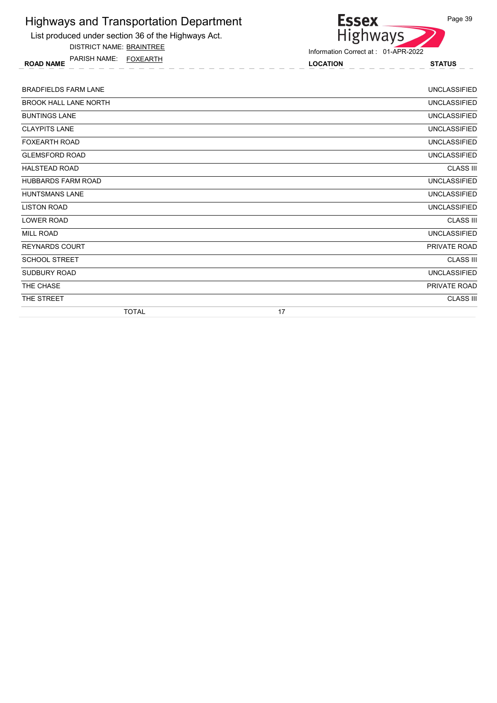

DISTRICT NAME: BRAINTREE

ROAD NAME LOCATION STATUS PARISH NAME: FOXEARTH



| <b>BRADFIELDS FARM LANE</b>  |    | <b>UNCLASSIFIED</b> |
|------------------------------|----|---------------------|
| <b>BROOK HALL LANE NORTH</b> |    | <b>UNCLASSIFIED</b> |
| <b>BUNTINGS LANE</b>         |    | <b>UNCLASSIFIED</b> |
| <b>CLAYPITS LANE</b>         |    | <b>UNCLASSIFIED</b> |
| <b>FOXEARTH ROAD</b>         |    | <b>UNCLASSIFIED</b> |
| <b>GLEMSFORD ROAD</b>        |    | <b>UNCLASSIFIED</b> |
| <b>HALSTEAD ROAD</b>         |    | <b>CLASS III</b>    |
| <b>HUBBARDS FARM ROAD</b>    |    | <b>UNCLASSIFIED</b> |
| <b>HUNTSMANS LANE</b>        |    | <b>UNCLASSIFIED</b> |
| <b>LISTON ROAD</b>           |    | <b>UNCLASSIFIED</b> |
| <b>LOWER ROAD</b>            |    | <b>CLASS III</b>    |
| <b>MILL ROAD</b>             |    | <b>UNCLASSIFIED</b> |
| <b>REYNARDS COURT</b>        |    | PRIVATE ROAD        |
| <b>SCHOOL STREET</b>         |    | <b>CLASS III</b>    |
| <b>SUDBURY ROAD</b>          |    | <b>UNCLASSIFIED</b> |
| THE CHASE                    |    | PRIVATE ROAD        |
| THE STREET                   |    | <b>CLASS III</b>    |
| <b>TOTAL</b>                 | 17 |                     |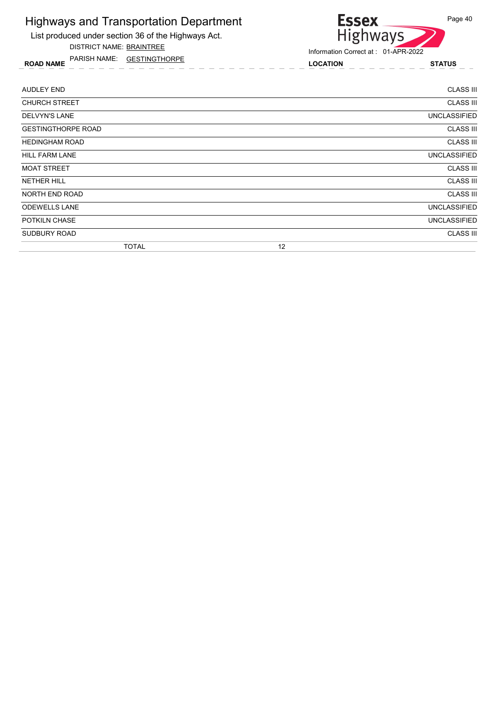List produced under section 36 of the Highways Act.

DISTRICT NAME: BRAINTREE

ROAD NAME LOCATION STATUS PARISH NAME: GESTINGTHORPE



| AUDLEY END                | <b>CLASS III</b>    |
|---------------------------|---------------------|
| <b>CHURCH STREET</b>      | <b>CLASS III</b>    |
| <b>DELVYN'S LANE</b>      | <b>UNCLASSIFIED</b> |
| <b>GESTINGTHORPE ROAD</b> | <b>CLASS III</b>    |
| <b>HEDINGHAM ROAD</b>     | <b>CLASS III</b>    |
| <b>HILL FARM LANE</b>     | UNCLASSIFIED        |
| <b>MOAT STREET</b>        | <b>CLASS III</b>    |
| <b>NETHER HILL</b>        | <b>CLASS III</b>    |
| <b>NORTH END ROAD</b>     | <b>CLASS III</b>    |
| <b>ODEWELLS LANE</b>      | <b>UNCLASSIFIED</b> |
| POTKILN CHASE             | <b>UNCLASSIFIED</b> |
| SUDBURY ROAD              | <b>CLASS III</b>    |
| <b>TOTAL</b>              | 12                  |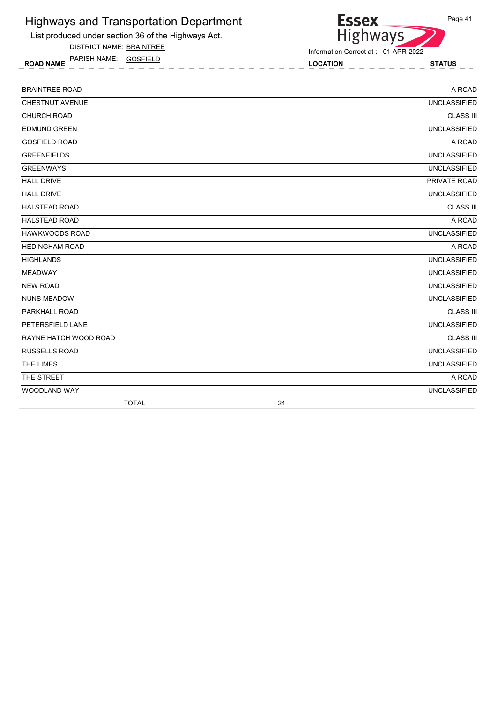List produced under section 36 of the Highways Act.

DISTRICT NAME: BRAINTREE

ROAD NAME LOCATION STATUS PARISH NAME: GOSFIELD

Information Correct at : 01-APR-2022

**Essex** 

Highways

| <b>BRAINTREE ROAD</b> | A ROAD              |
|-----------------------|---------------------|
| CHESTNUT AVENUE       | <b>UNCLASSIFIED</b> |
| <b>CHURCH ROAD</b>    | <b>CLASS III</b>    |
| <b>EDMUND GREEN</b>   | <b>UNCLASSIFIED</b> |
| <b>GOSFIELD ROAD</b>  | A ROAD              |
| <b>GREENFIELDS</b>    | <b>UNCLASSIFIED</b> |
| <b>GREENWAYS</b>      | <b>UNCLASSIFIED</b> |
| <b>HALL DRIVE</b>     | PRIVATE ROAD        |
| <b>HALL DRIVE</b>     | <b>UNCLASSIFIED</b> |
| <b>HALSTEAD ROAD</b>  | <b>CLASS III</b>    |
| <b>HALSTEAD ROAD</b>  | A ROAD              |
| HAWKWOODS ROAD        | <b>UNCLASSIFIED</b> |
| <b>HEDINGHAM ROAD</b> | A ROAD              |
| <b>HIGHLANDS</b>      | <b>UNCLASSIFIED</b> |
| <b>MEADWAY</b>        | <b>UNCLASSIFIED</b> |
| <b>NEW ROAD</b>       | <b>UNCLASSIFIED</b> |
| <b>NUNS MEADOW</b>    | <b>UNCLASSIFIED</b> |
| PARKHALL ROAD         | <b>CLASS III</b>    |
| PETERSFIELD LANE      | <b>UNCLASSIFIED</b> |
| RAYNE HATCH WOOD ROAD | <b>CLASS III</b>    |
| <b>RUSSELLS ROAD</b>  | <b>UNCLASSIFIED</b> |
| THE LIMES             | <b>UNCLASSIFIED</b> |
| THE STREET            | A ROAD              |
| WOODLAND WAY          | <b>UNCLASSIFIED</b> |
| <b>TOTAL</b>          | 24                  |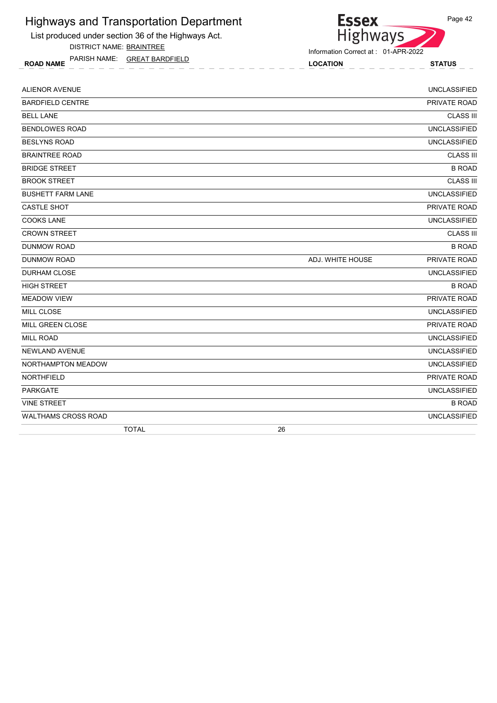List produced under section 36 of the Highways Act.

DISTRICT NAME: BRAINTREE

ROAD NAME LOCATION STATUS PARISH NAME: GREAT BARDFIELD

#### Information Correct at : 01-APR-2022

Essex<br>Highways

| MILL GREEN CLOSE         | PRIVATE ROAD                     |
|--------------------------|----------------------------------|
|                          |                                  |
| MILL CLOSE               | <b>UNCLASSIFIED</b>              |
| <b>MEADOW VIEW</b>       | PRIVATE ROAD                     |
| <b>HIGH STREET</b>       | <b>B ROAD</b>                    |
| <b>DURHAM CLOSE</b>      | <b>UNCLASSIFIED</b>              |
| <b>DUNMOW ROAD</b>       | PRIVATE ROAD<br>ADJ. WHITE HOUSE |
| <b>DUNMOW ROAD</b>       | <b>B ROAD</b>                    |
| <b>CROWN STREET</b>      | <b>CLASS III</b>                 |
| <b>COOKS LANE</b>        | <b>UNCLASSIFIED</b>              |
| <b>CASTLE SHOT</b>       | PRIVATE ROAD                     |
| <b>BUSHETT FARM LANE</b> | <b>UNCLASSIFIED</b>              |
| <b>BROOK STREET</b>      | <b>CLASS III</b>                 |
| <b>BRIDGE STREET</b>     | <b>B ROAD</b>                    |
| <b>BRAINTREE ROAD</b>    | <b>CLASS III</b>                 |
| <b>BESLYNS ROAD</b>      | <b>UNCLASSIFIED</b>              |
| <b>BENDLOWES ROAD</b>    | <b>UNCLASSIFIED</b>              |
| <b>BELL LANE</b>         | <b>CLASS III</b>                 |
| <b>BARDFIELD CENTRE</b>  | PRIVATE ROAD                     |
| <b>ALIENOR AVENUE</b>    | <b>UNCLASSIFIED</b>              |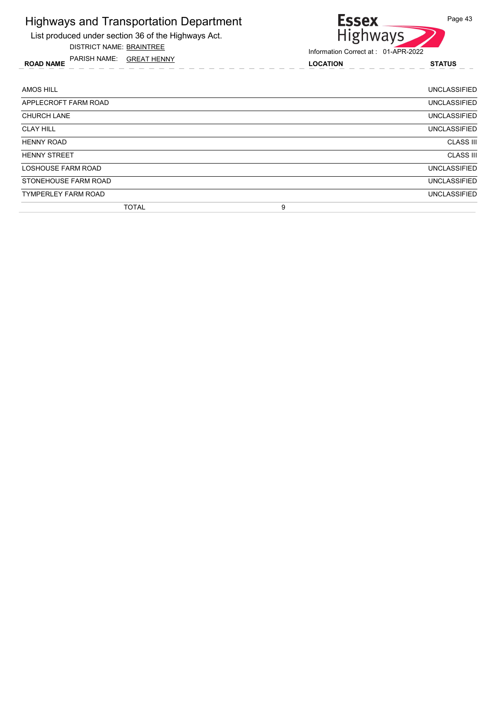List produced under section 36 of the Highways Act.

DISTRICT NAME: BRAINTREE

ROAD NAME LOCATION STATUS PARISH NAME: GREAT HENNY



| AMOS HILL                  | UNCLASSIFIED        |
|----------------------------|---------------------|
| APPLECROFT FARM ROAD       | <b>UNCLASSIFIED</b> |
| <b>CHURCH LANE</b>         | <b>UNCLASSIFIED</b> |
| <b>CLAY HILL</b>           | <b>UNCLASSIFIED</b> |
| <b>HENNY ROAD</b>          | <b>CLASS III</b>    |
| <b>HENNY STREET</b>        | <b>CLASS III</b>    |
| LOSHOUSE FARM ROAD         | UNCLASSIFIED        |
| STONEHOUSE FARM ROAD       | <b>UNCLASSIFIED</b> |
| <b>TYMPERLEY FARM ROAD</b> | <b>UNCLASSIFIED</b> |
| <b>TOTAL</b>               | 9                   |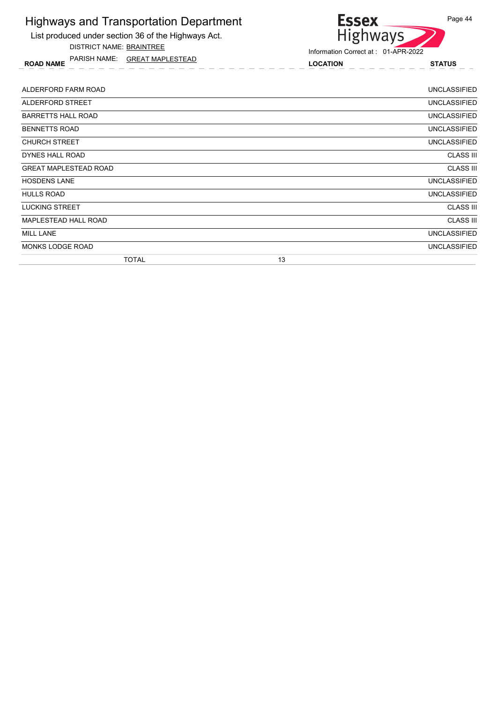

DISTRICT NAME: BRAINTREE

ROAD NAME LOCATION STATUS PARISH NAME: GREAT MAPLESTEAD



| ALDERFORD FARM ROAD          |    | UNCLASSIFIED        |
|------------------------------|----|---------------------|
| ALDERFORD STREET             |    | UNCLASSIFIED        |
| <b>BARRETTS HALL ROAD</b>    |    | <b>UNCLASSIFIED</b> |
| <b>BENNETTS ROAD</b>         |    | <b>UNCLASSIFIED</b> |
| <b>CHURCH STREET</b>         |    | <b>UNCLASSIFIED</b> |
| DYNES HALL ROAD              |    | <b>CLASS III</b>    |
| <b>GREAT MAPLESTEAD ROAD</b> |    | <b>CLASS III</b>    |
| <b>HOSDENS LANE</b>          |    | <b>UNCLASSIFIED</b> |
| <b>HULLS ROAD</b>            |    | <b>UNCLASSIFIED</b> |
| <b>LUCKING STREET</b>        |    | <b>CLASS III</b>    |
| MAPLESTEAD HALL ROAD         |    | <b>CLASS III</b>    |
| <b>MILL LANE</b>             |    | <b>UNCLASSIFIED</b> |
| <b>MONKS LODGE ROAD</b>      |    | <b>UNCLASSIFIED</b> |
| <b>TOTAL</b>                 | 13 |                     |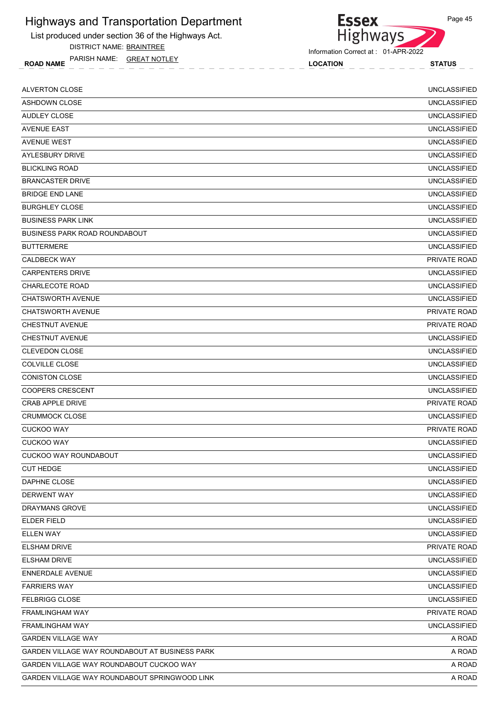List produced under section 36 of the Highways Act.

DISTRICT NAME: BRAINTREE

ROAD NAME LOCATION STATUS PARISH NAME: GREAT NOTLEY



Information Correct at : 01-APR-2022

**Essex** 

| <b>ALVERTON CLOSE</b>                          | <b>UNCLASSIFIED</b> |
|------------------------------------------------|---------------------|
| <b>ASHDOWN CLOSE</b>                           | <b>UNCLASSIFIED</b> |
| AUDLEY CLOSE                                   | <b>UNCLASSIFIED</b> |
| <b>AVENUE EAST</b>                             | <b>UNCLASSIFIED</b> |
| <b>AVENUE WEST</b>                             | <b>UNCLASSIFIED</b> |
| AYLESBURY DRIVE                                | <b>UNCLASSIFIED</b> |
| <b>BLICKLING ROAD</b>                          | <b>UNCLASSIFIED</b> |
| <b>BRANCASTER DRIVE</b>                        | <b>UNCLASSIFIED</b> |
| <b>BRIDGE END LANE</b>                         | <b>UNCLASSIFIED</b> |
| <b>BURGHLEY CLOSE</b>                          | <b>UNCLASSIFIED</b> |
| <b>BUSINESS PARK LINK</b>                      | <b>UNCLASSIFIED</b> |
| <b>BUSINESS PARK ROAD ROUNDABOUT</b>           | <b>UNCLASSIFIED</b> |
| <b>BUTTERMERE</b>                              | <b>UNCLASSIFIED</b> |
| <b>CALDBECK WAY</b>                            | PRIVATE ROAD        |
| <b>CARPENTERS DRIVE</b>                        | <b>UNCLASSIFIED</b> |
| <b>CHARLECOTE ROAD</b>                         | <b>UNCLASSIFIED</b> |
| <b>CHATSWORTH AVENUE</b>                       | <b>UNCLASSIFIED</b> |
| <b>CHATSWORTH AVENUE</b>                       | <b>PRIVATE ROAD</b> |
| <b>CHESTNUT AVENUE</b>                         | PRIVATE ROAD        |
| CHESTNUT AVENUE                                | <b>UNCLASSIFIED</b> |
| <b>CLEVEDON CLOSE</b>                          | <b>UNCLASSIFIED</b> |
| <b>COLVILLE CLOSE</b>                          | <b>UNCLASSIFIED</b> |
| <b>CONISTON CLOSE</b>                          | <b>UNCLASSIFIED</b> |
| <b>COOPERS CRESCENT</b>                        | <b>UNCLASSIFIED</b> |
| <b>CRAB APPLE DRIVE</b>                        | PRIVATE ROAD        |
| <b>CRUMMOCK CLOSE</b>                          | <b>UNCLASSIFIED</b> |
| <b>CUCKOO WAY</b>                              | PRIVATE ROAD        |
| <b>CUCKOO WAY</b>                              | <b>UNCLASSIFIED</b> |
| CUCKOO WAY ROUNDABOUT                          | <b>UNCLASSIFIED</b> |
| <b>CUT HEDGE</b>                               | <b>UNCLASSIFIED</b> |
| DAPHNE CLOSE                                   | <b>UNCLASSIFIED</b> |
| <b>DERWENT WAY</b>                             | <b>UNCLASSIFIED</b> |
| <b>DRAYMANS GROVE</b>                          | <b>UNCLASSIFIED</b> |
| <b>ELDER FIELD</b>                             | <b>UNCLASSIFIED</b> |
| <b>ELLEN WAY</b>                               | <b>UNCLASSIFIED</b> |
| <b>ELSHAM DRIVE</b>                            | PRIVATE ROAD        |
| ELSHAM DRIVE                                   | <b>UNCLASSIFIED</b> |
| <b>ENNERDALE AVENUE</b>                        | <b>UNCLASSIFIED</b> |
| <b>FARRIERS WAY</b>                            | <b>UNCLASSIFIED</b> |
| <b>FELBRIGG CLOSE</b>                          | <b>UNCLASSIFIED</b> |
| <b>FRAMLINGHAM WAY</b>                         | PRIVATE ROAD        |
| <b>FRAMLINGHAM WAY</b>                         | <b>UNCLASSIFIED</b> |
| <b>GARDEN VILLAGE WAY</b>                      | A ROAD              |
| GARDEN VILLAGE WAY ROUNDABOUT AT BUSINESS PARK | A ROAD              |
| GARDEN VILLAGE WAY ROUNDABOUT CUCKOO WAY       | A ROAD              |
| GARDEN VILLAGE WAY ROUNDABOUT SPRINGWOOD LINK  | A ROAD              |
|                                                |                     |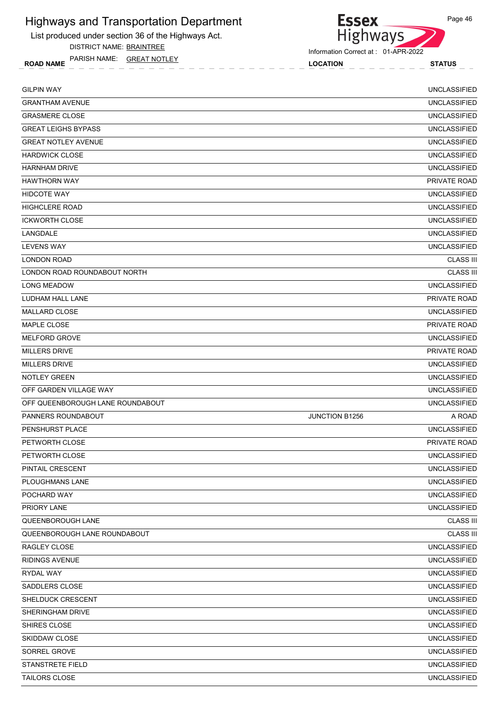List produced under section 36 of the Highways Act.

DISTRICT NAME: BRAINTREE

ROAD NAME LOCATION STATUS PARISH NAME: GREAT NOTLEY



Information Correct at : 01-APR-2022

| <b>GILPIN WAY</b>                |                | <b>UNCLASSIFIED</b> |
|----------------------------------|----------------|---------------------|
| <b>GRANTHAM AVENUE</b>           |                | <b>UNCLASSIFIED</b> |
| <b>GRASMERE CLOSE</b>            |                | <b>UNCLASSIFIED</b> |
| <b>GREAT LEIGHS BYPASS</b>       |                | <b>UNCLASSIFIED</b> |
| <b>GREAT NOTLEY AVENUE</b>       |                | <b>UNCLASSIFIED</b> |
| <b>HARDWICK CLOSE</b>            |                | <b>UNCLASSIFIED</b> |
| <b>HARNHAM DRIVE</b>             |                | <b>UNCLASSIFIED</b> |
| <b>HAWTHORN WAY</b>              |                | <b>PRIVATE ROAD</b> |
| <b>HIDCOTE WAY</b>               |                | <b>UNCLASSIFIED</b> |
| <b>HIGHCLERE ROAD</b>            |                | <b>UNCLASSIFIED</b> |
| <b>ICKWORTH CLOSE</b>            |                | <b>UNCLASSIFIED</b> |
| LANGDALE                         |                | <b>UNCLASSIFIED</b> |
| <b>LEVENS WAY</b>                |                | <b>UNCLASSIFIED</b> |
| <b>LONDON ROAD</b>               |                | <b>CLASS III</b>    |
| LONDON ROAD ROUNDABOUT NORTH     |                | <b>CLASS III</b>    |
| <b>LONG MEADOW</b>               |                | <b>UNCLASSIFIED</b> |
| LUDHAM HALL LANE                 |                | PRIVATE ROAD        |
| <b>MALLARD CLOSE</b>             |                | <b>UNCLASSIFIED</b> |
| MAPLE CLOSE                      |                | PRIVATE ROAD        |
| MELFORD GROVE                    |                | <b>UNCLASSIFIED</b> |
| <b>MILLERS DRIVE</b>             |                | PRIVATE ROAD        |
| <b>MILLERS DRIVE</b>             |                | <b>UNCLASSIFIED</b> |
| <b>NOTLEY GREEN</b>              |                | <b>UNCLASSIFIED</b> |
| OFF GARDEN VILLAGE WAY           |                | <b>UNCLASSIFIED</b> |
| OFF QUEENBOROUGH LANE ROUNDABOUT |                | <b>UNCLASSIFIED</b> |
| PANNERS ROUNDABOUT               | JUNCTION B1256 | A ROAD              |
| PENSHURST PLACE                  |                | <b>UNCLASSIFIED</b> |
| PETWORTH CLOSE                   |                | <b>PRIVATE ROAD</b> |
| PETWORTH CLOSE                   |                | <b>UNCLASSIFIED</b> |
| PINTAIL CRESCENT                 |                | <b>UNCLASSIFIED</b> |
| <b>PLOUGHMANS LANE</b>           |                | <b>UNCLASSIFIED</b> |
| POCHARD WAY                      |                | <b>UNCLASSIFIED</b> |
| PRIORY LANE                      |                | <b>UNCLASSIFIED</b> |
| QUEENBOROUGH LANE                |                | <b>CLASS III</b>    |
| QUEENBOROUGH LANE ROUNDABOUT     |                | <b>CLASS III</b>    |
| RAGLEY CLOSE                     |                | <b>UNCLASSIFIED</b> |
| <b>RIDINGS AVENUE</b>            |                | <b>UNCLASSIFIED</b> |
| RYDAL WAY                        |                | <b>UNCLASSIFIED</b> |
| SADDLERS CLOSE                   |                | <b>UNCLASSIFIED</b> |
| SHELDUCK CRESCENT                |                | <b>UNCLASSIFIED</b> |
| SHERINGHAM DRIVE                 |                | <b>UNCLASSIFIED</b> |
| SHIRES CLOSE                     |                | <b>UNCLASSIFIED</b> |
| SKIDDAW CLOSE                    |                | <b>UNCLASSIFIED</b> |
| SORREL GROVE                     |                | <b>UNCLASSIFIED</b> |
| <b>STANSTRETE FIELD</b>          |                | <b>UNCLASSIFIED</b> |
| TAILORS CLOSE                    |                | <b>UNCLASSIFIED</b> |
|                                  |                |                     |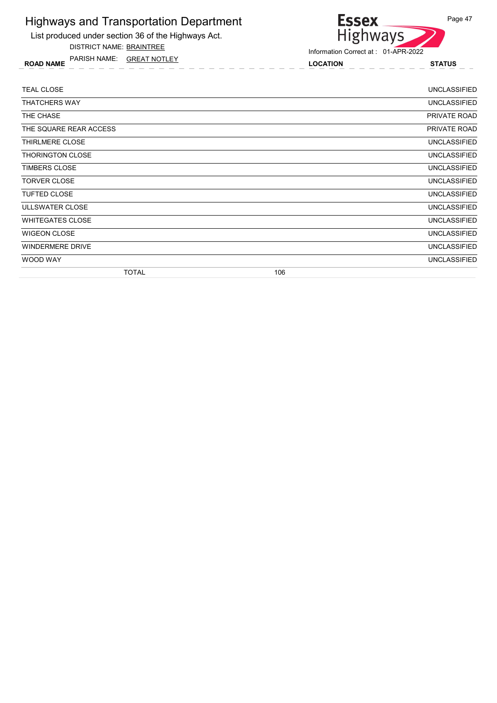List produced under section 36 of the Highways Act.

DISTRICT NAME: BRAINTREE

ROAD NAME LOCATION STATUS PARISH NAME: GREAT NOTLEY



| <b>TEAL CLOSE</b>       |     | <b>UNCLASSIFIED</b> |
|-------------------------|-----|---------------------|
| <b>THATCHERS WAY</b>    |     | <b>UNCLASSIFIED</b> |
| THE CHASE               |     | PRIVATE ROAD        |
| THE SQUARE REAR ACCESS  |     | PRIVATE ROAD        |
| THIRLMERE CLOSE         |     | <b>UNCLASSIFIED</b> |
| <b>THORINGTON CLOSE</b> |     | <b>UNCLASSIFIED</b> |
| <b>TIMBERS CLOSE</b>    |     | <b>UNCLASSIFIED</b> |
| <b>TORVER CLOSE</b>     |     | <b>UNCLASSIFIED</b> |
| <b>TUFTED CLOSE</b>     |     | <b>UNCLASSIFIED</b> |
| ULLSWATER CLOSE         |     | <b>UNCLASSIFIED</b> |
| <b>WHITEGATES CLOSE</b> |     | <b>UNCLASSIFIED</b> |
| <b>WIGEON CLOSE</b>     |     | <b>UNCLASSIFIED</b> |
| <b>WINDERMERE DRIVE</b> |     | <b>UNCLASSIFIED</b> |
| WOOD WAY                |     | <b>UNCLASSIFIED</b> |
| <b>TOTAL</b>            | 106 |                     |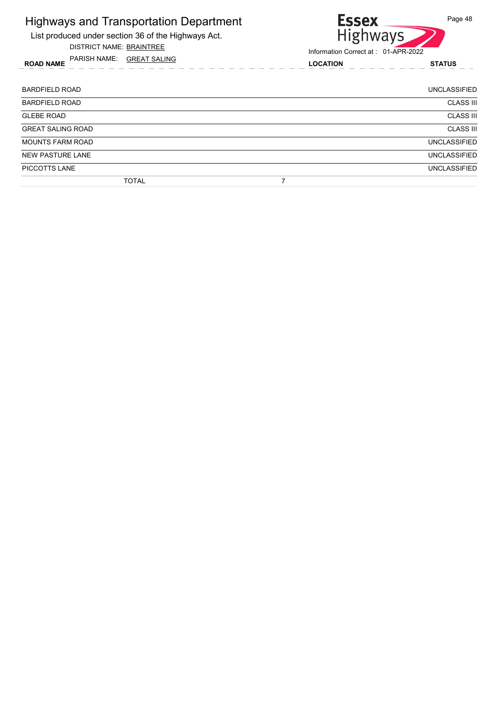List produced under section 36 of the Highways Act.

DISTRICT NAME: BRAINTREE

ROAD NAME LOCATION STATUS PARISH NAME: GREAT SALING



| <b>BARDFIELD ROAD</b>    | <b>UNCLASSIFIED</b> |
|--------------------------|---------------------|
| <b>BARDFIELD ROAD</b>    | <b>CLASS III</b>    |
| <b>GLEBE ROAD</b>        | <b>CLASS III</b>    |
| <b>GREAT SALING ROAD</b> | <b>CLASS III</b>    |
| <b>MOUNTS FARM ROAD</b>  | <b>UNCLASSIFIED</b> |
| <b>NEW PASTURE LANE</b>  | <b>UNCLASSIFIED</b> |
| PICCOTTS LANE            | <b>UNCLASSIFIED</b> |
| <b>TOTAL</b>             |                     |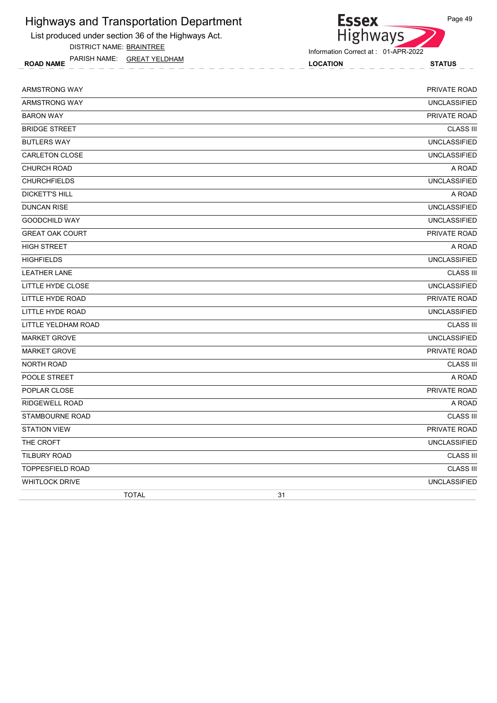List produced under section 36 of the Highways Act.

DISTRICT NAME: BRAINTREE

ROAD NAME LOCATION STATUS PARISH NAME: GREAT YELDHAM



| ARMSTRONG WAY           | PRIVATE ROAD        |
|-------------------------|---------------------|
| ARMSTRONG WAY           | <b>UNCLASSIFIED</b> |
| <b>BARON WAY</b>        | PRIVATE ROAD        |
| <b>BRIDGE STREET</b>    | <b>CLASS III</b>    |
| <b>BUTLERS WAY</b>      | <b>UNCLASSIFIED</b> |
| <b>CARLETON CLOSE</b>   | <b>UNCLASSIFIED</b> |
| <b>CHURCH ROAD</b>      | A ROAD              |
| <b>CHURCHFIELDS</b>     | <b>UNCLASSIFIED</b> |
| <b>DICKETT'S HILL</b>   | A ROAD              |
| <b>DUNCAN RISE</b>      | <b>UNCLASSIFIED</b> |
| <b>GOODCHILD WAY</b>    | <b>UNCLASSIFIED</b> |
| <b>GREAT OAK COURT</b>  | PRIVATE ROAD        |
| <b>HIGH STREET</b>      | A ROAD              |
| <b>HIGHFIELDS</b>       | <b>UNCLASSIFIED</b> |
| <b>LEATHER LANE</b>     | <b>CLASS III</b>    |
| LITTLE HYDE CLOSE       | <b>UNCLASSIFIED</b> |
| LITTLE HYDE ROAD        | PRIVATE ROAD        |
| LITTLE HYDE ROAD        | <b>UNCLASSIFIED</b> |
| LITTLE YELDHAM ROAD     | <b>CLASS III</b>    |
| <b>MARKET GROVE</b>     | <b>UNCLASSIFIED</b> |
| <b>MARKET GROVE</b>     | PRIVATE ROAD        |
| <b>NORTH ROAD</b>       | <b>CLASS III</b>    |
| POOLE STREET            | A ROAD              |
| POPLAR CLOSE            | PRIVATE ROAD        |
| <b>RIDGEWELL ROAD</b>   | A ROAD              |
| <b>STAMBOURNE ROAD</b>  | <b>CLASS III</b>    |
| <b>STATION VIEW</b>     | PRIVATE ROAD        |
| THE CROFT               | <b>UNCLASSIFIED</b> |
| <b>TILBURY ROAD</b>     | <b>CLASS III</b>    |
| <b>TOPPESFIELD ROAD</b> | <b>CLASS III</b>    |
| <b>WHITLOCK DRIVE</b>   | <b>UNCLASSIFIED</b> |
| <b>TOTAL</b>            | 31                  |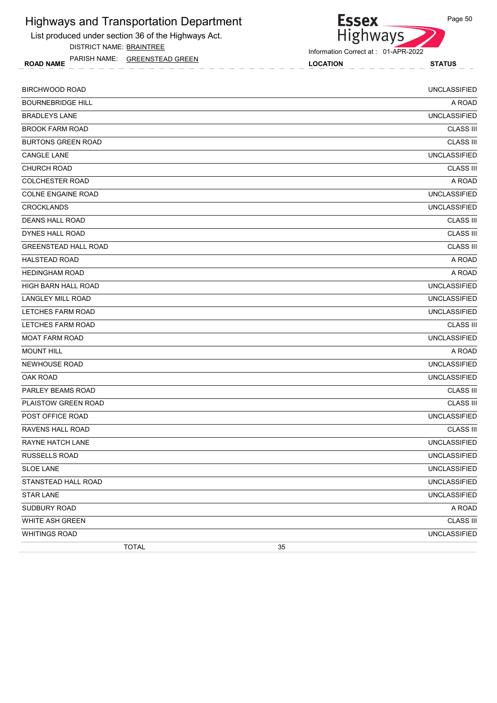List produced under section 36 of the Highways Act. DISTRICT NAME: BRAINTREE

ROAD NAME LOCATION STATUS PARISH NAME: GREENSTEAD GREEN



**Essex** 

| <b>BIRCHWOOD ROAD</b>       | <b>UNCLASSIFIED</b> |
|-----------------------------|---------------------|
| <b>BOURNEBRIDGE HILL</b>    | A ROAD              |
| <b>BRADLEYS LANE</b>        | <b>UNCLASSIFIED</b> |
| <b>BROOK FARM ROAD</b>      | <b>CLASS III</b>    |
| <b>BURTONS GREEN ROAD</b>   | <b>CLASS III</b>    |
| <b>CANGLE LANE</b>          | <b>UNCLASSIFIED</b> |
| <b>CHURCH ROAD</b>          | <b>CLASS III</b>    |
| <b>COLCHESTER ROAD</b>      | A ROAD              |
| <b>COLNE ENGAINE ROAD</b>   | <b>UNCLASSIFIED</b> |
| <b>CROCKLANDS</b>           | <b>UNCLASSIFIED</b> |
| <b>DEANS HALL ROAD</b>      | <b>CLASS III</b>    |
| <b>DYNES HALL ROAD</b>      | <b>CLASS III</b>    |
| <b>GREENSTEAD HALL ROAD</b> | <b>CLASS III</b>    |
| <b>HALSTEAD ROAD</b>        | A ROAD              |
| <b>HEDINGHAM ROAD</b>       | A ROAD              |
| HIGH BARN HALL ROAD         | <b>UNCLASSIFIED</b> |
| <b>LANGLEY MILL ROAD</b>    | <b>UNCLASSIFIED</b> |
| LETCHES FARM ROAD           | <b>UNCLASSIFIED</b> |
| LETCHES FARM ROAD           | <b>CLASS III</b>    |
| <b>MOAT FARM ROAD</b>       | <b>UNCLASSIFIED</b> |
| <b>MOUNT HILL</b>           | A ROAD              |
| NEWHOUSE ROAD               | <b>UNCLASSIFIED</b> |
| <b>OAK ROAD</b>             | <b>UNCLASSIFIED</b> |
| PARLEY BEAMS ROAD           | <b>CLASS III</b>    |
| PLAISTOW GREEN ROAD         | <b>CLASS III</b>    |
| POST OFFICE ROAD            | <b>UNCLASSIFIED</b> |
| <b>RAVENS HALL ROAD</b>     | <b>CLASS III</b>    |
| <b>RAYNE HATCH LANE</b>     | <b>UNCLASSIFIED</b> |
| <b>RUSSELLS ROAD</b>        | <b>UNCLASSIFIED</b> |
| <b>SLOE LANE</b>            | <b>UNCLASSIFIED</b> |
| STANSTEAD HALL ROAD         | <b>UNCLASSIFIED</b> |
| <b>STAR LANE</b>            | <b>UNCLASSIFIED</b> |
| SUDBURY ROAD                | A ROAD              |
| WHITE ASH GREEN             | <b>CLASS III</b>    |
| <b>WHITINGS ROAD</b>        | <b>UNCLASSIFIED</b> |
| <b>TOTAL</b>                | $35\,$              |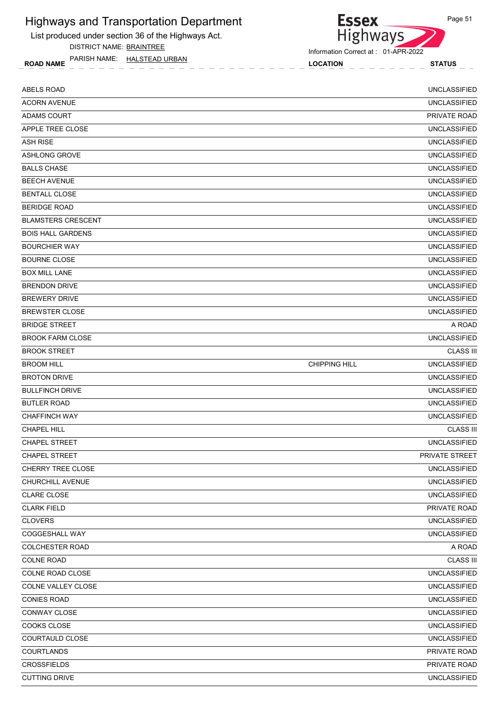List produced under section 36 of the Highways Act.

DISTRICT NAME: BRAINTREE

ROAD NAME LOCATION STATUS PARISH NAME: HALSTEAD URBAN



Highways

**Essex** 

| <b>ABELS ROAD</b>         |                      | <b>UNCLASSIFIED</b>   |
|---------------------------|----------------------|-----------------------|
| <b>ACORN AVENUE</b>       |                      | <b>UNCLASSIFIED</b>   |
| <b>ADAMS COURT</b>        |                      | PRIVATE ROAD          |
| APPLE TREE CLOSE          |                      | <b>UNCLASSIFIED</b>   |
| <b>ASH RISE</b>           |                      | <b>UNCLASSIFIED</b>   |
| <b>ASHLONG GROVE</b>      |                      | <b>UNCLASSIFIED</b>   |
| <b>BALLS CHASE</b>        |                      | <b>UNCLASSIFIED</b>   |
| <b>BEECH AVENUE</b>       |                      | <b>UNCLASSIFIED</b>   |
| <b>BENTALL CLOSE</b>      |                      | <b>UNCLASSIFIED</b>   |
| <b>BERIDGE ROAD</b>       |                      | <b>UNCLASSIFIED</b>   |
| <b>BLAMSTERS CRESCENT</b> |                      | <b>UNCLASSIFIED</b>   |
| <b>BOIS HALL GARDENS</b>  |                      | <b>UNCLASSIFIED</b>   |
| <b>BOURCHIER WAY</b>      |                      | <b>UNCLASSIFIED</b>   |
| <b>BOURNE CLOSE</b>       |                      | <b>UNCLASSIFIED</b>   |
| <b>BOX MILL LANE</b>      |                      | <b>UNCLASSIFIED</b>   |
| <b>BRENDON DRIVE</b>      |                      | <b>UNCLASSIFIED</b>   |
| <b>BREWERY DRIVE</b>      |                      | <b>UNCLASSIFIED</b>   |
| <b>BREWSTER CLOSE</b>     |                      | <b>UNCLASSIFIED</b>   |
| <b>BRIDGE STREET</b>      |                      | A ROAD                |
| <b>BROOK FARM CLOSE</b>   |                      | <b>UNCLASSIFIED</b>   |
| <b>BROOK STREET</b>       |                      | <b>CLASS III</b>      |
| <b>BROOM HILL</b>         | <b>CHIPPING HILL</b> | <b>UNCLASSIFIED</b>   |
| <b>BROTON DRIVE</b>       |                      | <b>UNCLASSIFIED</b>   |
| <b>BULLFINCH DRIVE</b>    |                      | <b>UNCLASSIFIED</b>   |
| <b>BUTLER ROAD</b>        |                      | <b>UNCLASSIFIED</b>   |
| <b>CHAFFINCH WAY</b>      |                      | <b>UNCLASSIFIED</b>   |
| <b>CHAPEL HILL</b>        |                      | <b>CLASS III</b>      |
| <b>CHAPEL STREET</b>      |                      | <b>UNCLASSIFIED</b>   |
| <b>CHAPEL STREET</b>      |                      | <b>PRIVATE STREET</b> |
| <b>CHERRY TREE CLOSE</b>  |                      | UNCLASSIFIED          |
| CHURCHILL AVENUE          |                      | <b>UNCLASSIFIED</b>   |
| <b>CLARE CLOSE</b>        |                      | <b>UNCLASSIFIED</b>   |
| <b>CLARK FIELD</b>        |                      | PRIVATE ROAD          |
| <b>CLOVERS</b>            |                      | <b>UNCLASSIFIED</b>   |
| COGGESHALL WAY            |                      | <b>UNCLASSIFIED</b>   |
| COLCHESTER ROAD           |                      | A ROAD                |
| <b>COLNE ROAD</b>         |                      | <b>CLASS III</b>      |
| COLNE ROAD CLOSE          |                      | <b>UNCLASSIFIED</b>   |
| COLNE VALLEY CLOSE        |                      | <b>UNCLASSIFIED</b>   |
| <b>CONIES ROAD</b>        |                      | <b>UNCLASSIFIED</b>   |
| CONWAY CLOSE              |                      | UNCLASSIFIED          |
| COOKS CLOSE               |                      | <b>UNCLASSIFIED</b>   |
| COURTAULD CLOSE           |                      | UNCLASSIFIED          |
| <b>COURTLANDS</b>         |                      | PRIVATE ROAD          |
| <b>CROSSFIELDS</b>        |                      | PRIVATE ROAD          |
| <b>CUTTING DRIVE</b>      |                      | <b>UNCLASSIFIED</b>   |
|                           |                      |                       |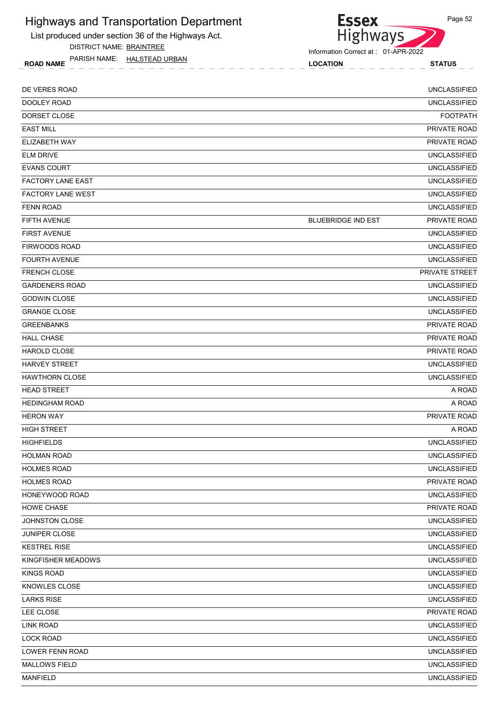List produced under section 36 of the Highways Act.

DISTRICT NAME: BRAINTREE

ROAD NAME LOCATION STATUS PARISH NAME: HALSTEAD URBAN

Highways

**Essex** 

| DE VERES ROAD            |                           | <b>UNCLASSIFIED</b> |
|--------------------------|---------------------------|---------------------|
| DOOLEY ROAD              |                           | <b>UNCLASSIFIED</b> |
| DORSET CLOSE             |                           | <b>FOOTPATH</b>     |
| <b>EAST MILL</b>         |                           | PRIVATE ROAD        |
| ELIZABETH WAY            |                           | PRIVATE ROAD        |
| <b>ELM DRIVE</b>         |                           | <b>UNCLASSIFIED</b> |
| <b>EVANS COURT</b>       |                           | <b>UNCLASSIFIED</b> |
| <b>FACTORY LANE EAST</b> |                           | <b>UNCLASSIFIED</b> |
| <b>FACTORY LANE WEST</b> |                           | <b>UNCLASSIFIED</b> |
| <b>FENN ROAD</b>         |                           | <b>UNCLASSIFIED</b> |
| <b>FIFTH AVENUE</b>      | <b>BLUEBRIDGE IND EST</b> | PRIVATE ROAD        |
| <b>FIRST AVENUE</b>      |                           | <b>UNCLASSIFIED</b> |
| <b>FIRWOODS ROAD</b>     |                           | <b>UNCLASSIFIED</b> |
| <b>FOURTH AVENUE</b>     |                           | <b>UNCLASSIFIED</b> |
| <b>FRENCH CLOSE</b>      |                           | PRIVATE STREET      |
| <b>GARDENERS ROAD</b>    |                           | <b>UNCLASSIFIED</b> |
| <b>GODWIN CLOSE</b>      |                           | <b>UNCLASSIFIED</b> |
| <b>GRANGE CLOSE</b>      |                           | <b>UNCLASSIFIED</b> |
| <b>GREENBANKS</b>        |                           | PRIVATE ROAD        |
| <b>HALL CHASE</b>        |                           | PRIVATE ROAD        |
| <b>HAROLD CLOSE</b>      |                           | PRIVATE ROAD        |
| <b>HARVEY STREET</b>     |                           | <b>UNCLASSIFIED</b> |
| <b>HAWTHORN CLOSE</b>    |                           | <b>UNCLASSIFIED</b> |
| <b>HEAD STREET</b>       |                           | A ROAD              |
| <b>HEDINGHAM ROAD</b>    |                           | A ROAD              |
| <b>HERON WAY</b>         |                           | PRIVATE ROAD        |
| <b>HIGH STREET</b>       |                           | A ROAD              |
| <b>HIGHFIELDS</b>        |                           | <b>UNCLASSIFIED</b> |
| <b>HOLMAN ROAD</b>       |                           | <b>UNCLASSIFIED</b> |
| <b>HOLMES ROAD</b>       |                           | <b>UNCLASSIFIED</b> |
| <b>HOLMES ROAD</b>       |                           | PRIVATE ROAD        |
| <b>HONEYWOOD ROAD</b>    |                           | <b>UNCLASSIFIED</b> |
| HOWE CHASE               |                           | PRIVATE ROAD        |
| JOHNSTON CLOSE           |                           | <b>UNCLASSIFIED</b> |
| <b>JUNIPER CLOSE</b>     |                           | <b>UNCLASSIFIED</b> |
| <b>KESTREL RISE</b>      |                           | UNCLASSIFIED        |
| KINGFISHER MEADOWS       |                           | <b>UNCLASSIFIED</b> |
| <b>KINGS ROAD</b>        |                           | <b>UNCLASSIFIED</b> |
| KNOWLES CLOSE            |                           | UNCLASSIFIED        |
| <b>LARKS RISE</b>        |                           | <b>UNCLASSIFIED</b> |
| LEE CLOSE                |                           | PRIVATE ROAD        |
| <b>LINK ROAD</b>         |                           | <b>UNCLASSIFIED</b> |
| <b>LOCK ROAD</b>         |                           | <b>UNCLASSIFIED</b> |
| LOWER FENN ROAD          |                           | <b>UNCLASSIFIED</b> |
| <b>MALLOWS FIELD</b>     |                           | <b>UNCLASSIFIED</b> |
| <b>MANFIELD</b>          |                           | <b>UNCLASSIFIED</b> |
|                          |                           |                     |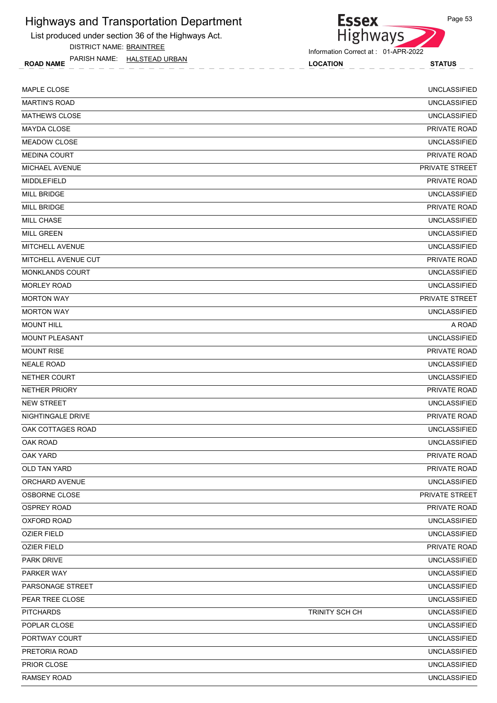List produced under section 36 of the Highways Act.

DISTRICT NAME: BRAINTREE

ROAD NAME LOCATION STATUS PARISH NAME: HALSTEAD URBAN

Information Correct at : 01-APR-2022

**Essex** 

Highways

| MAPLE CLOSE            |                | <b>UNCLASSIFIED</b> |
|------------------------|----------------|---------------------|
| <b>MARTIN'S ROAD</b>   |                | <b>UNCLASSIFIED</b> |
| <b>MATHEWS CLOSE</b>   |                | <b>UNCLASSIFIED</b> |
| <b>MAYDA CLOSE</b>     |                | PRIVATE ROAD        |
| <b>MEADOW CLOSE</b>    |                | <b>UNCLASSIFIED</b> |
| <b>MEDINA COURT</b>    |                | PRIVATE ROAD        |
| <b>MICHAEL AVENUE</b>  |                | PRIVATE STREET      |
| MIDDLEFIELD            |                | <b>PRIVATE ROAD</b> |
| <b>MILL BRIDGE</b>     |                | <b>UNCLASSIFIED</b> |
| <b>MILL BRIDGE</b>     |                | <b>PRIVATE ROAD</b> |
| MILL CHASE             |                | <b>UNCLASSIFIED</b> |
| <b>MILL GREEN</b>      |                | <b>UNCLASSIFIED</b> |
| MITCHELL AVENUE        |                | <b>UNCLASSIFIED</b> |
| MITCHELL AVENUE CUT    |                | PRIVATE ROAD        |
| <b>MONKLANDS COURT</b> |                | <b>UNCLASSIFIED</b> |
| <b>MORLEY ROAD</b>     |                | <b>UNCLASSIFIED</b> |
| <b>MORTON WAY</b>      |                | PRIVATE STREET      |
| <b>MORTON WAY</b>      |                | <b>UNCLASSIFIED</b> |
| <b>MOUNT HILL</b>      |                | A ROAD              |
| <b>MOUNT PLEASANT</b>  |                | <b>UNCLASSIFIED</b> |
| <b>MOUNT RISE</b>      |                | PRIVATE ROAD        |
| <b>NEALE ROAD</b>      |                | <b>UNCLASSIFIED</b> |
| NETHER COURT           |                | <b>UNCLASSIFIED</b> |
| <b>NETHER PRIORY</b>   |                | PRIVATE ROAD        |
| <b>NEW STREET</b>      |                | <b>UNCLASSIFIED</b> |
| NIGHTINGALE DRIVE      |                | PRIVATE ROAD        |
| OAK COTTAGES ROAD      |                | <b>UNCLASSIFIED</b> |
| OAK ROAD               |                | <b>UNCLASSIFIED</b> |
| <b>OAK YARD</b>        |                | PRIVATE ROAD        |
| OLD TAN YARD           |                | PRIVATE ROAD        |
| ORCHARD AVENUE         |                | <b>UNCLASSIFIED</b> |
| OSBORNE CLOSE          |                | PRIVATE STREET      |
| <b>OSPREY ROAD</b>     |                | PRIVATE ROAD        |
| OXFORD ROAD            |                | <b>UNCLASSIFIED</b> |
| <b>OZIER FIELD</b>     |                | <b>UNCLASSIFIED</b> |
| <b>OZIER FIELD</b>     |                | PRIVATE ROAD        |
| PARK DRIVE             |                | <b>UNCLASSIFIED</b> |
| PARKER WAY             |                | <b>UNCLASSIFIED</b> |
| PARSONAGE STREET       |                | <b>UNCLASSIFIED</b> |
| PEAR TREE CLOSE        |                | <b>UNCLASSIFIED</b> |
| <b>PITCHARDS</b>       | TRINITY SCH CH | <b>UNCLASSIFIED</b> |
| POPLAR CLOSE           |                | <b>UNCLASSIFIED</b> |
| PORTWAY COURT          |                | <b>UNCLASSIFIED</b> |
| PRETORIA ROAD          |                | <b>UNCLASSIFIED</b> |
| PRIOR CLOSE            |                | <b>UNCLASSIFIED</b> |
| <b>RAMSEY ROAD</b>     |                | <b>UNCLASSIFIED</b> |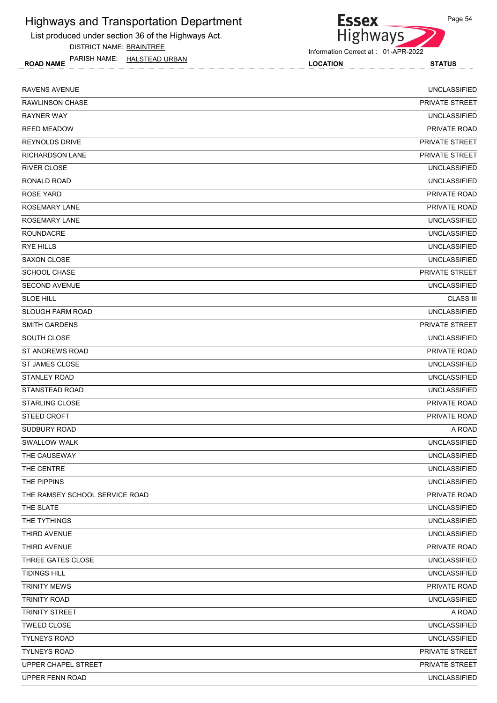List produced under section 36 of the Highways Act.

DISTRICT NAME: BRAINTREE

ROAD NAME LOCATION STATUS PARISH NAME: HALSTEAD URBAN



| <b>RAVENS AVENUE</b>           | <b>UNCLASSIFIED</b>   |
|--------------------------------|-----------------------|
| <b>RAWLINSON CHASE</b>         | PRIVATE STREET        |
| <b>RAYNER WAY</b>              | <b>UNCLASSIFIED</b>   |
| <b>REED MEADOW</b>             | PRIVATE ROAD          |
| <b>REYNOLDS DRIVE</b>          | <b>PRIVATE STREET</b> |
| <b>RICHARDSON LANE</b>         | PRIVATE STREET        |
| <b>RIVER CLOSE</b>             | <b>UNCLASSIFIED</b>   |
| <b>RONALD ROAD</b>             | <b>UNCLASSIFIED</b>   |
| <b>ROSE YARD</b>               | PRIVATE ROAD          |
| <b>ROSEMARY LANE</b>           | PRIVATE ROAD          |
| <b>ROSEMARY LANE</b>           | <b>UNCLASSIFIED</b>   |
| <b>ROUNDACRE</b>               | <b>UNCLASSIFIED</b>   |
| <b>RYE HILLS</b>               | <b>UNCLASSIFIED</b>   |
| <b>SAXON CLOSE</b>             | <b>UNCLASSIFIED</b>   |
| <b>SCHOOL CHASE</b>            | PRIVATE STREET        |
| <b>SECOND AVENUE</b>           | <b>UNCLASSIFIED</b>   |
| <b>SLOE HILL</b>               | <b>CLASS III</b>      |
| <b>SLOUGH FARM ROAD</b>        | <b>UNCLASSIFIED</b>   |
| <b>SMITH GARDENS</b>           | PRIVATE STREET        |
| SOUTH CLOSE                    | <b>UNCLASSIFIED</b>   |
| ST ANDREWS ROAD                | PRIVATE ROAD          |
| <b>ST JAMES CLOSE</b>          | <b>UNCLASSIFIED</b>   |
| <b>STANLEY ROAD</b>            | <b>UNCLASSIFIED</b>   |
| STANSTEAD ROAD                 | <b>UNCLASSIFIED</b>   |
| <b>STARLING CLOSE</b>          | PRIVATE ROAD          |
| <b>STEED CROFT</b>             | PRIVATE ROAD          |
| SUDBURY ROAD                   | A ROAD                |
| <b>SWALLOW WALK</b>            | <b>UNCLASSIFIED</b>   |
| THE CAUSEWAY                   | <b>UNCLASSIFIED</b>   |
| THE CENTRE                     | <b>UNCLASSIFIED</b>   |
| THE PIPPINS                    | <b>UNCLASSIFIED</b>   |
| THE RAMSEY SCHOOL SERVICE ROAD | PRIVATE ROAD          |
| THE SLATE                      | <b>UNCLASSIFIED</b>   |
| THE TYTHINGS                   | <b>UNCLASSIFIED</b>   |
| THIRD AVENUE                   | <b>UNCLASSIFIED</b>   |
| THIRD AVENUE                   | PRIVATE ROAD          |
| THREE GATES CLOSE              | <b>UNCLASSIFIED</b>   |
| <b>TIDINGS HILL</b>            | <b>UNCLASSIFIED</b>   |
| <b>TRINITY MEWS</b>            | PRIVATE ROAD          |
| TRINITY ROAD                   | <b>UNCLASSIFIED</b>   |
| TRINITY STREET                 | A ROAD                |
| <b>TWEED CLOSE</b>             | <b>UNCLASSIFIED</b>   |
| <b>TYLNEYS ROAD</b>            | <b>UNCLASSIFIED</b>   |
| <b>TYLNEYS ROAD</b>            | PRIVATE STREET        |
| UPPER CHAPEL STREET            | PRIVATE STREET        |
| UPPER FENN ROAD                | <b>UNCLASSIFIED</b>   |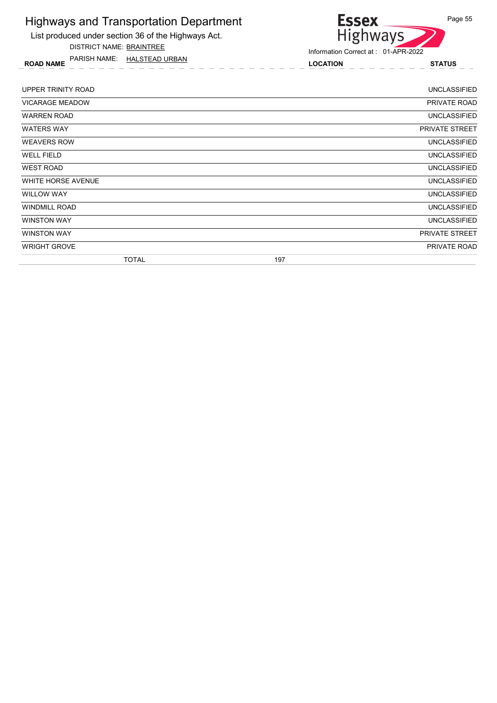

DISTRICT NAME: BRAINTREE

ROAD NAME LOCATION STATUS PARISH NAME: HALSTEAD URBAN



| UPPER TRINITY ROAD     |              |     | <b>UNCLASSIFIED</b>   |
|------------------------|--------------|-----|-----------------------|
| <b>VICARAGE MEADOW</b> |              |     | PRIVATE ROAD          |
| <b>WARREN ROAD</b>     |              |     | UNCLASSIFIED          |
| <b>WATERS WAY</b>      |              |     | <b>PRIVATE STREET</b> |
| <b>WEAVERS ROW</b>     |              |     | <b>UNCLASSIFIED</b>   |
| <b>WELL FIELD</b>      |              |     | <b>UNCLASSIFIED</b>   |
| <b>WEST ROAD</b>       |              |     | UNCLASSIFIED          |
| WHITE HORSE AVENUE     |              |     | <b>UNCLASSIFIED</b>   |
| <b>WILLOW WAY</b>      |              |     | <b>UNCLASSIFIED</b>   |
| <b>WINDMILL ROAD</b>   |              |     | <b>UNCLASSIFIED</b>   |
| <b>WINSTON WAY</b>     |              |     | <b>UNCLASSIFIED</b>   |
| <b>WINSTON WAY</b>     |              |     | <b>PRIVATE STREET</b> |
| <b>WRIGHT GROVE</b>    |              |     | PRIVATE ROAD          |
|                        | <b>TOTAL</b> | 197 |                       |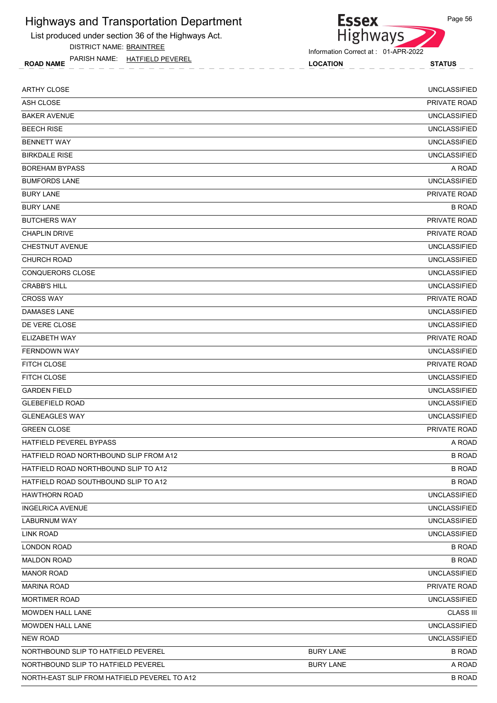List produced under section 36 of the Highways Act.

DISTRICT NAME: BRAINTREE

ROAD NAME LOCATION STATUS PARISH NAME: HATFIELD PEVEREL



| ASH CLOSE<br><b>BAKER AVENUE</b><br><b>BEECH RISE</b><br><b>BENNETT WAY</b><br><b>BIRKDALE RISE</b><br><b>BOREHAM BYPASS</b><br><b>BUMFORDS LANE</b><br><b>BURY LANE</b><br><b>BURY LANE</b><br><b>BUTCHERS WAY</b><br><b>CHAPLIN DRIVE</b><br><b>CHESTNUT AVENUE</b><br><b>CHURCH ROAD</b><br>CONQUERORS CLOSE<br><b>CRABB'S HILL</b><br><b>CROSS WAY</b><br><b>DAMASES LANE</b><br>DE VERE CLOSE<br>ELIZABETH WAY<br><b>FERNDOWN WAY</b><br>FITCH CLOSE<br>FITCH CLOSE<br><b>GARDEN FIELD</b><br><b>GLEBEFIELD ROAD</b><br><b>GLENEAGLES WAY</b><br><b>GREEN CLOSE</b><br>HATFIELD PEVEREL BYPASS<br>HATFIELD ROAD NORTHBOUND SLIP FROM A12<br>HATFIELD ROAD NORTHBOUND SLIP TO A12<br>HATFIELD ROAD SOUTHBOUND SLIP TO A12<br><b>HAWTHORN ROAD</b><br><b>INGELRICA AVENUE</b><br>LABURNUM WAY<br><b>LINK ROAD</b><br><b>LONDON ROAD</b><br><b>MALDON ROAD</b><br><b>MANOR ROAD</b><br><b>MARINA ROAD</b> | <b>ARTHY CLOSE</b>   | <b>UNCLASSIFIED</b> |
|-------------------------------------------------------------------------------------------------------------------------------------------------------------------------------------------------------------------------------------------------------------------------------------------------------------------------------------------------------------------------------------------------------------------------------------------------------------------------------------------------------------------------------------------------------------------------------------------------------------------------------------------------------------------------------------------------------------------------------------------------------------------------------------------------------------------------------------------------------------------------------------------------------------|----------------------|---------------------|
|                                                                                                                                                                                                                                                                                                                                                                                                                                                                                                                                                                                                                                                                                                                                                                                                                                                                                                             |                      | PRIVATE ROAD        |
|                                                                                                                                                                                                                                                                                                                                                                                                                                                                                                                                                                                                                                                                                                                                                                                                                                                                                                             |                      | <b>UNCLASSIFIED</b> |
|                                                                                                                                                                                                                                                                                                                                                                                                                                                                                                                                                                                                                                                                                                                                                                                                                                                                                                             |                      | <b>UNCLASSIFIED</b> |
|                                                                                                                                                                                                                                                                                                                                                                                                                                                                                                                                                                                                                                                                                                                                                                                                                                                                                                             |                      | <b>UNCLASSIFIED</b> |
|                                                                                                                                                                                                                                                                                                                                                                                                                                                                                                                                                                                                                                                                                                                                                                                                                                                                                                             |                      | <b>UNCLASSIFIED</b> |
|                                                                                                                                                                                                                                                                                                                                                                                                                                                                                                                                                                                                                                                                                                                                                                                                                                                                                                             |                      | A ROAD              |
|                                                                                                                                                                                                                                                                                                                                                                                                                                                                                                                                                                                                                                                                                                                                                                                                                                                                                                             |                      | <b>UNCLASSIFIED</b> |
|                                                                                                                                                                                                                                                                                                                                                                                                                                                                                                                                                                                                                                                                                                                                                                                                                                                                                                             |                      | <b>PRIVATE ROAD</b> |
|                                                                                                                                                                                                                                                                                                                                                                                                                                                                                                                                                                                                                                                                                                                                                                                                                                                                                                             |                      | <b>B ROAD</b>       |
|                                                                                                                                                                                                                                                                                                                                                                                                                                                                                                                                                                                                                                                                                                                                                                                                                                                                                                             |                      | PRIVATE ROAD        |
|                                                                                                                                                                                                                                                                                                                                                                                                                                                                                                                                                                                                                                                                                                                                                                                                                                                                                                             |                      | PRIVATE ROAD        |
|                                                                                                                                                                                                                                                                                                                                                                                                                                                                                                                                                                                                                                                                                                                                                                                                                                                                                                             |                      | <b>UNCLASSIFIED</b> |
|                                                                                                                                                                                                                                                                                                                                                                                                                                                                                                                                                                                                                                                                                                                                                                                                                                                                                                             |                      | <b>UNCLASSIFIED</b> |
|                                                                                                                                                                                                                                                                                                                                                                                                                                                                                                                                                                                                                                                                                                                                                                                                                                                                                                             |                      | <b>UNCLASSIFIED</b> |
|                                                                                                                                                                                                                                                                                                                                                                                                                                                                                                                                                                                                                                                                                                                                                                                                                                                                                                             |                      | <b>UNCLASSIFIED</b> |
|                                                                                                                                                                                                                                                                                                                                                                                                                                                                                                                                                                                                                                                                                                                                                                                                                                                                                                             |                      | PRIVATE ROAD        |
|                                                                                                                                                                                                                                                                                                                                                                                                                                                                                                                                                                                                                                                                                                                                                                                                                                                                                                             |                      | <b>UNCLASSIFIED</b> |
|                                                                                                                                                                                                                                                                                                                                                                                                                                                                                                                                                                                                                                                                                                                                                                                                                                                                                                             |                      | <b>UNCLASSIFIED</b> |
|                                                                                                                                                                                                                                                                                                                                                                                                                                                                                                                                                                                                                                                                                                                                                                                                                                                                                                             |                      | PRIVATE ROAD        |
|                                                                                                                                                                                                                                                                                                                                                                                                                                                                                                                                                                                                                                                                                                                                                                                                                                                                                                             |                      | <b>UNCLASSIFIED</b> |
|                                                                                                                                                                                                                                                                                                                                                                                                                                                                                                                                                                                                                                                                                                                                                                                                                                                                                                             |                      | PRIVATE ROAD        |
|                                                                                                                                                                                                                                                                                                                                                                                                                                                                                                                                                                                                                                                                                                                                                                                                                                                                                                             |                      | <b>UNCLASSIFIED</b> |
|                                                                                                                                                                                                                                                                                                                                                                                                                                                                                                                                                                                                                                                                                                                                                                                                                                                                                                             |                      | <b>UNCLASSIFIED</b> |
|                                                                                                                                                                                                                                                                                                                                                                                                                                                                                                                                                                                                                                                                                                                                                                                                                                                                                                             |                      | <b>UNCLASSIFIED</b> |
|                                                                                                                                                                                                                                                                                                                                                                                                                                                                                                                                                                                                                                                                                                                                                                                                                                                                                                             |                      | <b>UNCLASSIFIED</b> |
|                                                                                                                                                                                                                                                                                                                                                                                                                                                                                                                                                                                                                                                                                                                                                                                                                                                                                                             |                      | PRIVATE ROAD        |
|                                                                                                                                                                                                                                                                                                                                                                                                                                                                                                                                                                                                                                                                                                                                                                                                                                                                                                             |                      | A ROAD              |
|                                                                                                                                                                                                                                                                                                                                                                                                                                                                                                                                                                                                                                                                                                                                                                                                                                                                                                             |                      | <b>B ROAD</b>       |
|                                                                                                                                                                                                                                                                                                                                                                                                                                                                                                                                                                                                                                                                                                                                                                                                                                                                                                             |                      | <b>B ROAD</b>       |
|                                                                                                                                                                                                                                                                                                                                                                                                                                                                                                                                                                                                                                                                                                                                                                                                                                                                                                             |                      | <b>B ROAD</b>       |
|                                                                                                                                                                                                                                                                                                                                                                                                                                                                                                                                                                                                                                                                                                                                                                                                                                                                                                             |                      | <b>UNCLASSIFIED</b> |
|                                                                                                                                                                                                                                                                                                                                                                                                                                                                                                                                                                                                                                                                                                                                                                                                                                                                                                             |                      | <b>UNCLASSIFIED</b> |
|                                                                                                                                                                                                                                                                                                                                                                                                                                                                                                                                                                                                                                                                                                                                                                                                                                                                                                             |                      | <b>UNCLASSIFIED</b> |
|                                                                                                                                                                                                                                                                                                                                                                                                                                                                                                                                                                                                                                                                                                                                                                                                                                                                                                             |                      | <b>UNCLASSIFIED</b> |
|                                                                                                                                                                                                                                                                                                                                                                                                                                                                                                                                                                                                                                                                                                                                                                                                                                                                                                             |                      | <b>B ROAD</b>       |
|                                                                                                                                                                                                                                                                                                                                                                                                                                                                                                                                                                                                                                                                                                                                                                                                                                                                                                             |                      | <b>B ROAD</b>       |
|                                                                                                                                                                                                                                                                                                                                                                                                                                                                                                                                                                                                                                                                                                                                                                                                                                                                                                             |                      | <b>UNCLASSIFIED</b> |
|                                                                                                                                                                                                                                                                                                                                                                                                                                                                                                                                                                                                                                                                                                                                                                                                                                                                                                             |                      | PRIVATE ROAD        |
|                                                                                                                                                                                                                                                                                                                                                                                                                                                                                                                                                                                                                                                                                                                                                                                                                                                                                                             | <b>MORTIMER ROAD</b> | <b>UNCLASSIFIED</b> |
| MOWDEN HALL LANE                                                                                                                                                                                                                                                                                                                                                                                                                                                                                                                                                                                                                                                                                                                                                                                                                                                                                            |                      | <b>CLASS III</b>    |
| MOWDEN HALL LANE                                                                                                                                                                                                                                                                                                                                                                                                                                                                                                                                                                                                                                                                                                                                                                                                                                                                                            |                      | <b>UNCLASSIFIED</b> |
| NEW ROAD                                                                                                                                                                                                                                                                                                                                                                                                                                                                                                                                                                                                                                                                                                                                                                                                                                                                                                    |                      | <b>UNCLASSIFIED</b> |
| NORTHBOUND SLIP TO HATFIELD PEVEREL<br><b>BURY LANE</b>                                                                                                                                                                                                                                                                                                                                                                                                                                                                                                                                                                                                                                                                                                                                                                                                                                                     |                      | <b>B ROAD</b>       |
| <b>BURY LANE</b><br>NORTHBOUND SLIP TO HATFIELD PEVEREL                                                                                                                                                                                                                                                                                                                                                                                                                                                                                                                                                                                                                                                                                                                                                                                                                                                     |                      | A ROAD              |
| NORTH-EAST SLIP FROM HATFIELD PEVEREL TO A12                                                                                                                                                                                                                                                                                                                                                                                                                                                                                                                                                                                                                                                                                                                                                                                                                                                                |                      | <b>B ROAD</b>       |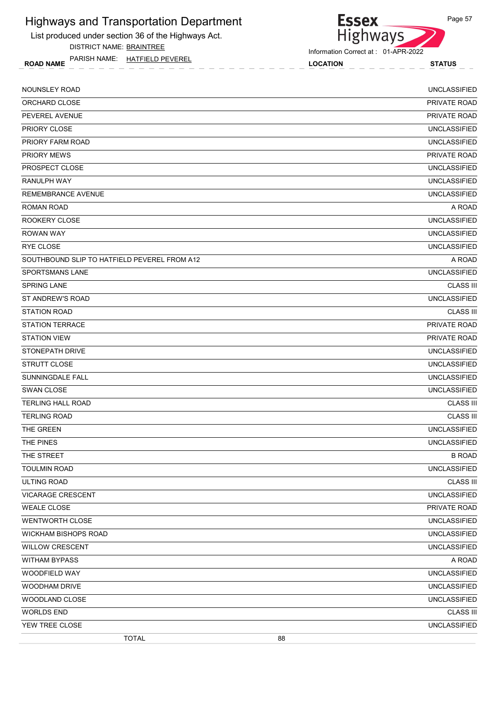List produced under section 36 of the Highways Act.

DISTRICT NAME: BRAINTREE

ROAD NAME LOCATION STATUS PARISH NAME: HATFIELD PEVEREL



| <b>NOUNSLEY ROAD</b>                         |    | <b>UNCLASSIFIED</b> |
|----------------------------------------------|----|---------------------|
| ORCHARD CLOSE                                |    | PRIVATE ROAD        |
| PEVEREL AVENUE                               |    | PRIVATE ROAD        |
| PRIORY CLOSE                                 |    | <b>UNCLASSIFIED</b> |
| PRIORY FARM ROAD                             |    | <b>UNCLASSIFIED</b> |
| PRIORY MEWS                                  |    | PRIVATE ROAD        |
| PROSPECT CLOSE                               |    | <b>UNCLASSIFIED</b> |
| RANULPH WAY                                  |    | <b>UNCLASSIFIED</b> |
| <b>REMEMBRANCE AVENUE</b>                    |    | <b>UNCLASSIFIED</b> |
| ROMAN ROAD                                   |    | A ROAD              |
| ROOKERY CLOSE                                |    | <b>UNCLASSIFIED</b> |
| <b>ROWAN WAY</b>                             |    | <b>UNCLASSIFIED</b> |
| <b>RYE CLOSE</b>                             |    | <b>UNCLASSIFIED</b> |
| SOUTHBOUND SLIP TO HATFIELD PEVEREL FROM A12 |    | A ROAD              |
| <b>SPORTSMANS LANE</b>                       |    | <b>UNCLASSIFIED</b> |
| <b>SPRING LANE</b>                           |    | <b>CLASS III</b>    |
| <b>ST ANDREW'S ROAD</b>                      |    | <b>UNCLASSIFIED</b> |
| <b>STATION ROAD</b>                          |    | <b>CLASS III</b>    |
| <b>STATION TERRACE</b>                       |    | PRIVATE ROAD        |
| <b>STATION VIEW</b>                          |    | PRIVATE ROAD        |
| <b>STONEPATH DRIVE</b>                       |    | <b>UNCLASSIFIED</b> |
| STRUTT CLOSE                                 |    | <b>UNCLASSIFIED</b> |
| SUNNINGDALE FALL                             |    | <b>UNCLASSIFIED</b> |
| <b>SWAN CLOSE</b>                            |    | <b>UNCLASSIFIED</b> |
| <b>TERLING HALL ROAD</b>                     |    | <b>CLASS III</b>    |
| <b>TERLING ROAD</b>                          |    | <b>CLASS III</b>    |
| THE GREEN                                    |    | <b>UNCLASSIFIED</b> |
| THE PINES                                    |    | <b>UNCLASSIFIED</b> |
| THE STREET                                   |    | <b>B ROAD</b>       |
| <b>TOULMIN ROAD</b>                          |    | UNCLASSIFIED        |
| <b>ULTING ROAD</b>                           |    | <b>CLASS III</b>    |
| <b>VICARAGE CRESCENT</b>                     |    | <b>UNCLASSIFIED</b> |
| <b>WEALE CLOSE</b>                           |    | PRIVATE ROAD        |
| WENTWORTH CLOSE                              |    | <b>UNCLASSIFIED</b> |
| <b>WICKHAM BISHOPS ROAD</b>                  |    | <b>UNCLASSIFIED</b> |
| <b>WILLOW CRESCENT</b>                       |    | <b>UNCLASSIFIED</b> |
| <b>WITHAM BYPASS</b>                         |    | A ROAD              |
| WOODFIELD WAY                                |    | <b>UNCLASSIFIED</b> |
| WOODHAM DRIVE                                |    | <b>UNCLASSIFIED</b> |
| WOODLAND CLOSE                               |    | <b>UNCLASSIFIED</b> |
| <b>WORLDS END</b>                            |    | <b>CLASS III</b>    |
| YEW TREE CLOSE                               |    | <b>UNCLASSIFIED</b> |
| <b>TOTAL</b>                                 | 88 |                     |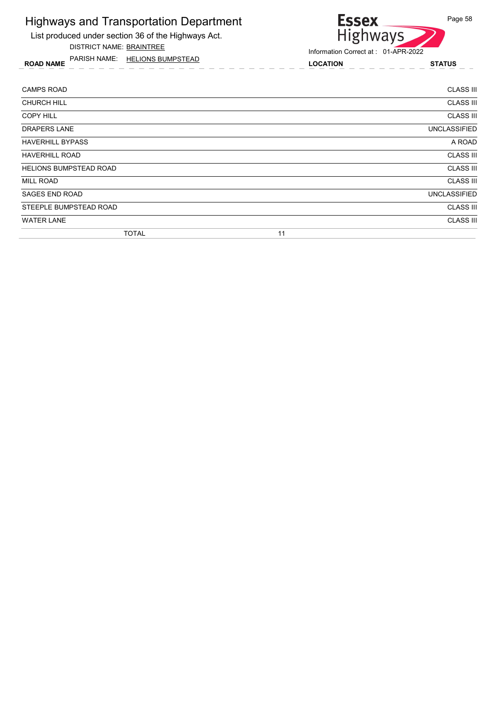

ROAD NAME LOCATION STATUS PARISH NAME: HELIONS BUMPSTEAD



| <b>CAMPS ROAD</b>             |    | <b>CLASS III</b>    |
|-------------------------------|----|---------------------|
| <b>CHURCH HILL</b>            |    | <b>CLASS III</b>    |
| <b>COPY HILL</b>              |    | <b>CLASS III</b>    |
| <b>DRAPERS LANE</b>           |    | <b>UNCLASSIFIED</b> |
| <b>HAVERHILL BYPASS</b>       |    | A ROAD              |
| <b>HAVERHILL ROAD</b>         |    | <b>CLASS III</b>    |
| <b>HELIONS BUMPSTEAD ROAD</b> |    | <b>CLASS III</b>    |
| <b>MILL ROAD</b>              |    | <b>CLASS III</b>    |
| <b>SAGES END ROAD</b>         |    | <b>UNCLASSIFIED</b> |
| STEEPLE BUMPSTEAD ROAD        |    | <b>CLASS III</b>    |
| <b>WATER LANE</b>             |    | <b>CLASS III</b>    |
| <b>TOTAL</b>                  | 11 |                     |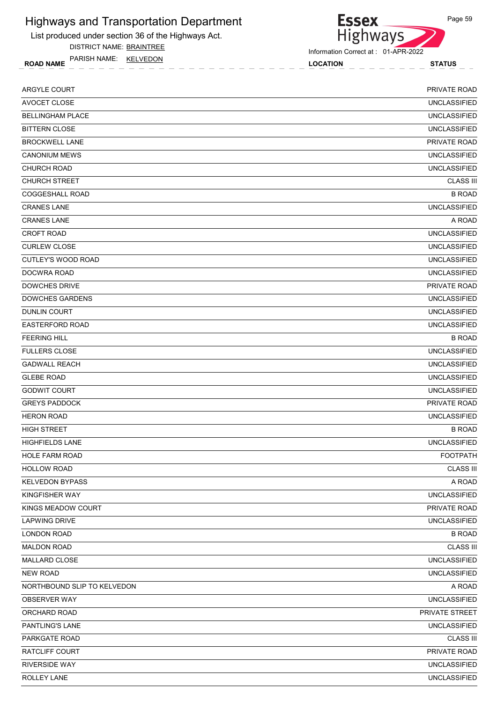List produced under section 36 of the Highways Act.

DISTRICT NAME: BRAINTREE

ROAD NAME LOCATION STATUS PARISH NAME: KELVEDON



Information Correct at : 01-APR-2022

| ARGYLE COURT                | PRIVATE ROAD        |
|-----------------------------|---------------------|
| AVOCET CLOSE                | <b>UNCLASSIFIED</b> |
| <b>BELLINGHAM PLACE</b>     | <b>UNCLASSIFIED</b> |
| <b>BITTERN CLOSE</b>        | <b>UNCLASSIFIED</b> |
| <b>BROCKWELL LANE</b>       | PRIVATE ROAD        |
| <b>CANONIUM MEWS</b>        | <b>UNCLASSIFIED</b> |
| <b>CHURCH ROAD</b>          | <b>UNCLASSIFIED</b> |
| <b>CHURCH STREET</b>        | <b>CLASS III</b>    |
| <b>COGGESHALL ROAD</b>      | <b>B ROAD</b>       |
| <b>CRANES LANE</b>          | <b>UNCLASSIFIED</b> |
| <b>CRANES LANE</b>          | A ROAD              |
| <b>CROFT ROAD</b>           | <b>UNCLASSIFIED</b> |
| <b>CURLEW CLOSE</b>         | <b>UNCLASSIFIED</b> |
| CUTLEY'S WOOD ROAD          | <b>UNCLASSIFIED</b> |
| DOCWRA ROAD                 | <b>UNCLASSIFIED</b> |
| <b>DOWCHES DRIVE</b>        | <b>PRIVATE ROAD</b> |
| <b>DOWCHES GARDENS</b>      | <b>UNCLASSIFIED</b> |
| <b>DUNLIN COURT</b>         | <b>UNCLASSIFIED</b> |
| <b>EASTERFORD ROAD</b>      | <b>UNCLASSIFIED</b> |
| <b>FEERING HILL</b>         | <b>B ROAD</b>       |
| <b>FULLERS CLOSE</b>        | <b>UNCLASSIFIED</b> |
| <b>GADWALL REACH</b>        | <b>UNCLASSIFIED</b> |
| <b>GLEBE ROAD</b>           | <b>UNCLASSIFIED</b> |
| <b>GODWIT COURT</b>         | <b>UNCLASSIFIED</b> |
| <b>GREYS PADDOCK</b>        | PRIVATE ROAD        |
| <b>HERON ROAD</b>           | <b>UNCLASSIFIED</b> |
| <b>HIGH STREET</b>          | <b>B ROAD</b>       |
| <b>HIGHFIELDS LANE</b>      | <b>UNCLASSIFIED</b> |
| <b>HOLE FARM ROAD</b>       | <b>FOOTPATH</b>     |
| <b>HOLLOW ROAD</b>          | <b>CLASS III</b>    |
| <b>KELVEDON BYPASS</b>      | A ROAD              |
| KINGFISHER WAY              | <b>UNCLASSIFIED</b> |
| KINGS MEADOW COURT          | PRIVATE ROAD        |
| <b>LAPWING DRIVE</b>        | <b>UNCLASSIFIED</b> |
| <b>LONDON ROAD</b>          | <b>B ROAD</b>       |
| <b>MALDON ROAD</b>          | <b>CLASS III</b>    |
| MALLARD CLOSE               | <b>UNCLASSIFIED</b> |
| <b>NEW ROAD</b>             | <b>UNCLASSIFIED</b> |
| NORTHBOUND SLIP TO KELVEDON | A ROAD              |
| OBSERVER WAY                | <b>UNCLASSIFIED</b> |
| ORCHARD ROAD                | PRIVATE STREET      |
| PANTLING'S LANE             | <b>UNCLASSIFIED</b> |
| PARKGATE ROAD               | <b>CLASS III</b>    |
| RATCLIFF COURT              | PRIVATE ROAD        |
| <b>RIVERSIDE WAY</b>        | <b>UNCLASSIFIED</b> |
| ROLLEY LANE                 | <b>UNCLASSIFIED</b> |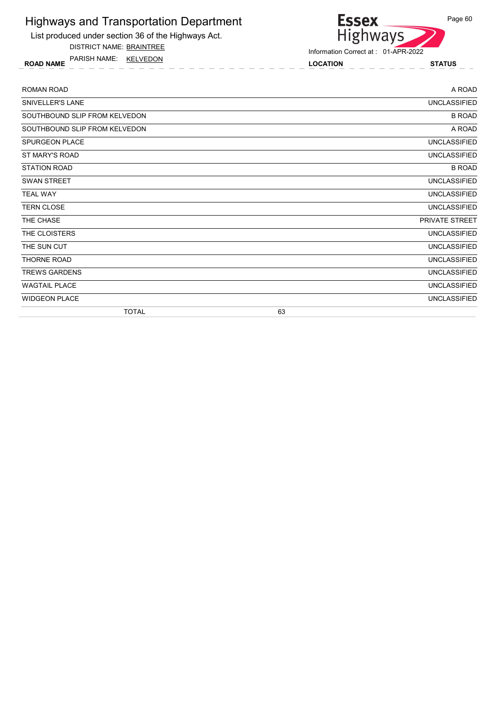List produced under section 36 of the Highways Act.

DISTRICT NAME: BRAINTREE

ROAD NAME LOCATION STATUS PARISH NAME: KELVEDON



| <b>ROMAN ROAD</b>             |    | A ROAD              |
|-------------------------------|----|---------------------|
| SNIVELLER'S LANE              |    | <b>UNCLASSIFIED</b> |
| SOUTHBOUND SLIP FROM KELVEDON |    | <b>B ROAD</b>       |
| SOUTHBOUND SLIP FROM KELVEDON |    | A ROAD              |
| <b>SPURGEON PLACE</b>         |    | <b>UNCLASSIFIED</b> |
| ST MARY'S ROAD                |    | <b>UNCLASSIFIED</b> |
| <b>STATION ROAD</b>           |    | <b>B ROAD</b>       |
| <b>SWAN STREET</b>            |    | UNCLASSIFIED        |
| <b>TEAL WAY</b>               |    | <b>UNCLASSIFIED</b> |
| <b>TERN CLOSE</b>             |    | <b>UNCLASSIFIED</b> |
| THE CHASE                     |    | PRIVATE STREET      |
| THE CLOISTERS                 |    | <b>UNCLASSIFIED</b> |
| THE SUN CUT                   |    | <b>UNCLASSIFIED</b> |
| THORNE ROAD                   |    | <b>UNCLASSIFIED</b> |
| <b>TREWS GARDENS</b>          |    | <b>UNCLASSIFIED</b> |
| <b>WAGTAIL PLACE</b>          |    | <b>UNCLASSIFIED</b> |
| <b>WIDGEON PLACE</b>          |    | <b>UNCLASSIFIED</b> |
| <b>TOTAL</b>                  | 63 |                     |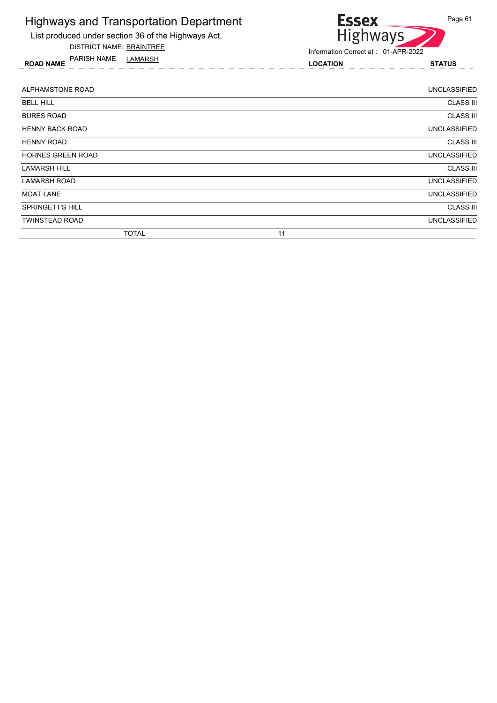

DISTRICT NAME: BRAINTREE

ROAD NAME LOCATION STATUS PARISH NAME: LAMARSH



| ALPHAMSTONE ROAD        | UNCLASSIFIED        |
|-------------------------|---------------------|
| <b>BELL HILL</b>        | <b>CLASS III</b>    |
| <b>BURES ROAD</b>       | <b>CLASS III</b>    |
| <b>HENNY BACK ROAD</b>  | <b>UNCLASSIFIED</b> |
| <b>HENNY ROAD</b>       | <b>CLASS III</b>    |
| HORNES GREEN ROAD       | <b>UNCLASSIFIED</b> |
| <b>LAMARSH HILL</b>     | <b>CLASS III</b>    |
| <b>LAMARSH ROAD</b>     | <b>UNCLASSIFIED</b> |
| <b>MOAT LANE</b>        | <b>UNCLASSIFIED</b> |
| <b>SPRINGETT'S HILL</b> | <b>CLASS III</b>    |
| <b>TWINSTEAD ROAD</b>   | <b>UNCLASSIFIED</b> |
| <b>TOTAL</b>            | 11                  |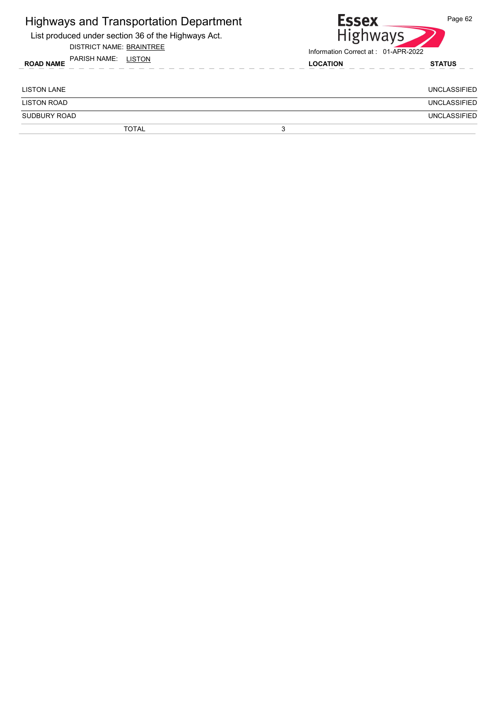| <b>Highways and Transportation Department</b><br>List produced under section 36 of the Highways Act.<br><b>DISTRICT NAME: BRAINTREE</b> | <b>Essex</b><br><b>Highways</b><br>Information Correct at: 01-APR-2022 |  | Page 62             |
|-----------------------------------------------------------------------------------------------------------------------------------------|------------------------------------------------------------------------|--|---------------------|
| PARISH NAME: LISTON<br><b>ROAD NAME</b>                                                                                                 | <b>LOCATION</b>                                                        |  | <b>STATUS</b>       |
| <b>LISTON LANE</b>                                                                                                                      |                                                                        |  | <b>UNCLASSIFIED</b> |
| <b>LISTON ROAD</b>                                                                                                                      |                                                                        |  | <b>UNCLASSIFIED</b> |
| <b>SUDBURY ROAD</b>                                                                                                                     |                                                                        |  | <b>UNCLASSIFIED</b> |
| <b>TOTAL</b>                                                                                                                            | 3                                                                      |  |                     |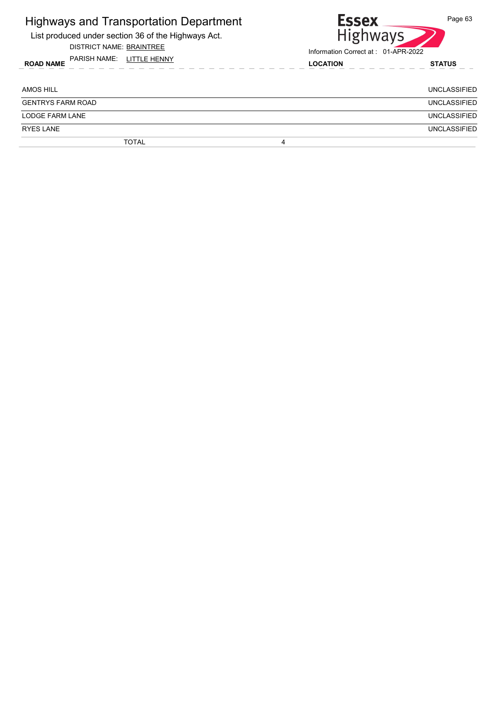| <b>Highways and Transportation Department</b><br>List produced under section 36 of the Highways Act.<br><b>DISTRICT NAME: BRAINTREE</b> | <b>Essex</b><br>Page 63<br>Highways<br>Information Correct at: 01-APR-2022 |                     |  |
|-----------------------------------------------------------------------------------------------------------------------------------------|----------------------------------------------------------------------------|---------------------|--|
| PARISH NAME: LITTLE HENNY<br><b>ROAD NAME</b>                                                                                           | <b>LOCATION</b>                                                            | <b>STATUS</b>       |  |
| AMOS HILL                                                                                                                               |                                                                            | UNCLASSIFIED        |  |
| <b>GENTRYS FARM ROAD</b>                                                                                                                |                                                                            | UNCLASSIFIED        |  |
| <b>LODGE FARM LANE</b>                                                                                                                  |                                                                            | <b>UNCLASSIFIED</b> |  |
| <b>RYES LANE</b>                                                                                                                        |                                                                            | UNCLASSIFIED        |  |
| <b>TOTAL</b>                                                                                                                            | 4                                                                          |                     |  |
|                                                                                                                                         |                                                                            |                     |  |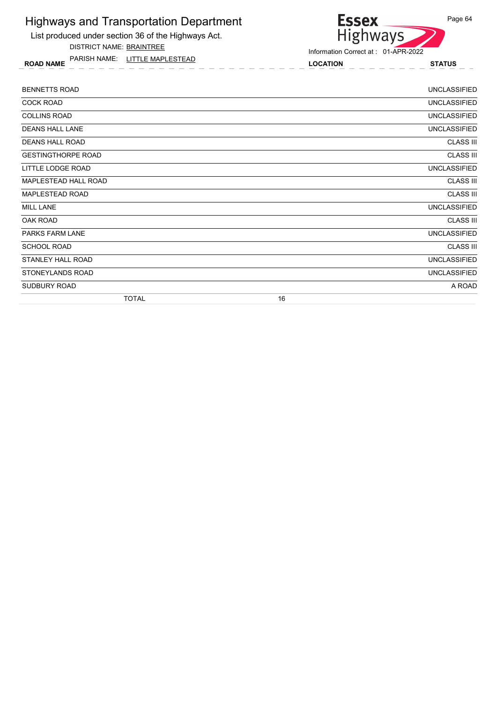List produced under section 36 of the Highways Act.

DISTRICT NAME: BRAINTREE

ROAD NAME LOCATION STATUS PARISH NAME: LITTLE MAPLESTEAD

#### **Essex** Page 64 Highways

| <b>BENNETTS ROAD</b>      | <b>UNCLASSIFIED</b> |
|---------------------------|---------------------|
| <b>COCK ROAD</b>          | <b>UNCLASSIFIED</b> |
| <b>COLLINS ROAD</b>       | <b>UNCLASSIFIED</b> |
| <b>DEANS HALL LANE</b>    | <b>UNCLASSIFIED</b> |
| <b>DEANS HALL ROAD</b>    | <b>CLASS III</b>    |
| <b>GESTINGTHORPE ROAD</b> | <b>CLASS III</b>    |
| LITTLE LODGE ROAD         | <b>UNCLASSIFIED</b> |
| MAPLESTEAD HALL ROAD      | <b>CLASS III</b>    |
| MAPLESTEAD ROAD           | <b>CLASS III</b>    |
| <b>MILL LANE</b>          | <b>UNCLASSIFIED</b> |
| OAK ROAD                  | <b>CLASS III</b>    |
| <b>PARKS FARM LANE</b>    | <b>UNCLASSIFIED</b> |
| <b>SCHOOL ROAD</b>        | <b>CLASS III</b>    |
| STANLEY HALL ROAD         | <b>UNCLASSIFIED</b> |
| STONEYLANDS ROAD          | <b>UNCLASSIFIED</b> |
| SUDBURY ROAD              | A ROAD              |
| <b>TOTAL</b>              | 16                  |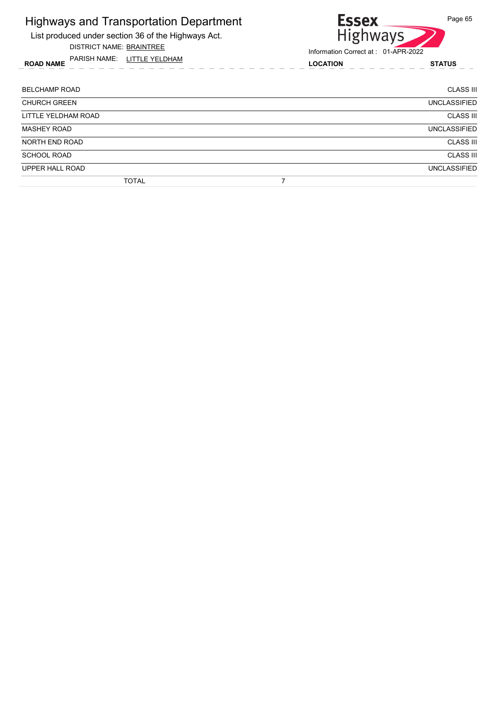List produced under section 36 of the Highways Act.

DISTRICT NAME: BRAINTREE

ROAD NAME LOCATION STATUS PARISH NAME: LITTLE YELDHAM

# Essex<br>Highways Page 65

| <b>BELCHAMP ROAD</b> | <b>CLASS III</b>    |
|----------------------|---------------------|
| <b>CHURCH GREEN</b>  | <b>UNCLASSIFIED</b> |
| LITTLE YELDHAM ROAD  | <b>CLASS III</b>    |
| <b>MASHEY ROAD</b>   | <b>UNCLASSIFIED</b> |
| NORTH END ROAD       | <b>CLASS III</b>    |
| <b>SCHOOL ROAD</b>   | <b>CLASS III</b>    |
| UPPER HALL ROAD      | <b>UNCLASSIFIED</b> |
| <b>TOTAL</b>         |                     |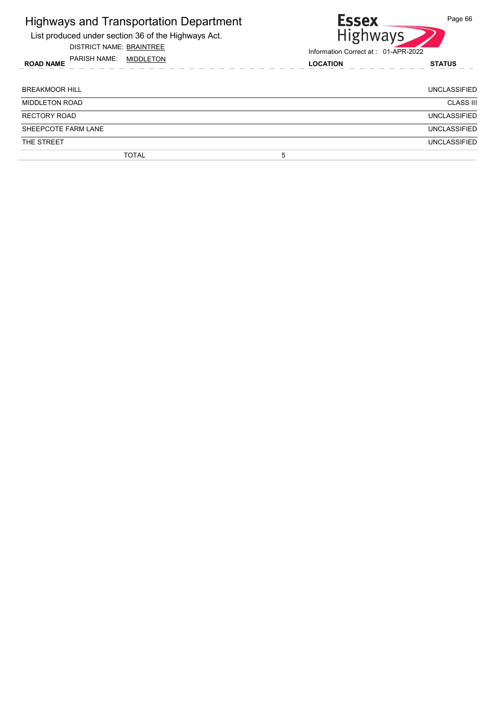| <b>Highways and Transportation Department</b><br>List produced under section 36 of the Highways Act.<br><b>DISTRICT NAME: BRAINTREE</b> | Page 66<br><b>Essex</b><br><b>Highways</b><br>Information Correct at: 01-APR-2022 |                     |  |
|-----------------------------------------------------------------------------------------------------------------------------------------|-----------------------------------------------------------------------------------|---------------------|--|
| PARISH NAME: MIDDLETON<br><b>ROAD NAME</b>                                                                                              | <b>LOCATION</b>                                                                   | <b>STATUS</b>       |  |
| <b>BREAKMOOR HILL</b>                                                                                                                   |                                                                                   | <b>UNCLASSIFIED</b> |  |
| <b>MIDDLETON ROAD</b>                                                                                                                   |                                                                                   | <b>CLASS III</b>    |  |
| <b>RECTORY ROAD</b>                                                                                                                     |                                                                                   | <b>UNCLASSIFIED</b> |  |
| SHEEPCOTE FARM LANE                                                                                                                     |                                                                                   | <b>UNCLASSIFIED</b> |  |
| THE STREET                                                                                                                              |                                                                                   | <b>UNCLASSIFIED</b> |  |
| <b>TOTAL</b>                                                                                                                            | 5                                                                                 |                     |  |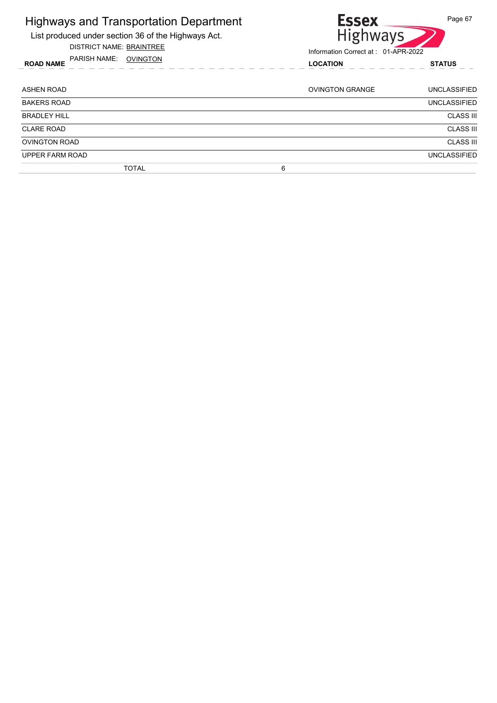| <b>Highways and Transportation Department</b><br>List produced under section 36 of the Highways Act.<br>DISTRICT NAME: BRAINTREE | <b>Essex</b><br><b>Highways</b>                        | Page 67             |
|----------------------------------------------------------------------------------------------------------------------------------|--------------------------------------------------------|---------------------|
| PARISH NAME:<br>OVINGTON<br><b>ROAD NAME</b>                                                                                     | Information Correct at: 01-APR-2022<br><b>LOCATION</b> | <b>STATUS</b>       |
| ASHEN ROAD                                                                                                                       | <b>OVINGTON GRANGE</b>                                 | <b>UNCLASSIFIED</b> |
| <b>BAKERS ROAD</b>                                                                                                               |                                                        | <b>UNCLASSIFIED</b> |
| BRADLEY HILL                                                                                                                     |                                                        | <b>CLASS III</b>    |
| <b>CLARE ROAD</b>                                                                                                                |                                                        | <b>CLASS III</b>    |
| <b>OVINGTON ROAD</b>                                                                                                             |                                                        | <b>CLASS III</b>    |
| UPPER FARM ROAD                                                                                                                  |                                                        | <b>UNCLASSIFIED</b> |
| <b>TOTAL</b>                                                                                                                     | 6                                                      |                     |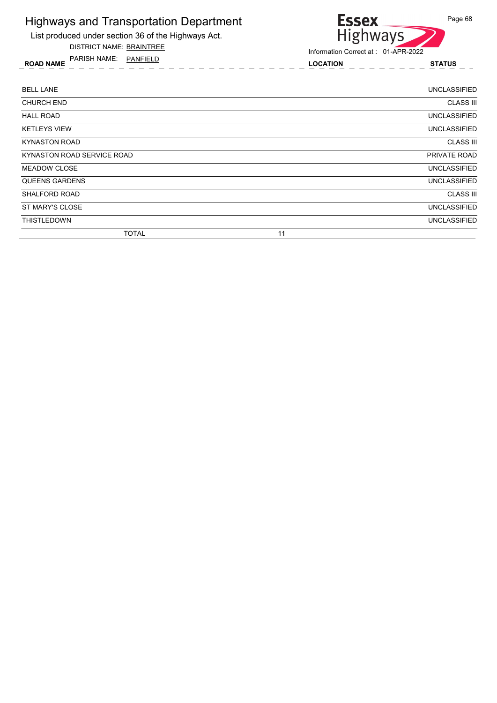

DISTRICT NAME: BRAINTREE

ROAD NAME LOCATION STATUS PARISH NAME: PANFIELD



| <b>BELL LANE</b>           |    | <b>UNCLASSIFIED</b> |
|----------------------------|----|---------------------|
| <b>CHURCH END</b>          |    | <b>CLASS III</b>    |
| <b>HALL ROAD</b>           |    | <b>UNCLASSIFIED</b> |
| <b>KETLEYS VIEW</b>        |    | <b>UNCLASSIFIED</b> |
| <b>KYNASTON ROAD</b>       |    | <b>CLASS III</b>    |
| KYNASTON ROAD SERVICE ROAD |    | PRIVATE ROAD        |
| <b>MEADOW CLOSE</b>        |    | <b>UNCLASSIFIED</b> |
| QUEENS GARDENS             |    | <b>UNCLASSIFIED</b> |
| <b>SHALFORD ROAD</b>       |    | <b>CLASS III</b>    |
| ST MARY'S CLOSE            |    | <b>UNCLASSIFIED</b> |
| <b>THISTLEDOWN</b>         |    | <b>UNCLASSIFIED</b> |
| <b>TOTAL</b>               | 11 |                     |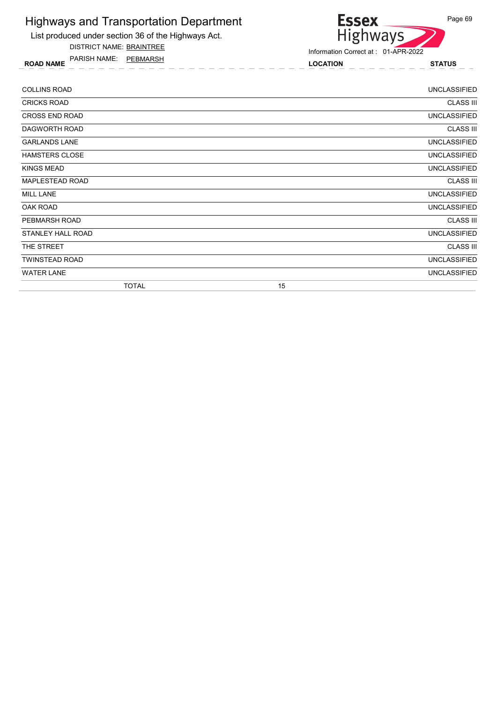

DISTRICT NAME: BRAINTREE

ROAD NAME LOCATION STATUS PARISH NAME: PEBMARSH



| <b>COLLINS ROAD</b>   |              |    | <b>UNCLASSIFIED</b> |
|-----------------------|--------------|----|---------------------|
| <b>CRICKS ROAD</b>    |              |    | <b>CLASS III</b>    |
| <b>CROSS END ROAD</b> |              |    | <b>UNCLASSIFIED</b> |
| DAGWORTH ROAD         |              |    | <b>CLASS III</b>    |
| <b>GARLANDS LANE</b>  |              |    | <b>UNCLASSIFIED</b> |
| <b>HAMSTERS CLOSE</b> |              |    | <b>UNCLASSIFIED</b> |
| KINGS MEAD            |              |    | <b>UNCLASSIFIED</b> |
| MAPLESTEAD ROAD       |              |    | <b>CLASS III</b>    |
| <b>MILL LANE</b>      |              |    | <b>UNCLASSIFIED</b> |
| OAK ROAD              |              |    | <b>UNCLASSIFIED</b> |
| PEBMARSH ROAD         |              |    | <b>CLASS III</b>    |
| STANLEY HALL ROAD     |              |    | <b>UNCLASSIFIED</b> |
| THE STREET            |              |    | <b>CLASS III</b>    |
| <b>TWINSTEAD ROAD</b> |              |    | <b>UNCLASSIFIED</b> |
| <b>WATER LANE</b>     |              |    | <b>UNCLASSIFIED</b> |
|                       | <b>TOTAL</b> | 15 |                     |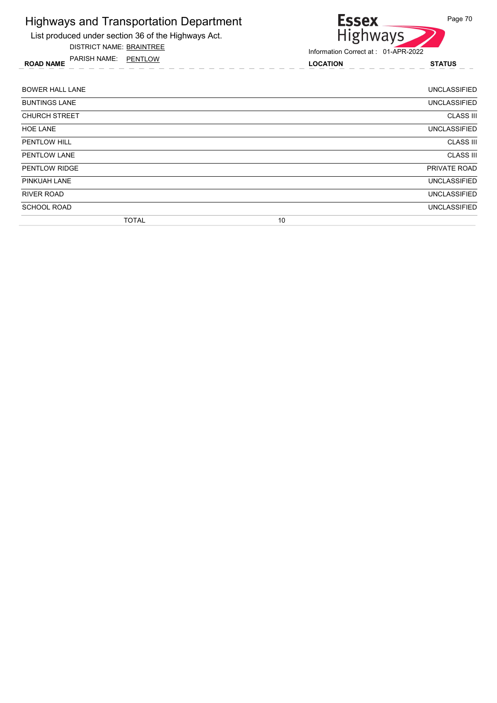

DISTRICT NAME: BRAINTREE

ROAD NAME LOCATION STATUS PARISH NAME: PENTLOW



| <b>BOWER HALL LANE</b> | <b>UNCLASSIFIED</b> |
|------------------------|---------------------|
| <b>BUNTINGS LANE</b>   | <b>UNCLASSIFIED</b> |
| <b>CHURCH STREET</b>   | <b>CLASS III</b>    |
| <b>HOE LANE</b>        | <b>UNCLASSIFIED</b> |
| <b>PENTLOW HILL</b>    | <b>CLASS III</b>    |
| PENTLOW LANE           | <b>CLASS III</b>    |
| <b>PENTLOW RIDGE</b>   | PRIVATE ROAD        |
| PINKUAH LANE           | <b>UNCLASSIFIED</b> |
| RIVER ROAD             | <b>UNCLASSIFIED</b> |
| <b>SCHOOL ROAD</b>     | <b>UNCLASSIFIED</b> |
| <b>TOTAL</b>           | 10                  |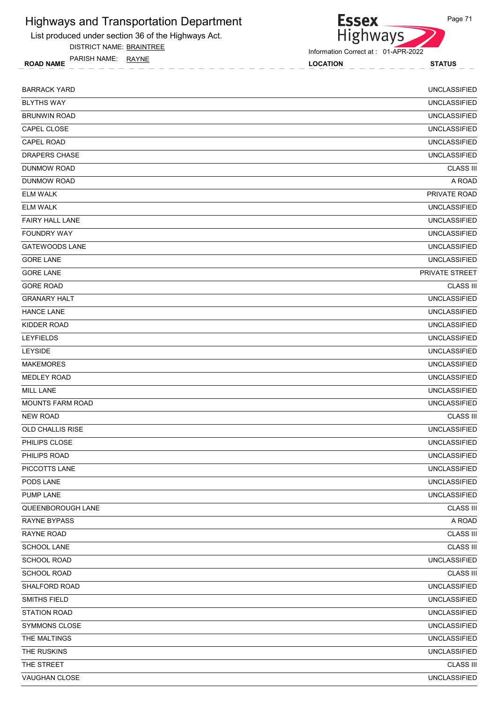List produced under section 36 of the Highways Act.

DISTRICT NAME: BRAINTREE

ROAD NAME LOCATION STATUS PARISH NAME: RAYNE

Information Correct at : 01-APR-2022

**Essex** 

| <b>BARRACK YARD</b>     | <b>UNCLASSIFIED</b> |
|-------------------------|---------------------|
| <b>BLYTHS WAY</b>       | <b>UNCLASSIFIED</b> |
| <b>BRUNWIN ROAD</b>     | <b>UNCLASSIFIED</b> |
| CAPEL CLOSE             | <b>UNCLASSIFIED</b> |
| <b>CAPEL ROAD</b>       | <b>UNCLASSIFIED</b> |
| <b>DRAPERS CHASE</b>    | <b>UNCLASSIFIED</b> |
| <b>DUNMOW ROAD</b>      | <b>CLASS III</b>    |
| DUNMOW ROAD             | A ROAD              |
| <b>ELM WALK</b>         | PRIVATE ROAD        |
| <b>ELM WALK</b>         | <b>UNCLASSIFIED</b> |
| <b>FAIRY HALL LANE</b>  | <b>UNCLASSIFIED</b> |
| <b>FOUNDRY WAY</b>      | <b>UNCLASSIFIED</b> |
| <b>GATEWOODS LANE</b>   | <b>UNCLASSIFIED</b> |
| <b>GORE LANE</b>        | <b>UNCLASSIFIED</b> |
| <b>GORE LANE</b>        | PRIVATE STREET      |
| <b>GORE ROAD</b>        | <b>CLASS III</b>    |
| <b>GRANARY HALT</b>     | <b>UNCLASSIFIED</b> |
| <b>HANCE LANE</b>       | <b>UNCLASSIFIED</b> |
| KIDDER ROAD             | <b>UNCLASSIFIED</b> |
| <b>LEYFIELDS</b>        | <b>UNCLASSIFIED</b> |
| <b>LEYSIDE</b>          | <b>UNCLASSIFIED</b> |
| <b>MAKEMORES</b>        | <b>UNCLASSIFIED</b> |
| <b>MEDLEY ROAD</b>      | <b>UNCLASSIFIED</b> |
| <b>MILL LANE</b>        | <b>UNCLASSIFIED</b> |
| <b>MOUNTS FARM ROAD</b> | <b>UNCLASSIFIED</b> |
| <b>NEW ROAD</b>         | <b>CLASS III</b>    |
| OLD CHALLIS RISE        | <b>UNCLASSIFIED</b> |
| PHILIPS CLOSE           | <b>UNCLASSIFIED</b> |
| PHILIPS ROAD            | <b>UNCLASSIFIED</b> |
| PICCOTTS LANE           | <b>UNCLASSIFIED</b> |
| PODS LANE               | <b>UNCLASSIFIED</b> |
| PUMP LANE               | <b>UNCLASSIFIED</b> |
| QUEENBOROUGH LANE       | <b>CLASS III</b>    |
| <b>RAYNE BYPASS</b>     | A ROAD              |
| <b>RAYNE ROAD</b>       | <b>CLASS III</b>    |
| <b>SCHOOL LANE</b>      | <b>CLASS III</b>    |
| <b>SCHOOL ROAD</b>      | <b>UNCLASSIFIED</b> |
| <b>SCHOOL ROAD</b>      | <b>CLASS III</b>    |
| SHALFORD ROAD           | <b>UNCLASSIFIED</b> |
| SMITHS FIELD            | <b>UNCLASSIFIED</b> |
| <b>STATION ROAD</b>     | <b>UNCLASSIFIED</b> |
| SYMMONS CLOSE           | <b>UNCLASSIFIED</b> |
| THE MALTINGS            | <b>UNCLASSIFIED</b> |
| THE RUSKINS             | <b>UNCLASSIFIED</b> |
| THE STREET              | <b>CLASS III</b>    |
| VAUGHAN CLOSE           | <b>UNCLASSIFIED</b> |

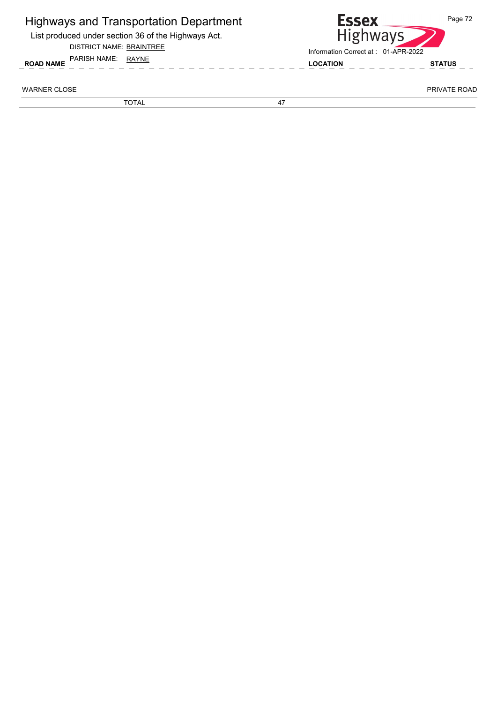List produced under section 36 of the Highways Act.

#### DISTRICT NAME: BRAINTREE



WARNER CLOSE PRIVATE ROAD AND THE SERVICE OF THE SERVICE OF THE SERVICE OF THE SERVICE OF THE SERVICE OF THE SERVICE OF THE SERVICE OF THE SERVICE OF THE SERVICE OF THE SERVICE OF THE SERVICE OF THE SERVICE OF THE SERVICE

TOTAL 47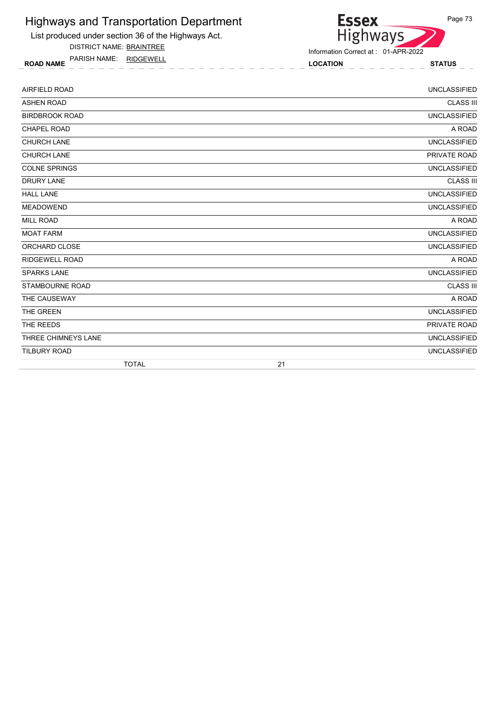

DISTRICT NAME: BRAINTREE

ROAD NAME LOCATION STATUS PARISH NAME: RIDGEWELL



| <b>AIRFIELD ROAD</b>   |    | <b>UNCLASSIFIED</b> |
|------------------------|----|---------------------|
| <b>ASHEN ROAD</b>      |    | <b>CLASS III</b>    |
| <b>BIRDBROOK ROAD</b>  |    | <b>UNCLASSIFIED</b> |
| <b>CHAPEL ROAD</b>     |    | A ROAD              |
| <b>CHURCH LANE</b>     |    | <b>UNCLASSIFIED</b> |
| <b>CHURCH LANE</b>     |    | PRIVATE ROAD        |
| <b>COLNE SPRINGS</b>   |    | <b>UNCLASSIFIED</b> |
| <b>DRURY LANE</b>      |    | <b>CLASS III</b>    |
| <b>HALL LANE</b>       |    | <b>UNCLASSIFIED</b> |
| <b>MEADOWEND</b>       |    | <b>UNCLASSIFIED</b> |
| <b>MILL ROAD</b>       |    | A ROAD              |
| <b>MOAT FARM</b>       |    | <b>UNCLASSIFIED</b> |
| ORCHARD CLOSE          |    | <b>UNCLASSIFIED</b> |
| <b>RIDGEWELL ROAD</b>  |    | A ROAD              |
| <b>SPARKS LANE</b>     |    | <b>UNCLASSIFIED</b> |
| <b>STAMBOURNE ROAD</b> |    | <b>CLASS III</b>    |
| THE CAUSEWAY           |    | A ROAD              |
| THE GREEN              |    | <b>UNCLASSIFIED</b> |
| THE REEDS              |    | PRIVATE ROAD        |
| THREE CHIMNEYS LANE    |    | <b>UNCLASSIFIED</b> |
| <b>TILBURY ROAD</b>    |    | <b>UNCLASSIFIED</b> |
| <b>TOTAL</b>           | 21 |                     |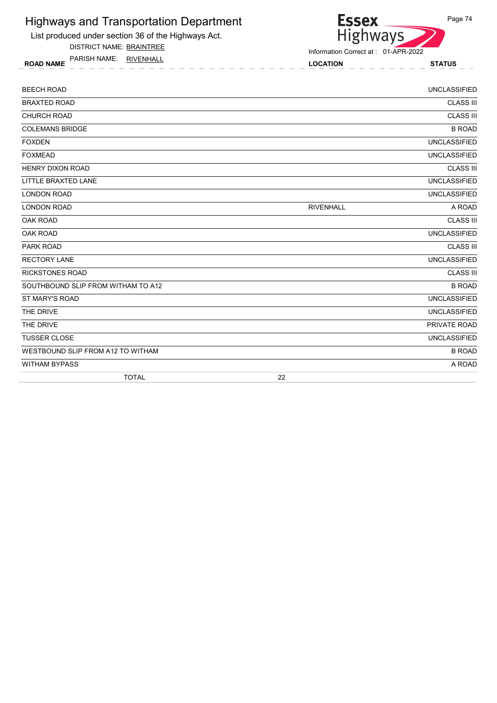

DISTRICT NAME: BRAINTREE

ROAD NAME LOCATION STATUS PARISH NAME: RIVENHALL



| <b>BEECH ROAD</b>                  |                  | <b>UNCLASSIFIED</b> |
|------------------------------------|------------------|---------------------|
| <b>BRAXTED ROAD</b>                |                  | <b>CLASS III</b>    |
| <b>CHURCH ROAD</b>                 |                  | <b>CLASS III</b>    |
| <b>COLEMANS BRIDGE</b>             |                  | <b>B ROAD</b>       |
| <b>FOXDEN</b>                      |                  | <b>UNCLASSIFIED</b> |
| <b>FOXMEAD</b>                     |                  | <b>UNCLASSIFIED</b> |
| <b>HENRY DIXON ROAD</b>            |                  | <b>CLASS III</b>    |
| LITTLE BRAXTED LANE                |                  | <b>UNCLASSIFIED</b> |
| <b>LONDON ROAD</b>                 |                  | <b>UNCLASSIFIED</b> |
| <b>LONDON ROAD</b>                 | <b>RIVENHALL</b> | A ROAD              |
| OAK ROAD                           |                  | <b>CLASS III</b>    |
| <b>OAK ROAD</b>                    |                  | <b>UNCLASSIFIED</b> |
| PARK ROAD                          |                  | <b>CLASS III</b>    |
| <b>RECTORY LANE</b>                |                  | <b>UNCLASSIFIED</b> |
| <b>RICKSTONES ROAD</b>             |                  | <b>CLASS III</b>    |
| SOUTHBOUND SLIP FROM WITHAM TO A12 |                  | <b>B ROAD</b>       |
| ST MARY'S ROAD                     |                  | <b>UNCLASSIFIED</b> |
| THE DRIVE                          |                  | <b>UNCLASSIFIED</b> |
| THE DRIVE                          |                  | PRIVATE ROAD        |
| <b>TUSSER CLOSE</b>                |                  | <b>UNCLASSIFIED</b> |
| WESTBOUND SLIP FROM A12 TO WITHAM  |                  | <b>B ROAD</b>       |
| <b>WITHAM BYPASS</b>               |                  | A ROAD              |
| <b>TOTAL</b>                       | 22               |                     |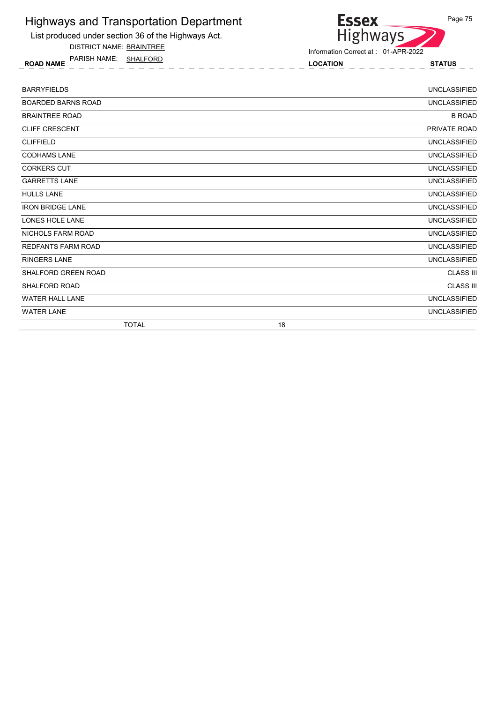

DISTRICT NAME: BRAINTREE

ROAD NAME LOCATION STATUS PARISH NAME: SHALFORD



| <b>BARRYFIELDS</b>         | <b>UNCLASSIFIED</b> |
|----------------------------|---------------------|
| <b>BOARDED BARNS ROAD</b>  | <b>UNCLASSIFIED</b> |
| <b>BRAINTREE ROAD</b>      | <b>B ROAD</b>       |
| <b>CLIFF CRESCENT</b>      | PRIVATE ROAD        |
| <b>CLIFFIELD</b>           | <b>UNCLASSIFIED</b> |
| <b>CODHAMS LANE</b>        | <b>UNCLASSIFIED</b> |
| <b>CORKERS CUT</b>         | <b>UNCLASSIFIED</b> |
| <b>GARRETTS LANE</b>       | <b>UNCLASSIFIED</b> |
| <b>HULLS LANE</b>          | <b>UNCLASSIFIED</b> |
| <b>IRON BRIDGE LANE</b>    | <b>UNCLASSIFIED</b> |
| LONES HOLE LANE            | <b>UNCLASSIFIED</b> |
| <b>NICHOLS FARM ROAD</b>   | <b>UNCLASSIFIED</b> |
| <b>REDFANTS FARM ROAD</b>  | <b>UNCLASSIFIED</b> |
| <b>RINGERS LANE</b>        | <b>UNCLASSIFIED</b> |
| <b>SHALFORD GREEN ROAD</b> | <b>CLASS III</b>    |
| <b>SHALFORD ROAD</b>       | <b>CLASS III</b>    |
| <b>WATER HALL LANE</b>     | <b>UNCLASSIFIED</b> |
| <b>WATER LANE</b>          | <b>UNCLASSIFIED</b> |
| <b>TOTAL</b>               | 18                  |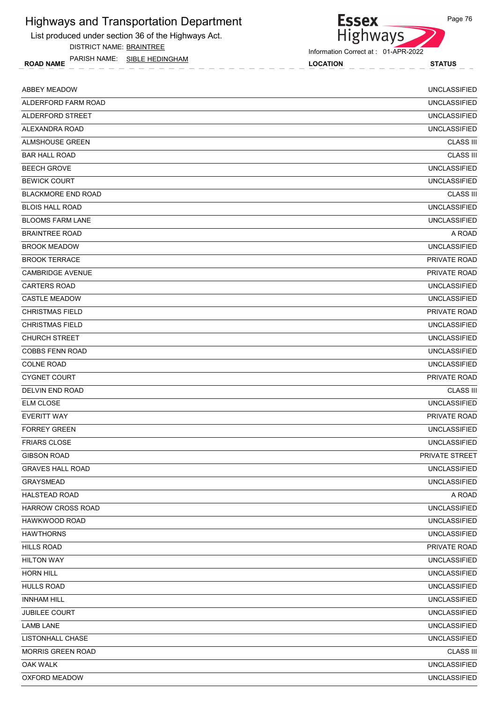List produced under section 36 of the Highways Act.

DISTRICT NAME: BRAINTREE

ROAD NAME LOCATION STATUS PARISH NAME: SIBLE HEDINGHAM



Information Correct at : 01-APR-2022

| <b>ABBEY MEADOW</b>       | <b>UNCLASSIFIED</b> |
|---------------------------|---------------------|
| ALDERFORD FARM ROAD       | <b>UNCLASSIFIED</b> |
| ALDERFORD STREET          | <b>UNCLASSIFIED</b> |
| ALEXANDRA ROAD            | <b>UNCLASSIFIED</b> |
| <b>ALMSHOUSE GREEN</b>    | <b>CLASS III</b>    |
| <b>BAR HALL ROAD</b>      | <b>CLASS III</b>    |
| <b>BEECH GROVE</b>        | <b>UNCLASSIFIED</b> |
| <b>BEWICK COURT</b>       | <b>UNCLASSIFIED</b> |
| <b>BLACKMORE END ROAD</b> | <b>CLASS III</b>    |
| <b>BLOIS HALL ROAD</b>    | <b>UNCLASSIFIED</b> |
| <b>BLOOMS FARM LANE</b>   | <b>UNCLASSIFIED</b> |
| <b>BRAINTREE ROAD</b>     | A ROAD              |
| <b>BROOK MEADOW</b>       | <b>UNCLASSIFIED</b> |
| <b>BROOK TERRACE</b>      | PRIVATE ROAD        |
| <b>CAMBRIDGE AVENUE</b>   | PRIVATE ROAD        |
| <b>CARTERS ROAD</b>       | <b>UNCLASSIFIED</b> |
| <b>CASTLE MEADOW</b>      | <b>UNCLASSIFIED</b> |
| <b>CHRISTMAS FIELD</b>    | PRIVATE ROAD        |
| <b>CHRISTMAS FIELD</b>    | <b>UNCLASSIFIED</b> |
| <b>CHURCH STREET</b>      | <b>UNCLASSIFIED</b> |
| <b>COBBS FENN ROAD</b>    | <b>UNCLASSIFIED</b> |
| <b>COLNE ROAD</b>         | <b>UNCLASSIFIED</b> |
| <b>CYGNET COURT</b>       | PRIVATE ROAD        |
| DELVIN END ROAD           | <b>CLASS III</b>    |
| <b>ELM CLOSE</b>          | <b>UNCLASSIFIED</b> |
| <b>EVERITT WAY</b>        | PRIVATE ROAD        |
| <b>FORREY GREEN</b>       | <b>UNCLASSIFIED</b> |
| <b>FRIARS CLOSE</b>       | <b>UNCLASSIFIED</b> |
| <b>GIBSON ROAD</b>        | PRIVATE STREET      |
| <b>GRAVES HALL ROAD</b>   | <b>UNCLASSIFIED</b> |
| <b>GRAYSMEAD</b>          | <b>UNCLASSIFIED</b> |
| <b>HALSTEAD ROAD</b>      | A ROAD              |
| HARROW CROSS ROAD         | <b>UNCLASSIFIED</b> |
| HAWKWOOD ROAD             | <b>UNCLASSIFIED</b> |
| <b>HAWTHORNS</b>          | <b>UNCLASSIFIED</b> |
| <b>HILLS ROAD</b>         | PRIVATE ROAD        |
| <b>HILTON WAY</b>         | UNCLASSIFIED        |
| <b>HORN HILL</b>          | <b>UNCLASSIFIED</b> |
| <b>HULLS ROAD</b>         | <b>UNCLASSIFIED</b> |
| <b>INNHAM HILL</b>        | <b>UNCLASSIFIED</b> |
| JUBILEE COURT             | <b>UNCLASSIFIED</b> |
| <b>LAMB LANE</b>          | <b>UNCLASSIFIED</b> |
| LISTONHALL CHASE          | <b>UNCLASSIFIED</b> |
| <b>MORRIS GREEN ROAD</b>  | <b>CLASS III</b>    |
| <b>OAK WALK</b>           | <b>UNCLASSIFIED</b> |
| OXFORD MEADOW             | <b>UNCLASSIFIED</b> |
|                           |                     |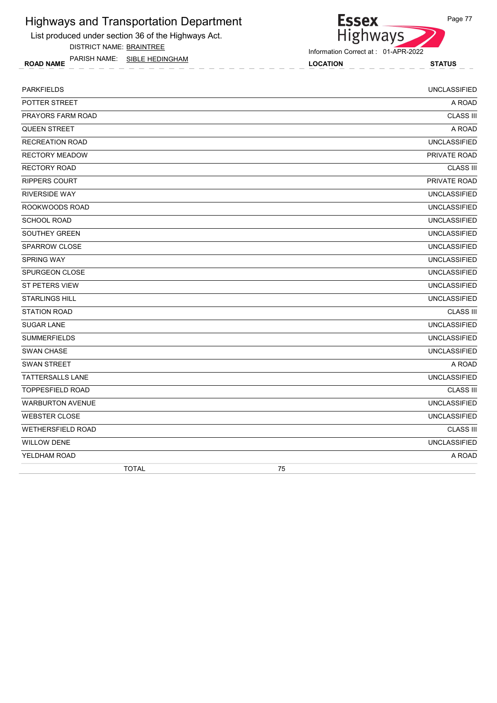List produced under section 36 of the Highways Act.

DISTRICT NAME: BRAINTREE

ROAD NAME LOCATION STATUS PARISH NAME: SIBLE HEDINGHAM



| <b>PARKFIELDS</b>        | <b>UNCLASSIFIED</b> |
|--------------------------|---------------------|
| POTTER STREET            | A ROAD              |
| PRAYORS FARM ROAD        | <b>CLASS III</b>    |
| <b>QUEEN STREET</b>      | A ROAD              |
| <b>RECREATION ROAD</b>   | <b>UNCLASSIFIED</b> |
| <b>RECTORY MEADOW</b>    | PRIVATE ROAD        |
| <b>RECTORY ROAD</b>      | <b>CLASS III</b>    |
| <b>RIPPERS COURT</b>     | PRIVATE ROAD        |
| <b>RIVERSIDE WAY</b>     | <b>UNCLASSIFIED</b> |
| ROOKWOODS ROAD           | <b>UNCLASSIFIED</b> |
| <b>SCHOOL ROAD</b>       | <b>UNCLASSIFIED</b> |
| SOUTHEY GREEN            | <b>UNCLASSIFIED</b> |
| <b>SPARROW CLOSE</b>     | <b>UNCLASSIFIED</b> |
| SPRING WAY               | <b>UNCLASSIFIED</b> |
| <b>SPURGEON CLOSE</b>    | <b>UNCLASSIFIED</b> |
| ST PETERS VIEW           | <b>UNCLASSIFIED</b> |
| <b>STARLINGS HILL</b>    | <b>UNCLASSIFIED</b> |
| <b>STATION ROAD</b>      | <b>CLASS III</b>    |
| <b>SUGAR LANE</b>        | <b>UNCLASSIFIED</b> |
| <b>SUMMERFIELDS</b>      | <b>UNCLASSIFIED</b> |
| <b>SWAN CHASE</b>        | <b>UNCLASSIFIED</b> |
| <b>SWAN STREET</b>       | A ROAD              |
| <b>TATTERSALLS LANE</b>  | <b>UNCLASSIFIED</b> |
| <b>TOPPESFIELD ROAD</b>  | <b>CLASS III</b>    |
| <b>WARBURTON AVENUE</b>  | <b>UNCLASSIFIED</b> |
| <b>WEBSTER CLOSE</b>     | <b>UNCLASSIFIED</b> |
| <b>WETHERSFIELD ROAD</b> | <b>CLASS III</b>    |
| <b>WILLOW DENE</b>       | <b>UNCLASSIFIED</b> |
| YELDHAM ROAD             | A ROAD              |
| <b>TOTAL</b>             | 75                  |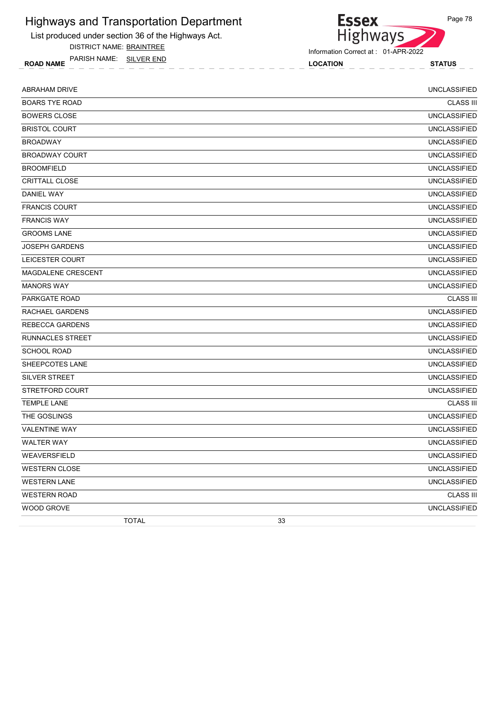List produced under section 36 of the Highways Act.

DISTRICT NAME: BRAINTREE

ROAD NAME LOCATION STATUS PARISH NAME: SILVER END

Essex<br>Highways

Information Correct at : 01-APR-2022

| <b>ABRAHAM DRIVE</b>   | <b>UNCLASSIFIED</b> |
|------------------------|---------------------|
| <b>BOARS TYE ROAD</b>  | <b>CLASS III</b>    |
| <b>BOWERS CLOSE</b>    | <b>UNCLASSIFIED</b> |
| <b>BRISTOL COURT</b>   | <b>UNCLASSIFIED</b> |
| <b>BROADWAY</b>        | <b>UNCLASSIFIED</b> |
| <b>BROADWAY COURT</b>  | <b>UNCLASSIFIED</b> |
| <b>BROOMFIELD</b>      | <b>UNCLASSIFIED</b> |
| <b>CRITTALL CLOSE</b>  | <b>UNCLASSIFIED</b> |
| <b>DANIEL WAY</b>      | <b>UNCLASSIFIED</b> |
| <b>FRANCIS COURT</b>   | <b>UNCLASSIFIED</b> |
| <b>FRANCIS WAY</b>     | <b>UNCLASSIFIED</b> |
| <b>GROOMS LANE</b>     | <b>UNCLASSIFIED</b> |
| <b>JOSEPH GARDENS</b>  | <b>UNCLASSIFIED</b> |
| LEICESTER COURT        | <b>UNCLASSIFIED</b> |
| MAGDALENE CRESCENT     | <b>UNCLASSIFIED</b> |
| <b>MANORS WAY</b>      | <b>UNCLASSIFIED</b> |
| <b>PARKGATE ROAD</b>   | <b>CLASS III</b>    |
| RACHAEL GARDENS        | <b>UNCLASSIFIED</b> |
| <b>REBECCA GARDENS</b> | <b>UNCLASSIFIED</b> |
| RUNNACLES STREET       | <b>UNCLASSIFIED</b> |
| <b>SCHOOL ROAD</b>     | <b>UNCLASSIFIED</b> |
| SHEEPCOTES LANE        | <b>UNCLASSIFIED</b> |
| SILVER STREET          | <b>UNCLASSIFIED</b> |
| STRETFORD COURT        | <b>UNCLASSIFIED</b> |
| <b>TEMPLE LANE</b>     | <b>CLASS III</b>    |
| THE GOSLINGS           | <b>UNCLASSIFIED</b> |
| <b>VALENTINE WAY</b>   | <b>UNCLASSIFIED</b> |
| <b>WALTER WAY</b>      | <b>UNCLASSIFIED</b> |
| WEAVERSFIELD           | <b>UNCLASSIFIED</b> |
| <b>WESTERN CLOSE</b>   | <b>UNCLASSIFIED</b> |
| <b>WESTERN LANE</b>    | <b>UNCLASSIFIED</b> |
| <b>WESTERN ROAD</b>    | <b>CLASS III</b>    |
| <b>WOOD GROVE</b>      | <b>UNCLASSIFIED</b> |
| <b>TOTAL</b>           | 33                  |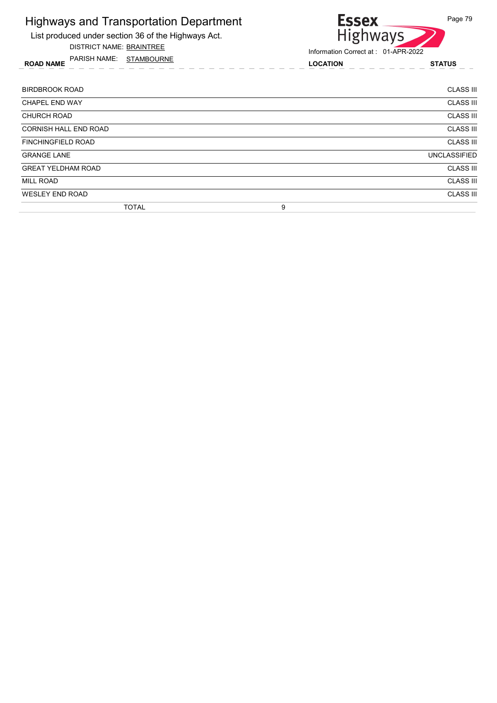List produced under section 36 of the Highways Act.

DISTRICT NAME: BRAINTREE

ROAD NAME LOCATION STATUS PARISH NAME: STAMBOURNE



| BIRDBROOK ROAD               |   | <b>CLASS III</b>    |
|------------------------------|---|---------------------|
| <b>CHAPEL END WAY</b>        |   | <b>CLASS III</b>    |
| <b>CHURCH ROAD</b>           |   | <b>CLASS III</b>    |
| <b>CORNISH HALL END ROAD</b> |   | <b>CLASS III</b>    |
| <b>FINCHINGFIELD ROAD</b>    |   | <b>CLASS III</b>    |
| <b>GRANGE LANE</b>           |   | <b>UNCLASSIFIED</b> |
| <b>GREAT YELDHAM ROAD</b>    |   | <b>CLASS III</b>    |
| <b>MILL ROAD</b>             |   | <b>CLASS III</b>    |
| <b>WESLEY END ROAD</b>       |   | <b>CLASS III</b>    |
| <b>TOTAL</b>                 | 9 |                     |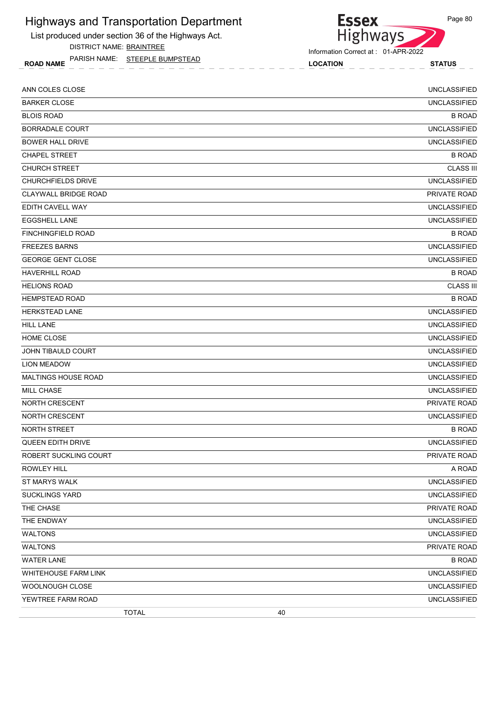List produced under section 36 of the Highways Act.

DISTRICT NAME: BRAINTREE

ROAD NAME LOCATION STATUS PARISH NAME: STEEPLE BUMPSTEAD



Information Correct at : 01-APR-2022

| ANN COLES CLOSE             | <b>UNCLASSIFIED</b> |
|-----------------------------|---------------------|
| <b>BARKER CLOSE</b>         | <b>UNCLASSIFIED</b> |
| <b>BLOIS ROAD</b>           | <b>B ROAD</b>       |
| BORRADALE COURT             | <b>UNCLASSIFIED</b> |
| <b>BOWER HALL DRIVE</b>     | <b>UNCLASSIFIED</b> |
| <b>CHAPEL STREET</b>        | <b>B ROAD</b>       |
| <b>CHURCH STREET</b>        | <b>CLASS III</b>    |
| <b>CHURCHFIELDS DRIVE</b>   | <b>UNCLASSIFIED</b> |
| <b>CLAYWALL BRIDGE ROAD</b> | PRIVATE ROAD        |
| EDITH CAVELL WAY            | <b>UNCLASSIFIED</b> |
| <b>EGGSHELL LANE</b>        | <b>UNCLASSIFIED</b> |
| <b>FINCHINGFIELD ROAD</b>   | <b>B ROAD</b>       |
| <b>FREEZES BARNS</b>        | <b>UNCLASSIFIED</b> |
| <b>GEORGE GENT CLOSE</b>    | <b>UNCLASSIFIED</b> |
| <b>HAVERHILL ROAD</b>       | <b>B ROAD</b>       |
| <b>HELIONS ROAD</b>         | <b>CLASS III</b>    |
| <b>HEMPSTEAD ROAD</b>       | <b>B ROAD</b>       |
| <b>HERKSTEAD LANE</b>       | <b>UNCLASSIFIED</b> |
| <b>HILL LANE</b>            | <b>UNCLASSIFIED</b> |
| HOME CLOSE                  | <b>UNCLASSIFIED</b> |
| JOHN TIBAULD COURT          | <b>UNCLASSIFIED</b> |
| <b>LION MEADOW</b>          | <b>UNCLASSIFIED</b> |
| <b>MALTINGS HOUSE ROAD</b>  | <b>UNCLASSIFIED</b> |
| <b>MILL CHASE</b>           | <b>UNCLASSIFIED</b> |
| <b>NORTH CRESCENT</b>       | <b>PRIVATE ROAD</b> |
| NORTH CRESCENT              | <b>UNCLASSIFIED</b> |
| NORTH STREET                | <b>B ROAD</b>       |
| QUEEN EDITH DRIVE           | <b>UNCLASSIFIED</b> |
| ROBERT SUCKLING COURT       | PRIVATE ROAD        |
| <b>ROWLEY HILL</b>          | A ROAD              |
| ST MARYS WALK               | <b>UNCLASSIFIED</b> |
| <b>SUCKLINGS YARD</b>       | <b>UNCLASSIFIED</b> |
| THE CHASE                   | PRIVATE ROAD        |
| THE ENDWAY                  | <b>UNCLASSIFIED</b> |
| <b>WALTONS</b>              | <b>UNCLASSIFIED</b> |
| WALTONS                     | PRIVATE ROAD        |
| <b>WATER LANE</b>           | <b>B ROAD</b>       |
| <b>WHITEHOUSE FARM LINK</b> | <b>UNCLASSIFIED</b> |
| WOOLNOUGH CLOSE             | <b>UNCLASSIFIED</b> |
| YEWTREE FARM ROAD           | <b>UNCLASSIFIED</b> |

TOTAL 40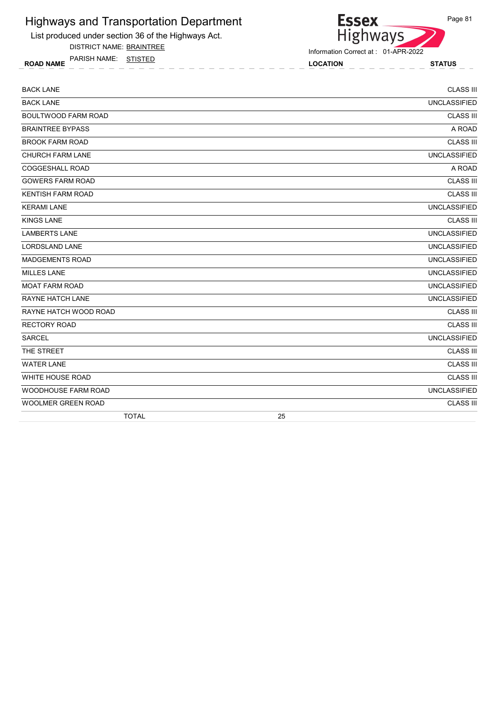List produced under section 36 of the Highways Act.

DISTRICT NAME: BRAINTREE

ROAD NAME LOCATION STATUS PARISH NAME: STISTED

Essex<br>Highways Page 81

| <b>BACK LANE</b>           |                     | <b>CLASS III</b> |
|----------------------------|---------------------|------------------|
| <b>BACK LANE</b>           | <b>UNCLASSIFIED</b> |                  |
| <b>BOULTWOOD FARM ROAD</b> |                     | <b>CLASS III</b> |
| <b>BRAINTREE BYPASS</b>    |                     | A ROAD           |
| <b>BROOK FARM ROAD</b>     |                     | <b>CLASS III</b> |
| <b>CHURCH FARM LANE</b>    | <b>UNCLASSIFIED</b> |                  |
| <b>COGGESHALL ROAD</b>     |                     | A ROAD           |
| <b>GOWERS FARM ROAD</b>    |                     | <b>CLASS III</b> |
| <b>KENTISH FARM ROAD</b>   |                     | <b>CLASS III</b> |
| <b>KERAMI LANE</b>         | <b>UNCLASSIFIED</b> |                  |
| <b>KINGS LANE</b>          |                     | <b>CLASS III</b> |
| <b>LAMBERTS LANE</b>       | <b>UNCLASSIFIED</b> |                  |
| <b>LORDSLAND LANE</b>      | <b>UNCLASSIFIED</b> |                  |
| <b>MADGEMENTS ROAD</b>     | <b>UNCLASSIFIED</b> |                  |
| <b>MILLES LANE</b>         | <b>UNCLASSIFIED</b> |                  |
| <b>MOAT FARM ROAD</b>      | <b>UNCLASSIFIED</b> |                  |
| RAYNE HATCH LANE           | <b>UNCLASSIFIED</b> |                  |
| RAYNE HATCH WOOD ROAD      |                     | <b>CLASS III</b> |
| RECTORY ROAD               |                     | <b>CLASS III</b> |
| <b>SARCEL</b>              | <b>UNCLASSIFIED</b> |                  |
| THE STREET                 |                     | <b>CLASS III</b> |
| <b>WATER LANE</b>          |                     | <b>CLASS III</b> |
| WHITE HOUSE ROAD           |                     | <b>CLASS III</b> |
| WOODHOUSE FARM ROAD        | <b>UNCLASSIFIED</b> |                  |
| <b>WOOLMER GREEN ROAD</b>  |                     | <b>CLASS III</b> |
| <b>TOTAL</b>               | 25                  |                  |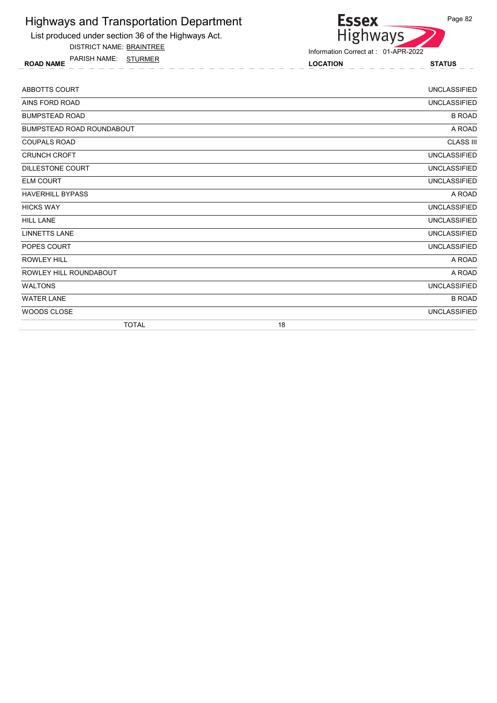

DISTRICT NAME: BRAINTREE

ROAD NAME LOCATION STATUS PARISH NAME: STURMER



| ABBOTTS COURT                    | <b>UNCLASSIFIED</b> |
|----------------------------------|---------------------|
| AINS FORD ROAD                   | <b>UNCLASSIFIED</b> |
| <b>BUMPSTEAD ROAD</b>            | <b>B ROAD</b>       |
| <b>BUMPSTEAD ROAD ROUNDABOUT</b> | A ROAD              |
| <b>COUPALS ROAD</b>              | <b>CLASS III</b>    |
| <b>CRUNCH CROFT</b>              | <b>UNCLASSIFIED</b> |
| DILLESTONE COURT                 | <b>UNCLASSIFIED</b> |
| <b>ELM COURT</b>                 | <b>UNCLASSIFIED</b> |
| <b>HAVERHILL BYPASS</b>          | A ROAD              |
| <b>HICKS WAY</b>                 | <b>UNCLASSIFIED</b> |
| <b>HILL LANE</b>                 | <b>UNCLASSIFIED</b> |
| <b>LINNETTS LANE</b>             | <b>UNCLASSIFIED</b> |
| POPES COURT                      | <b>UNCLASSIFIED</b> |
| <b>ROWLEY HILL</b>               | A ROAD              |
| ROWLEY HILL ROUNDABOUT           | A ROAD              |
| <b>WALTONS</b>                   | <b>UNCLASSIFIED</b> |
| <b>WATER LANE</b>                | <b>B ROAD</b>       |
| WOODS CLOSE                      | <b>UNCLASSIFIED</b> |
| <b>TOTAL</b>                     | 18                  |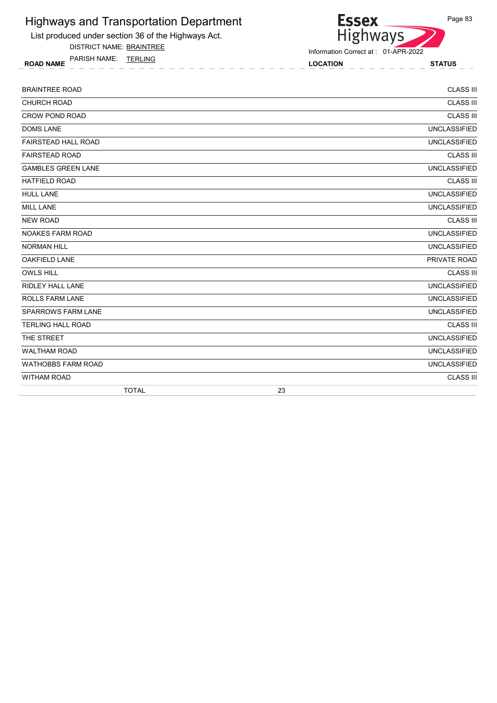

DISTRICT NAME: BRAINTREE

ROAD NAME LOCATION STATUS PARISH NAME: TERLING



| <b>BRAINTREE ROAD</b>      | <b>CLASS III</b>    |
|----------------------------|---------------------|
| <b>CHURCH ROAD</b>         | <b>CLASS III</b>    |
| <b>CROW POND ROAD</b>      | <b>CLASS III</b>    |
| <b>DOMS LANE</b>           | <b>UNCLASSIFIED</b> |
| <b>FAIRSTEAD HALL ROAD</b> | <b>UNCLASSIFIED</b> |
| <b>FAIRSTEAD ROAD</b>      | <b>CLASS III</b>    |
| <b>GAMBLES GREEN LANE</b>  | <b>UNCLASSIFIED</b> |
| <b>HATFIELD ROAD</b>       | <b>CLASS III</b>    |
| <b>HULL LANE</b>           | <b>UNCLASSIFIED</b> |
| <b>MILL LANE</b>           | <b>UNCLASSIFIED</b> |
| <b>NEW ROAD</b>            | <b>CLASS III</b>    |
| <b>NOAKES FARM ROAD</b>    | <b>UNCLASSIFIED</b> |
| <b>NORMAN HILL</b>         | <b>UNCLASSIFIED</b> |
| <b>OAKFIELD LANE</b>       | PRIVATE ROAD        |
| <b>OWLS HILL</b>           | <b>CLASS III</b>    |
| <b>RIDLEY HALL LANE</b>    | <b>UNCLASSIFIED</b> |
| <b>ROLLS FARM LANE</b>     | <b>UNCLASSIFIED</b> |
| <b>SPARROWS FARM LANE</b>  | <b>UNCLASSIFIED</b> |
| <b>TERLING HALL ROAD</b>   | <b>CLASS III</b>    |
| THE STREET                 | <b>UNCLASSIFIED</b> |
| <b>WALTHAM ROAD</b>        | <b>UNCLASSIFIED</b> |
| <b>WATHOBBS FARM ROAD</b>  | <b>UNCLASSIFIED</b> |
| <b>WITHAM ROAD</b>         | <b>CLASS III</b>    |
| <b>TOTAL</b>               | 23                  |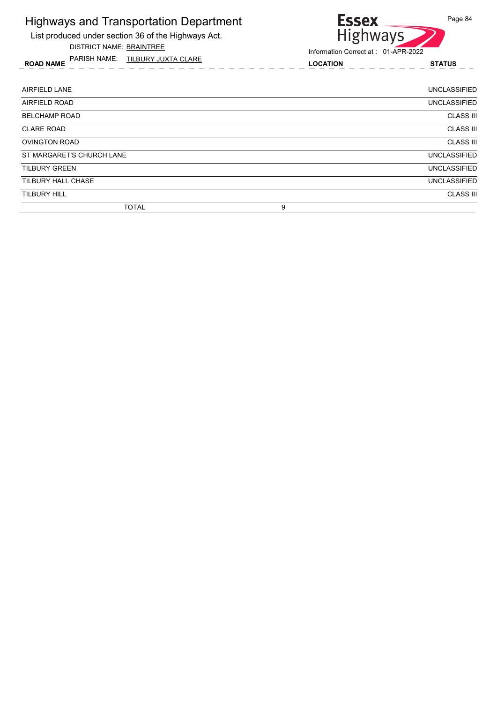

ROAD NAME LOCATION STATUS PARISH NAME: TILBURY JUXTA CLARE



| AIRFIELD LANE             |   | <b>UNCLASSIFIED</b> |
|---------------------------|---|---------------------|
| AIRFIELD ROAD             |   | <b>UNCLASSIFIED</b> |
| <b>BELCHAMP ROAD</b>      |   | <b>CLASS III</b>    |
| <b>CLARE ROAD</b>         |   | <b>CLASS III</b>    |
| <b>OVINGTON ROAD</b>      |   | <b>CLASS III</b>    |
| ST MARGARET'S CHURCH LANE |   | <b>UNCLASSIFIED</b> |
| TILBURY GREEN             |   | <b>UNCLASSIFIED</b> |
| <b>TILBURY HALL CHASE</b> |   | <b>UNCLASSIFIED</b> |
| <b>TILBURY HILL</b>       |   | <b>CLASS III</b>    |
| <b>TOTAL</b>              | 9 |                     |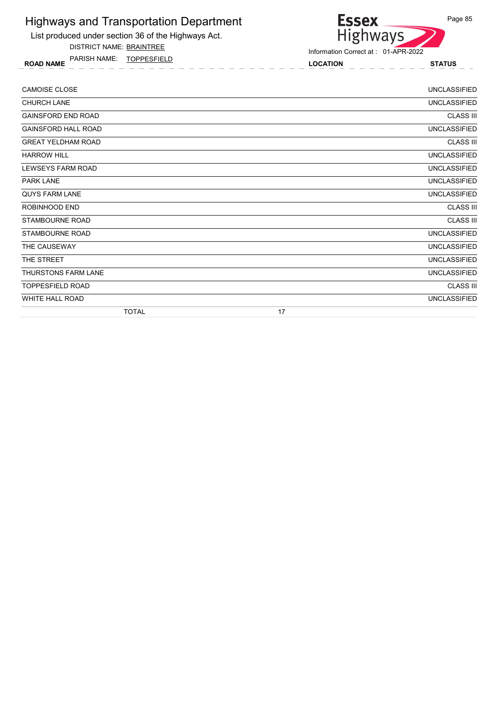List produced under section 36 of the Highways Act.

DISTRICT NAME: BRAINTREE

ROAD NAME LOCATION STATUS PARISH NAME: TOPPESFIELD



| <b>CAMOISE CLOSE</b>       | <b>UNCLASSIFIED</b> |
|----------------------------|---------------------|
| <b>CHURCH LANE</b>         | <b>UNCLASSIFIED</b> |
| <b>GAINSFORD END ROAD</b>  | <b>CLASS III</b>    |
| <b>GAINSFORD HALL ROAD</b> | <b>UNCLASSIFIED</b> |
| <b>GREAT YELDHAM ROAD</b>  | <b>CLASS III</b>    |
| <b>HARROW HILL</b>         | <b>UNCLASSIFIED</b> |
| LEWSEYS FARM ROAD          | <b>UNCLASSIFIED</b> |
| <b>PARK LANE</b>           | <b>UNCLASSIFIED</b> |
| <b>QUYS FARM LANE</b>      | <b>UNCLASSIFIED</b> |
| ROBINHOOD END              | <b>CLASS III</b>    |
| <b>STAMBOURNE ROAD</b>     | <b>CLASS III</b>    |
| <b>STAMBOURNE ROAD</b>     | <b>UNCLASSIFIED</b> |
| THE CAUSEWAY               | <b>UNCLASSIFIED</b> |
| THE STREET                 | <b>UNCLASSIFIED</b> |
| <b>THURSTONS FARM LANE</b> | <b>UNCLASSIFIED</b> |
| <b>TOPPESFIELD ROAD</b>    | <b>CLASS III</b>    |
| WHITE HALL ROAD            | <b>UNCLASSIFIED</b> |
| <b>TOTAL</b>               | 17                  |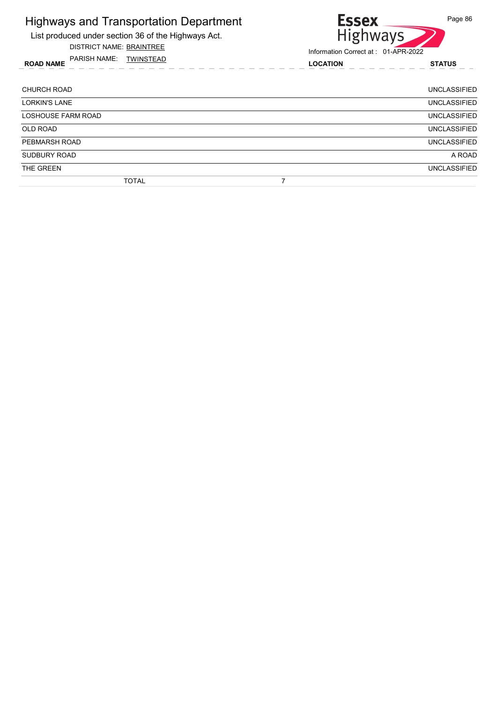List produced under section 36 of the Highways Act.

DISTRICT NAME: BRAINTREE

ROAD NAME LOCATION STATUS PARISH NAME: TWINSTEAD



| <b>CHURCH ROAD</b>        | <b>UNCLASSIFIED</b> |
|---------------------------|---------------------|
| <b>LORKIN'S LANE</b>      | <b>UNCLASSIFIED</b> |
| <b>LOSHOUSE FARM ROAD</b> | <b>UNCLASSIFIED</b> |
| <b>OLD ROAD</b>           | <b>UNCLASSIFIED</b> |
| PEBMARSH ROAD             | <b>UNCLASSIFIED</b> |
| SUDBURY ROAD              | A ROAD              |
| THE GREEN                 | <b>UNCLASSIFIED</b> |
| <b>TOTAL</b>              |                     |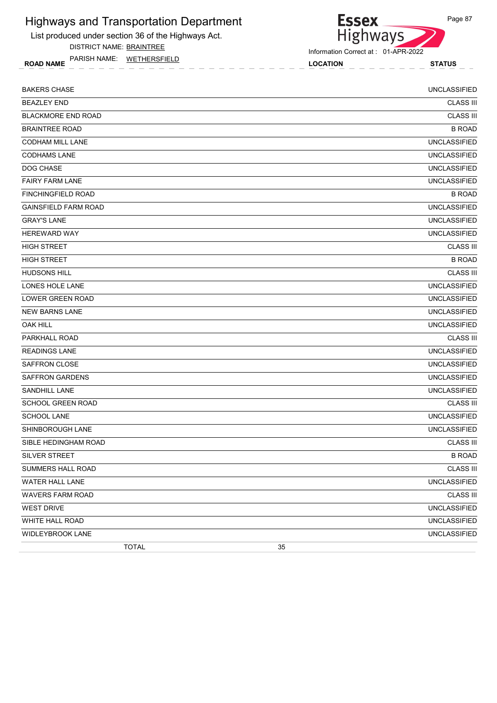List produced under section 36 of the Highways Act.

DISTRICT NAME: BRAINTREE

ROAD NAME LOCATION STATUS PARISH NAME: WETHERSFIELD

Highways Information Correct at : 01-APR-2022

**Essex** 

| <b>BAKERS CHASE</b>         | <b>UNCLASSIFIED</b> |
|-----------------------------|---------------------|
| <b>BEAZLEY END</b>          | <b>CLASS III</b>    |
| <b>BLACKMORE END ROAD</b>   | <b>CLASS III</b>    |
| <b>BRAINTREE ROAD</b>       | <b>B ROAD</b>       |
| <b>CODHAM MILL LANE</b>     | <b>UNCLASSIFIED</b> |
| <b>CODHAMS LANE</b>         | <b>UNCLASSIFIED</b> |
| DOG CHASE                   | <b>UNCLASSIFIED</b> |
| <b>FAIRY FARM LANE</b>      | <b>UNCLASSIFIED</b> |
| <b>FINCHINGFIELD ROAD</b>   | <b>B ROAD</b>       |
| <b>GAINSFIELD FARM ROAD</b> | <b>UNCLASSIFIED</b> |
| <b>GRAY'S LANE</b>          | <b>UNCLASSIFIED</b> |
| <b>HEREWARD WAY</b>         | <b>UNCLASSIFIED</b> |
| <b>HIGH STREET</b>          | <b>CLASS III</b>    |
| <b>HIGH STREET</b>          | <b>B ROAD</b>       |
| <b>HUDSONS HILL</b>         | <b>CLASS III</b>    |
| <b>LONES HOLE LANE</b>      | <b>UNCLASSIFIED</b> |
| LOWER GREEN ROAD            | <b>UNCLASSIFIED</b> |
| <b>NEW BARNS LANE</b>       | <b>UNCLASSIFIED</b> |
| <b>OAK HILL</b>             | <b>UNCLASSIFIED</b> |
| PARKHALL ROAD               | <b>CLASS III</b>    |
| <b>READINGS LANE</b>        | <b>UNCLASSIFIED</b> |
| <b>SAFFRON CLOSE</b>        | <b>UNCLASSIFIED</b> |
| <b>SAFFRON GARDENS</b>      | <b>UNCLASSIFIED</b> |
| <b>SANDHILL LANE</b>        | <b>UNCLASSIFIED</b> |
| <b>SCHOOL GREEN ROAD</b>    | <b>CLASS III</b>    |
| <b>SCHOOL LANE</b>          | <b>UNCLASSIFIED</b> |
| SHINBOROUGH LANE            | <b>UNCLASSIFIED</b> |
| SIBLE HEDINGHAM ROAD        | <b>CLASS III</b>    |
| SILVER STREET               | <b>B ROAD</b>       |
| SUMMERS HALL ROAD           | <b>CLASS III</b>    |
| WATER HALL LANE             | <b>UNCLASSIFIED</b> |
| <b>WAVERS FARM ROAD</b>     | <b>CLASS III</b>    |
| <b>WEST DRIVE</b>           | <b>UNCLASSIFIED</b> |
| WHITE HALL ROAD             | <b>UNCLASSIFIED</b> |
| <b>WIDLEYBROOK LANE</b>     | <b>UNCLASSIFIED</b> |
| <b>TOTAL</b>                | 35                  |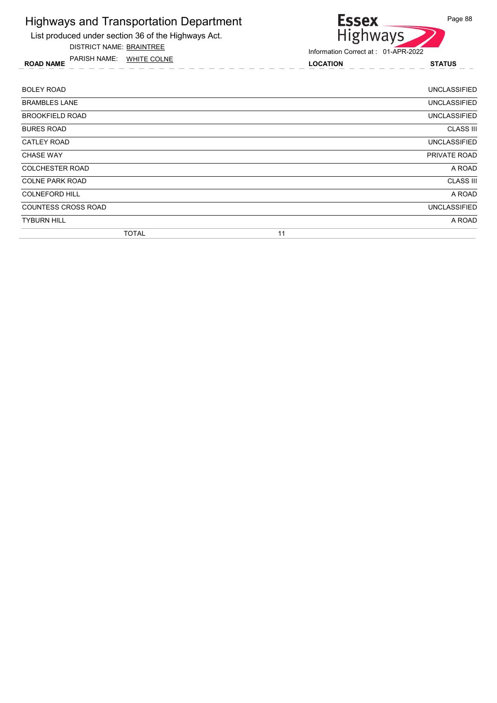

DISTRICT NAME: BRAINTREE

ROAD NAME LOCATION STATUS PARISH NAME: WHITE COLNE



| <b>BOLEY ROAD</b>          | UNCLASSIFIED        |
|----------------------------|---------------------|
| <b>BRAMBLES LANE</b>       | <b>UNCLASSIFIED</b> |
| <b>BROOKFIELD ROAD</b>     | <b>UNCLASSIFIED</b> |
| <b>BURES ROAD</b>          | <b>CLASS III</b>    |
| CATLEY ROAD                | <b>UNCLASSIFIED</b> |
| <b>CHASE WAY</b>           | PRIVATE ROAD        |
| <b>COLCHESTER ROAD</b>     | A ROAD              |
| <b>COLNE PARK ROAD</b>     | <b>CLASS III</b>    |
| <b>COLNEFORD HILL</b>      | A ROAD              |
| <b>COUNTESS CROSS ROAD</b> | <b>UNCLASSIFIED</b> |
| <b>TYBURN HILL</b>         | A ROAD              |
| <b>TOTAL</b>               | 11                  |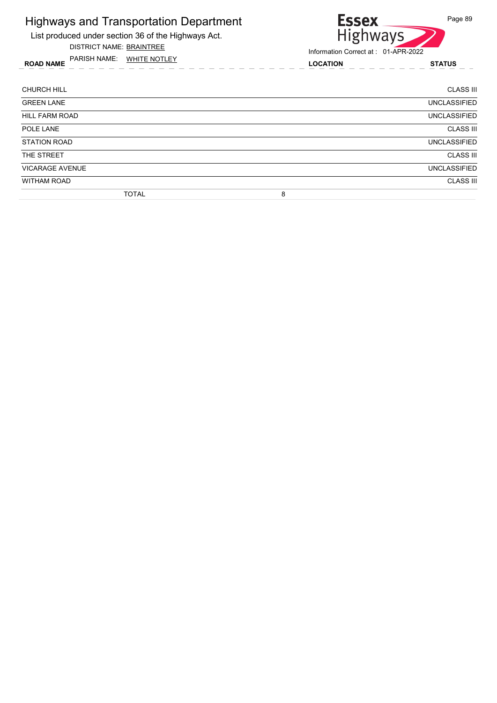List produced under section 36 of the Highways Act.

DISTRICT NAME: BRAINTREE

ROAD NAME LOCATION STATUS PARISH NAME: WHITE NOTLEY



| <b>CHURCH HILL</b>     | <b>CLASS III</b>    |
|------------------------|---------------------|
| <b>GREEN LANE</b>      | <b>UNCLASSIFIED</b> |
| <b>HILL FARM ROAD</b>  | <b>UNCLASSIFIED</b> |
| POLE LANE              | <b>CLASS III</b>    |
| <b>STATION ROAD</b>    | <b>UNCLASSIFIED</b> |
| THE STREET             | <b>CLASS III</b>    |
| <b>VICARAGE AVENUE</b> | <b>UNCLASSIFIED</b> |
| <b>WITHAM ROAD</b>     | <b>CLASS III</b>    |
| <b>TOTAL</b>           | 8                   |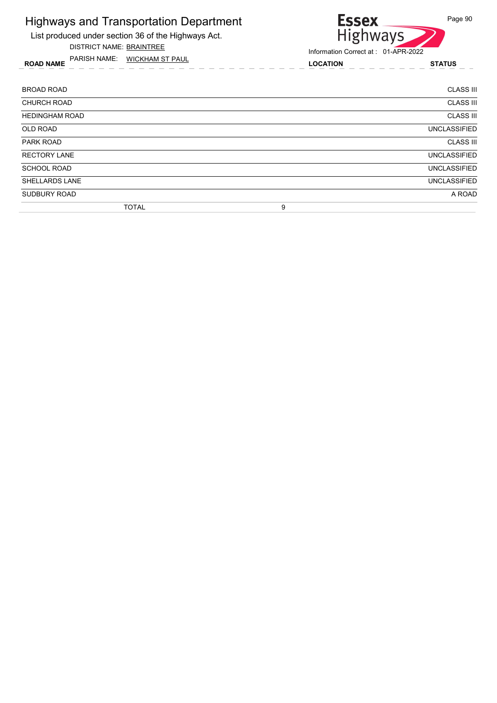List produced under section 36 of the Highways Act.

DISTRICT NAME: BRAINTREE

ROAD NAME LOCATION STATUS PARISH NAME: WICKHAM ST PAUL

# Essex<br>Highways Page 90

| <b>BROAD ROAD</b>     | <b>CLASS III</b>    |
|-----------------------|---------------------|
| <b>CHURCH ROAD</b>    | <b>CLASS III</b>    |
| <b>HEDINGHAM ROAD</b> | <b>CLASS III</b>    |
| <b>OLD ROAD</b>       | <b>UNCLASSIFIED</b> |
| PARK ROAD             | <b>CLASS III</b>    |
| <b>RECTORY LANE</b>   | <b>UNCLASSIFIED</b> |
| <b>SCHOOL ROAD</b>    | <b>UNCLASSIFIED</b> |
| <b>SHELLARDS LANE</b> | <b>UNCLASSIFIED</b> |
| SUDBURY ROAD          | A ROAD              |
| <b>TOTAL</b>          | 9                   |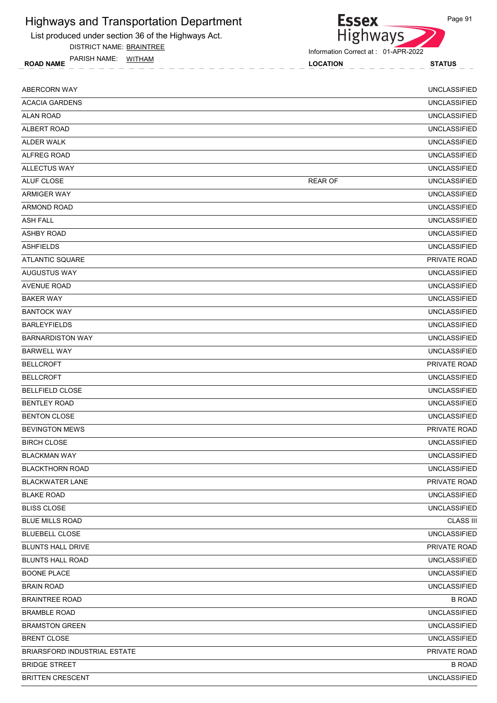List produced under section 36 of the Highways Act.

DISTRICT NAME: BRAINTREE

ROAD NAME LOCATION STATUS PARISH NAME: WITHAM

| <b>ABERCORN WAY</b>                 |                | <b>UNCLASSIFIED</b> |
|-------------------------------------|----------------|---------------------|
| <b>ACACIA GARDENS</b>               |                | <b>UNCLASSIFIED</b> |
| <b>ALAN ROAD</b>                    |                | <b>UNCLASSIFIED</b> |
| <b>ALBERT ROAD</b>                  |                | <b>UNCLASSIFIED</b> |
| <b>ALDER WALK</b>                   |                | <b>UNCLASSIFIED</b> |
| ALFREG ROAD                         |                | <b>UNCLASSIFIED</b> |
| <b>ALLECTUS WAY</b>                 |                | <b>UNCLASSIFIED</b> |
| ALUF CLOSE                          | <b>REAR OF</b> | <b>UNCLASSIFIED</b> |
| <b>ARMIGER WAY</b>                  |                | <b>UNCLASSIFIED</b> |
| <b>ARMOND ROAD</b>                  |                | <b>UNCLASSIFIED</b> |
| <b>ASH FALL</b>                     |                | <b>UNCLASSIFIED</b> |
| <b>ASHBY ROAD</b>                   |                | <b>UNCLASSIFIED</b> |
| <b>ASHFIELDS</b>                    |                | <b>UNCLASSIFIED</b> |
| <b>ATLANTIC SQUARE</b>              |                | PRIVATE ROAD        |
| <b>AUGUSTUS WAY</b>                 |                | <b>UNCLASSIFIED</b> |
| <b>AVENUE ROAD</b>                  |                | <b>UNCLASSIFIED</b> |
| <b>BAKER WAY</b>                    |                | <b>UNCLASSIFIED</b> |
| <b>BANTOCK WAY</b>                  |                | <b>UNCLASSIFIED</b> |
| <b>BARLEYFIELDS</b>                 |                | <b>UNCLASSIFIED</b> |
| <b>BARNARDISTON WAY</b>             |                | <b>UNCLASSIFIED</b> |
| <b>BARWELL WAY</b>                  |                | <b>UNCLASSIFIED</b> |
| <b>BELLCROFT</b>                    |                | PRIVATE ROAD        |
| <b>BELLCROFT</b>                    |                | <b>UNCLASSIFIED</b> |
| <b>BELLFIELD CLOSE</b>              |                | <b>UNCLASSIFIED</b> |
| <b>BENTLEY ROAD</b>                 |                | <b>UNCLASSIFIED</b> |
| <b>BENTON CLOSE</b>                 |                | <b>UNCLASSIFIED</b> |
| <b>BEVINGTON MEWS</b>               |                | PRIVATE ROAD        |
| <b>BIRCH CLOSE</b>                  |                | <b>UNCLASSIFIED</b> |
| <b>BLACKMAN WAY</b>                 |                | <b>UNCLASSIFIED</b> |
| <b>BLACKTHORN ROAD</b>              |                | <b>UNCLASSIFIED</b> |
| <b>BLACKWATER LANE</b>              |                | PRIVATE ROAD        |
| <b>BLAKE ROAD</b>                   |                | <b>UNCLASSIFIED</b> |
| <b>BLISS CLOSE</b>                  |                | <b>UNCLASSIFIED</b> |
| <b>BLUE MILLS ROAD</b>              |                | <b>CLASS III</b>    |
| <b>BLUEBELL CLOSE</b>               |                | <b>UNCLASSIFIED</b> |
| <b>BLUNTS HALL DRIVE</b>            |                | PRIVATE ROAD        |
| <b>BLUNTS HALL ROAD</b>             |                | <b>UNCLASSIFIED</b> |
| <b>BOONE PLACE</b>                  |                | <b>UNCLASSIFIED</b> |
| <b>BRAIN ROAD</b>                   |                | <b>UNCLASSIFIED</b> |
| <b>BRAINTREE ROAD</b>               |                | <b>B ROAD</b>       |
| <b>BRAMBLE ROAD</b>                 |                | <b>UNCLASSIFIED</b> |
| <b>BRAMSTON GREEN</b>               |                | <b>UNCLASSIFIED</b> |
| <b>BRENT CLOSE</b>                  |                | <b>UNCLASSIFIED</b> |
| <b>BRIARSFORD INDUSTRIAL ESTATE</b> |                | PRIVATE ROAD        |
| <b>BRIDGE STREET</b>                |                | <b>B ROAD</b>       |
| <b>BRITTEN CRESCENT</b>             |                | <b>UNCLASSIFIED</b> |

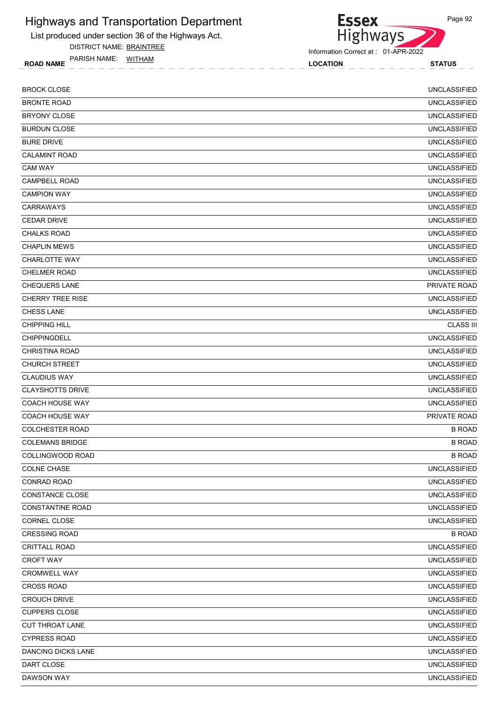List produced under section 36 of the Highways Act.

DISTRICT NAME: BRAINTREE

ROAD NAME LOCATION STATUS PARISH NAME: WITHAM



Information Correct at : 01-APR-2022

| <b>BROCK CLOSE</b>        | <b>UNCLASSIFIED</b> |
|---------------------------|---------------------|
| <b>BRONTE ROAD</b>        | <b>UNCLASSIFIED</b> |
| <b>BRYONY CLOSE</b>       | <b>UNCLASSIFIED</b> |
| <b>BURDUN CLOSE</b>       | <b>UNCLASSIFIED</b> |
| <b>BURE DRIVE</b>         | <b>UNCLASSIFIED</b> |
| <b>CALAMINT ROAD</b>      | <b>UNCLASSIFIED</b> |
| <b>CAM WAY</b>            | <b>UNCLASSIFIED</b> |
| CAMPBELL ROAD             | <b>UNCLASSIFIED</b> |
| <b>CAMPION WAY</b>        | <b>UNCLASSIFIED</b> |
| <b>CARRAWAYS</b>          | <b>UNCLASSIFIED</b> |
| <b>CEDAR DRIVE</b>        | <b>UNCLASSIFIED</b> |
| <b>CHALKS ROAD</b>        | <b>UNCLASSIFIED</b> |
| <b>CHAPLIN MEWS</b>       | <b>UNCLASSIFIED</b> |
| <b>CHARLOTTE WAY</b>      | <b>UNCLASSIFIED</b> |
| <b>CHELMER ROAD</b>       | <b>UNCLASSIFIED</b> |
| <b>CHEQUERS LANE</b>      | PRIVATE ROAD        |
| <b>CHERRY TREE RISE</b>   | <b>UNCLASSIFIED</b> |
| <b>CHESS LANE</b>         | <b>UNCLASSIFIED</b> |
| <b>CHIPPING HILL</b>      | <b>CLASS III</b>    |
| <b>CHIPPINGDELL</b>       | <b>UNCLASSIFIED</b> |
| <b>CHRISTINA ROAD</b>     | <b>UNCLASSIFIED</b> |
| <b>CHURCH STREET</b>      | <b>UNCLASSIFIED</b> |
| <b>CLAUDIUS WAY</b>       | <b>UNCLASSIFIED</b> |
| <b>CLAYSHOTTS DRIVE</b>   | <b>UNCLASSIFIED</b> |
| <b>COACH HOUSE WAY</b>    | <b>UNCLASSIFIED</b> |
| <b>COACH HOUSE WAY</b>    | PRIVATE ROAD        |
| <b>COLCHESTER ROAD</b>    | <b>B ROAD</b>       |
| <b>COLEMANS BRIDGE</b>    | <b>B ROAD</b>       |
| <b>COLLINGWOOD ROAD</b>   | <b>B ROAD</b>       |
| <b>COLNE CHASE</b>        | <b>UNCLASSIFIED</b> |
| CONRAD ROAD               | <b>UNCLASSIFIED</b> |
| CONSTANCE CLOSE           | <b>UNCLASSIFIED</b> |
| <b>CONSTANTINE ROAD</b>   | <b>UNCLASSIFIED</b> |
| CORNEL CLOSE              | <b>UNCLASSIFIED</b> |
| <b>CRESSING ROAD</b>      | <b>B ROAD</b>       |
| <b>CRITTALL ROAD</b>      | <b>UNCLASSIFIED</b> |
| <b>CROFT WAY</b>          | <b>UNCLASSIFIED</b> |
| CROMWELL WAY              | <b>UNCLASSIFIED</b> |
| <b>CROSS ROAD</b>         | <b>UNCLASSIFIED</b> |
| <b>CROUCH DRIVE</b>       | <b>UNCLASSIFIED</b> |
| <b>CUPPERS CLOSE</b>      | <b>UNCLASSIFIED</b> |
| CUT THROAT LANE           | <b>UNCLASSIFIED</b> |
| <b>CYPRESS ROAD</b>       | <b>UNCLASSIFIED</b> |
| <b>DANCING DICKS LANE</b> | <b>UNCLASSIFIED</b> |
| DART CLOSE                | <b>UNCLASSIFIED</b> |
| DAWSON WAY                | <b>UNCLASSIFIED</b> |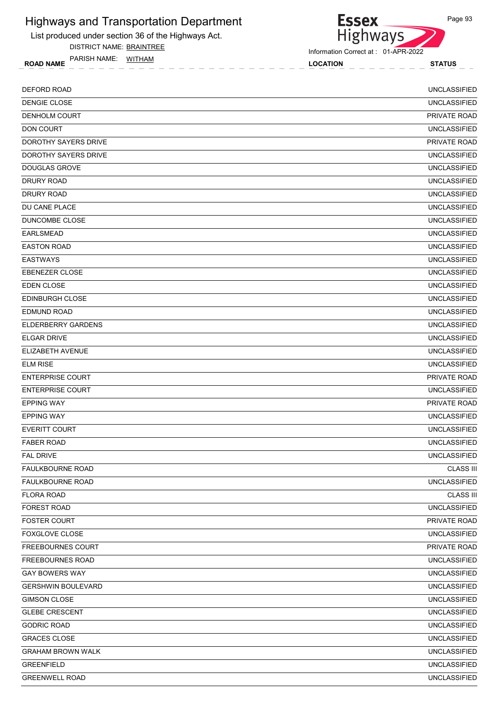List produced under section 36 of the Highways Act.

DISTRICT NAME: BRAINTREE

ROAD NAME LOCATION STATUS PARISH NAME: WITHAM



Information Correct at : 01-APR-2022

| <b>DEFORD ROAD</b>        | <b>UNCLASSIFIED</b> |
|---------------------------|---------------------|
| DENGIE CLOSE              | <b>UNCLASSIFIED</b> |
| DENHOLM COURT             | PRIVATE ROAD        |
| <b>DON COURT</b>          | <b>UNCLASSIFIED</b> |
| DOROTHY SAYERS DRIVE      | PRIVATE ROAD        |
| DOROTHY SAYERS DRIVE      | <b>UNCLASSIFIED</b> |
| <b>DOUGLAS GROVE</b>      | <b>UNCLASSIFIED</b> |
| <b>DRURY ROAD</b>         | <b>UNCLASSIFIED</b> |
| <b>DRURY ROAD</b>         | <b>UNCLASSIFIED</b> |
| DU CANE PLACE             | <b>UNCLASSIFIED</b> |
| DUNCOMBE CLOSE            | <b>UNCLASSIFIED</b> |
| <b>EARLSMEAD</b>          | <b>UNCLASSIFIED</b> |
| <b>EASTON ROAD</b>        | <b>UNCLASSIFIED</b> |
| <b>EASTWAYS</b>           | <b>UNCLASSIFIED</b> |
| <b>EBENEZER CLOSE</b>     | <b>UNCLASSIFIED</b> |
| <b>EDEN CLOSE</b>         | <b>UNCLASSIFIED</b> |
| <b>EDINBURGH CLOSE</b>    | <b>UNCLASSIFIED</b> |
| <b>EDMUND ROAD</b>        | <b>UNCLASSIFIED</b> |
| <b>ELDERBERRY GARDENS</b> | <b>UNCLASSIFIED</b> |
| <b>ELGAR DRIVE</b>        | <b>UNCLASSIFIED</b> |
| ELIZABETH AVENUE          | <b>UNCLASSIFIED</b> |
| <b>ELM RISE</b>           | <b>UNCLASSIFIED</b> |
| <b>ENTERPRISE COURT</b>   | <b>PRIVATE ROAD</b> |
| <b>ENTERPRISE COURT</b>   | <b>UNCLASSIFIED</b> |
| <b>EPPING WAY</b>         | PRIVATE ROAD        |
| <b>EPPING WAY</b>         | <b>UNCLASSIFIED</b> |
| <b>EVERITT COURT</b>      | <b>UNCLASSIFIED</b> |
| <b>FABER ROAD</b>         | <b>UNCLASSIFIED</b> |
| <b>FAL DRIVE</b>          | <b>UNCLASSIFIED</b> |
| <b>FAULKBOURNE ROAD</b>   | <b>CLASS III</b>    |
| <b>FAULKBOURNE ROAD</b>   | <b>UNCLASSIFIED</b> |
| <b>FLORA ROAD</b>         | <b>CLASS III</b>    |
| <b>FOREST ROAD</b>        | <b>UNCLASSIFIED</b> |
| <b>FOSTER COURT</b>       | PRIVATE ROAD        |
| <b>FOXGLOVE CLOSE</b>     | <b>UNCLASSIFIED</b> |
| <b>FREEBOURNES COURT</b>  | PRIVATE ROAD        |
| <b>FREEBOURNES ROAD</b>   | <b>UNCLASSIFIED</b> |
| GAY BOWERS WAY            | <b>UNCLASSIFIED</b> |
| <b>GERSHWIN BOULEVARD</b> | <b>UNCLASSIFIED</b> |
| <b>GIMSON CLOSE</b>       | <b>UNCLASSIFIED</b> |
| <b>GLEBE CRESCENT</b>     | <b>UNCLASSIFIED</b> |
| <b>GODRIC ROAD</b>        | <b>UNCLASSIFIED</b> |
| <b>GRACES CLOSE</b>       | <b>UNCLASSIFIED</b> |
| <b>GRAHAM BROWN WALK</b>  | <b>UNCLASSIFIED</b> |
| <b>GREENFIELD</b>         | <b>UNCLASSIFIED</b> |
| <b>GREENWELL ROAD</b>     | <b>UNCLASSIFIED</b> |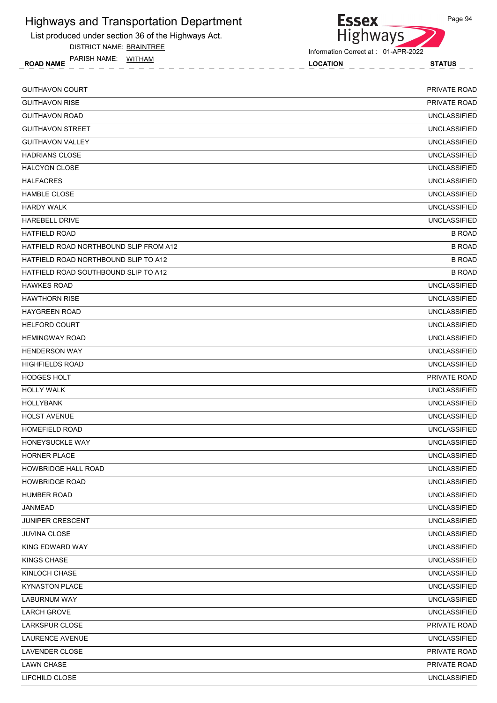List produced under section 36 of the Highways Act.

DISTRICT NAME: BRAINTREE

ROAD NAME LOCATION STATUS PARISH NAME: WITHAM



| <b>GUITHAVON COURT</b>                 | <b>PRIVATE ROAD</b> |
|----------------------------------------|---------------------|
| <b>GUITHAVON RISE</b>                  | <b>PRIVATE ROAD</b> |
| <b>GUITHAVON ROAD</b>                  | <b>UNCLASSIFIED</b> |
| <b>GUITHAVON STREET</b>                | <b>UNCLASSIFIED</b> |
| <b>GUITHAVON VALLEY</b>                | <b>UNCLASSIFIED</b> |
| <b>HADRIANS CLOSE</b>                  | <b>UNCLASSIFIED</b> |
| <b>HALCYON CLOSE</b>                   | <b>UNCLASSIFIED</b> |
| <b>HALFACRES</b>                       | <b>UNCLASSIFIED</b> |
| <b>HAMBLE CLOSE</b>                    | <b>UNCLASSIFIED</b> |
| <b>HARDY WALK</b>                      | <b>UNCLASSIFIED</b> |
| <b>HAREBELL DRIVE</b>                  | <b>UNCLASSIFIED</b> |
| <b>HATFIELD ROAD</b>                   | <b>B ROAD</b>       |
| HATFIELD ROAD NORTHBOUND SLIP FROM A12 | <b>B ROAD</b>       |
| HATFIELD ROAD NORTHBOUND SLIP TO A12   | <b>B ROAD</b>       |
| HATFIELD ROAD SOUTHBOUND SLIP TO A12   | <b>B ROAD</b>       |
| <b>HAWKES ROAD</b>                     | <b>UNCLASSIFIED</b> |
| <b>HAWTHORN RISE</b>                   | <b>UNCLASSIFIED</b> |
| <b>HAYGREEN ROAD</b>                   | <b>UNCLASSIFIED</b> |
| <b>HELFORD COURT</b>                   | <b>UNCLASSIFIED</b> |
| <b>HEMINGWAY ROAD</b>                  | <b>UNCLASSIFIED</b> |
| <b>HENDERSON WAY</b>                   | <b>UNCLASSIFIED</b> |
| <b>HIGHFIELDS ROAD</b>                 | <b>UNCLASSIFIED</b> |
| <b>HODGES HOLT</b>                     | PRIVATE ROAD        |
| <b>HOLLY WALK</b>                      | <b>UNCLASSIFIED</b> |
| <b>HOLLYBANK</b>                       | <b>UNCLASSIFIED</b> |
| <b>HOLST AVENUE</b>                    | <b>UNCLASSIFIED</b> |
| <b>HOMEFIELD ROAD</b>                  | <b>UNCLASSIFIED</b> |
| HONEYSUCKLE WAY                        | <b>UNCLASSIFIED</b> |
| <b>HORNER PLACE</b>                    | <b>UNCLASSIFIED</b> |
| HOWBRIDGE HALL ROAD                    | <b>UNCLASSIFIED</b> |
| <b>HOWBRIDGE ROAD</b>                  | <b>UNCLASSIFIED</b> |
| <b>HUMBER ROAD</b>                     | <b>UNCLASSIFIED</b> |
| JANMEAD                                | <b>UNCLASSIFIED</b> |
| JUNIPER CRESCENT                       | <b>UNCLASSIFIED</b> |
| <b>JUVINA CLOSE</b>                    | <b>UNCLASSIFIED</b> |
| KING EDWARD WAY                        | UNCLASSIFIED        |
| KINGS CHASE                            | <b>UNCLASSIFIED</b> |
| KINLOCH CHASE                          | <b>UNCLASSIFIED</b> |
| <b>KYNASTON PLACE</b>                  | <b>UNCLASSIFIED</b> |
| <b>LABURNUM WAY</b>                    | <b>UNCLASSIFIED</b> |
| <b>LARCH GROVE</b>                     | UNCLASSIFIED        |
| LARKSPUR CLOSE                         | PRIVATE ROAD        |
| LAURENCE AVENUE                        | <b>UNCLASSIFIED</b> |
| LAVENDER CLOSE                         | PRIVATE ROAD        |
| <b>LAWN CHASE</b>                      | PRIVATE ROAD        |
| LIFCHILD CLOSE                         | <b>UNCLASSIFIED</b> |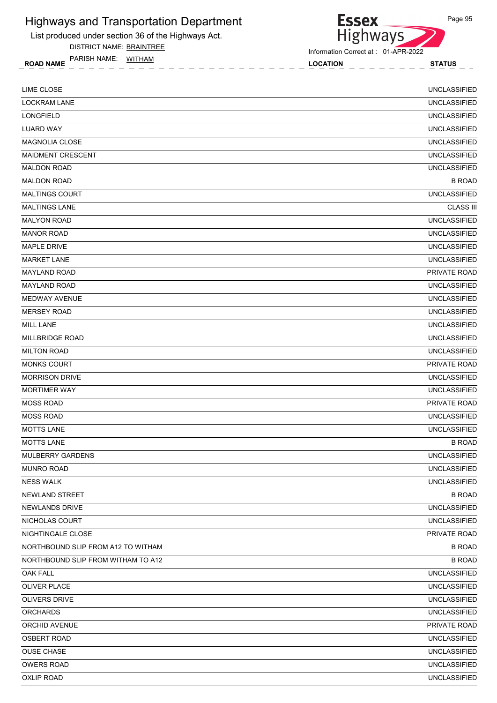List produced under section 36 of the Highways Act.

DISTRICT NAME: BRAINTREE

ROAD NAME LOCATION STATUS PARISH NAME: WITHAM



Information Correct at : 01-APR-2022

| <b>LIME CLOSE</b>                  | <b>UNCLASSIFIED</b> |
|------------------------------------|---------------------|
| <b>LOCKRAM LANE</b>                | <b>UNCLASSIFIED</b> |
| LONGFIELD                          | <b>UNCLASSIFIED</b> |
| <b>LUARD WAY</b>                   | <b>UNCLASSIFIED</b> |
| <b>MAGNOLIA CLOSE</b>              | <b>UNCLASSIFIED</b> |
| <b>MAIDMENT CRESCENT</b>           | <b>UNCLASSIFIED</b> |
| <b>MALDON ROAD</b>                 | <b>UNCLASSIFIED</b> |
| <b>MALDON ROAD</b>                 | <b>B ROAD</b>       |
| <b>MALTINGS COURT</b>              | <b>UNCLASSIFIED</b> |
| <b>MALTINGS LANE</b>               | <b>CLASS III</b>    |
| <b>MALYON ROAD</b>                 | <b>UNCLASSIFIED</b> |
| <b>MANOR ROAD</b>                  | <b>UNCLASSIFIED</b> |
| MAPLE DRIVE                        | <b>UNCLASSIFIED</b> |
| <b>MARKET LANE</b>                 | <b>UNCLASSIFIED</b> |
| <b>MAYLAND ROAD</b>                | PRIVATE ROAD        |
| <b>MAYLAND ROAD</b>                | <b>UNCLASSIFIED</b> |
| MEDWAY AVENUE                      | <b>UNCLASSIFIED</b> |
| <b>MERSEY ROAD</b>                 | <b>UNCLASSIFIED</b> |
| <b>MILL LANE</b>                   | <b>UNCLASSIFIED</b> |
| <b>MILLBRIDGE ROAD</b>             | <b>UNCLASSIFIED</b> |
| <b>MILTON ROAD</b>                 | <b>UNCLASSIFIED</b> |
| <b>MONKS COURT</b>                 | PRIVATE ROAD        |
| <b>MORRISON DRIVE</b>              | <b>UNCLASSIFIED</b> |
| <b>MORTIMER WAY</b>                | <b>UNCLASSIFIED</b> |
| <b>MOSS ROAD</b>                   | PRIVATE ROAD        |
| <b>MOSS ROAD</b>                   | <b>UNCLASSIFIED</b> |
| <b>MOTTS LANE</b>                  | <b>UNCLASSIFIED</b> |
| <b>MOTTS LANE</b>                  | <b>B ROAD</b>       |
| MULBERRY GARDENS                   | <b>UNCLASSIFIED</b> |
| <b>MUNRO ROAD</b>                  | <b>UNCLASSIFIED</b> |
| <b>NESS WALK</b>                   | <b>UNCLASSIFIED</b> |
| NEWLAND STREET                     | <b>B ROAD</b>       |
| NEWLANDS DRIVE                     | <b>UNCLASSIFIED</b> |
| NICHOLAS COURT                     | <b>UNCLASSIFIED</b> |
| NIGHTINGALE CLOSE                  | PRIVATE ROAD        |
| NORTHBOUND SLIP FROM A12 TO WITHAM | <b>B ROAD</b>       |
| NORTHBOUND SLIP FROM WITHAM TO A12 | <b>B ROAD</b>       |
| <b>OAK FALL</b>                    | <b>UNCLASSIFIED</b> |
| <b>OLIVER PLACE</b>                | <b>UNCLASSIFIED</b> |
| OLIVERS DRIVE                      | <b>UNCLASSIFIED</b> |
| <b>ORCHARDS</b>                    | <b>UNCLASSIFIED</b> |
| ORCHID AVENUE                      | PRIVATE ROAD        |
| <b>OSBERT ROAD</b>                 | <b>UNCLASSIFIED</b> |
| <b>OUSE CHASE</b>                  | <b>UNCLASSIFIED</b> |
| <b>OWERS ROAD</b>                  | <b>UNCLASSIFIED</b> |
| <b>OXLIP ROAD</b>                  | <b>UNCLASSIFIED</b> |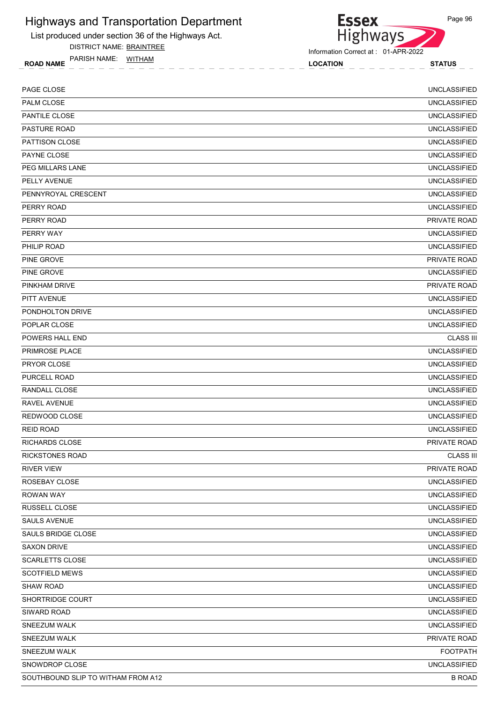List produced under section 36 of the Highways Act.

PARISH NAME: WITHAM DISTRICT NAME: BRAINTREE **Essex Highways** 

Information Correct at : 01-APR-2022

ROAD NAME TANISH IVANCE WITHAM! STATUS STATUS LOCATION

Page 96

PAGE CLOSE UNCLASSIFIED PALM CLOSE UNCLASSIFIED PANTILE CLOSE UNCLASSIFIED PASTURE ROAD UNCLASSIFIED PATTISON CLOSE UNCLASSIFIED PAYNE CLOSE EXAMPLE THE SERVICE OF SERVICE SERVICE SERVICE OF SERVICE SERVICE OF SERVICE OF SERVICE SERVICE SE PEG MILLARS LANE UNCLASSIFIED PELLY AVENUE UNCLASSIFIED PENNYROYAL CRESCENT UNCLASSIFIED PERRY ROAD UNCLASSIFIED PERRY ROAD PRIVATE ROAD PERRY WAY UNCLASSIFIED PHILIP ROAD UNCLASSIFIED PINE GROVE PRIVATE ROAD AND THE SERVICE OF A SERVICE OF A SERVICE OF A SERVICE OF A SERVICE OF A SERVICE OF A SERVICE OF A SERVICE OF A SERVICE OF A SERVICE OF A SERVICE OF A SERVICE OF A SERVICE OF A SERVICE OF A SERVICE PINE GROVE UNCLASSIFIED PINKHAM DRIVE PRIVATE ROAD PITT AVENUE UNCLASSIFIED PONDHOLTON DRIVE UNCLASSIFIED POPLAR CLOSE UNCLASSIFIED POWERS HALL END CLASS III PRIMROSE PLACE UNCLASSIFIED PRYOR CLOSE UNCLASSIFIED PURCELL ROAD UNCLASSIFIED RANDALL CLOSE UNCLASSIFIED RAVEL AVENUE **ALL AND A DESCRIPTION OF A CONSUMING A CONSUMING A CONSUMING A CONSUMING A CONSUMING A CONSUMING A** REDWOOD CLOSE UNCLASSIFIED REID ROAD UNCLASSIFIED RICHARDS CLOSE PRIVATE ROAD RICKSTONES ROAD CLASS III RIVER VIEW PRIVATE ROAD ROSEBAY CLOSE UNCLASSIFIED ROWAN WAY UNCLASSIFIED RUSSELL CLOSE UNCLASSIFIED SAULS AVENUE UNCLASSIFIED SAULS BRIDGE CLOSE UNCLASSIFIED SAXON DRIVE UNCLASSIFIED SCARLETTS CLOSE UNCLASSIFIED SCOTFIELD MEWS UNCLASSIFIED SHAW ROAD UNCLASSIFIED SHORTRIDGE COURT UNCLASSIFIED SIWARD ROAD UNCLASSIFIED SNEEZUM WALK UNCLASSIFIED SNEEZUM WALK PRIVATE ROAD SNEEZUM WALK FOOTPATH SNOWDROP CLOSE UNCLASSIFIED

SOUTHBOUND SLIP TO WITHAM FROM A12 B ROAD AND RESIDENCE IN A SAME RANGE IN A SAME ROAD B ROAD B ROAD

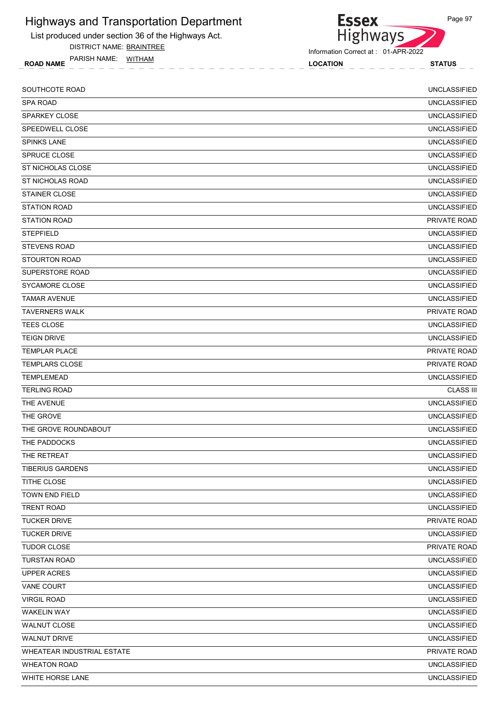List produced under section 36 of the Highways Act.

DISTRICT NAME: BRAINTREE

ROAD NAME LOCATION STATUS PARISH NAME: WITHAM



Information Correct at : 01-APR-2022

| SOUTHCOTE ROAD             | <b>UNCLASSIFIED</b> |
|----------------------------|---------------------|
| <b>SPA ROAD</b>            | <b>UNCLASSIFIED</b> |
| <b>SPARKEY CLOSE</b>       | <b>UNCLASSIFIED</b> |
| SPEEDWELL CLOSE            | <b>UNCLASSIFIED</b> |
| <b>SPINKS LANE</b>         | <b>UNCLASSIFIED</b> |
| SPRUCE CLOSE               | <b>UNCLASSIFIED</b> |
| ST NICHOLAS CLOSE          | <b>UNCLASSIFIED</b> |
| ST NICHOLAS ROAD           | <b>UNCLASSIFIED</b> |
| <b>STAINER CLOSE</b>       | <b>UNCLASSIFIED</b> |
| <b>STATION ROAD</b>        | <b>UNCLASSIFIED</b> |
| <b>STATION ROAD</b>        | PRIVATE ROAD        |
| <b>STEPFIELD</b>           | <b>UNCLASSIFIED</b> |
| <b>STEVENS ROAD</b>        | <b>UNCLASSIFIED</b> |
| <b>STOURTON ROAD</b>       | <b>UNCLASSIFIED</b> |
| SUPERSTORE ROAD            | <b>UNCLASSIFIED</b> |
| SYCAMORE CLOSE             | <b>UNCLASSIFIED</b> |
| <b>TAMAR AVENUE</b>        | <b>UNCLASSIFIED</b> |
| <b>TAVERNERS WALK</b>      | <b>PRIVATE ROAD</b> |
| TEES CLOSE                 | <b>UNCLASSIFIED</b> |
| <b>TEIGN DRIVE</b>         | <b>UNCLASSIFIED</b> |
| <b>TEMPLAR PLACE</b>       | <b>PRIVATE ROAD</b> |
| <b>TEMPLARS CLOSE</b>      | PRIVATE ROAD        |
| <b>TEMPLEMEAD</b>          | <b>UNCLASSIFIED</b> |
| <b>TERLING ROAD</b>        | <b>CLASS III</b>    |
| THE AVENUE                 | <b>UNCLASSIFIED</b> |
| THE GROVE                  | <b>UNCLASSIFIED</b> |
| THE GROVE ROUNDABOUT       | <b>UNCLASSIFIED</b> |
| THE PADDOCKS               | <b>UNCLASSIFIED</b> |
| THE RETREAT                | <b>UNCLASSIFIED</b> |
| <b>TIBERIUS GARDENS</b>    | <b>UNCLASSIFIED</b> |
| TITHE CLOSE                | <b>UNCLASSIFIED</b> |
| TOWN END FIELD             | <b>UNCLASSIFIED</b> |
| <b>TRENT ROAD</b>          | <b>UNCLASSIFIED</b> |
| <b>TUCKER DRIVE</b>        | PRIVATE ROAD        |
| <b>TUCKER DRIVE</b>        | <b>UNCLASSIFIED</b> |
| TUDOR CLOSE                | PRIVATE ROAD        |
| <b>TURSTAN ROAD</b>        | <b>UNCLASSIFIED</b> |
| <b>UPPER ACRES</b>         | <b>UNCLASSIFIED</b> |
| <b>VANE COURT</b>          | <b>UNCLASSIFIED</b> |
| <b>VIRGIL ROAD</b>         | <b>UNCLASSIFIED</b> |
| <b>WAKELIN WAY</b>         | <b>UNCLASSIFIED</b> |
| <b>WALNUT CLOSE</b>        | <b>UNCLASSIFIED</b> |
| <b>WALNUT DRIVE</b>        | <b>UNCLASSIFIED</b> |
| WHEATEAR INDUSTRIAL ESTATE | PRIVATE ROAD        |
| <b>WHEATON ROAD</b>        | <b>UNCLASSIFIED</b> |
| WHITE HORSE LANE           | <b>UNCLASSIFIED</b> |